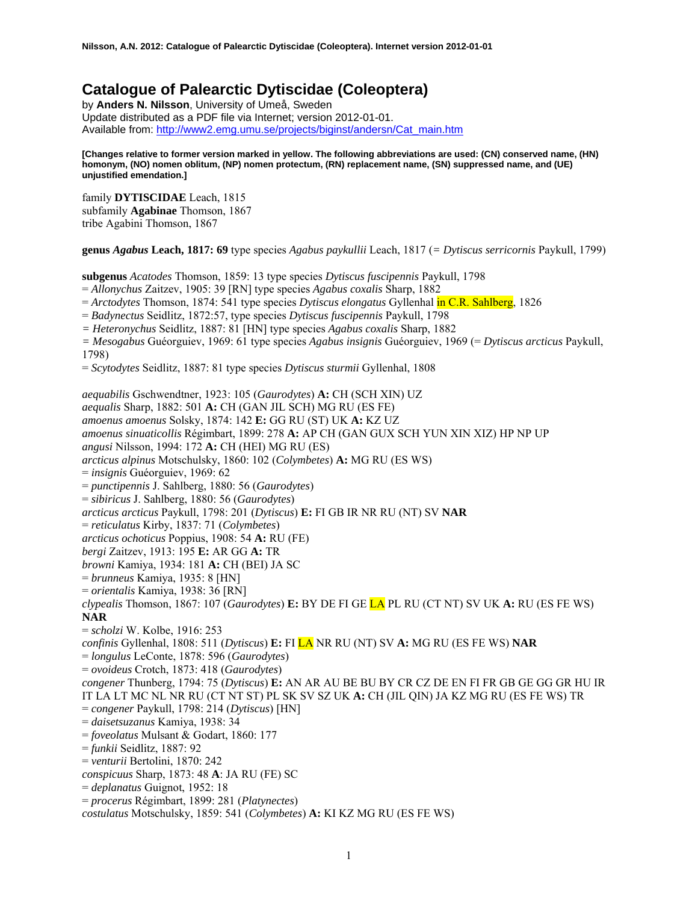# **Catalogue of Palearctic Dytiscidae (Coleoptera)**

by **Anders N. Nilsson**, University of Umeå, Sweden Update distributed as a PDF file via Internet; version 2012-01-01. Available from: [http://www2.emg.umu.se/projects/biginst/andersn/Cat\\_main.htm](http://www.emg.umu.se/biginst/andersn/Cat_main.htm)

#### **[Changes relative to former version marked in yellow. The following abbreviations are used: (CN) conserved name, (HN) homonym, (NO) nomen oblitum, (NP) nomen protectum, (RN) replacement name, (SN) suppressed name, and (UE) unjustified emendation.]**

family **DYTISCIDAE** Leach, 1815 subfamily **Agabinae** Thomson, 1867 tribe Agabini Thomson, 1867

**genus** *Agabus* **Leach, 1817: 69** type species *Agabus paykullii* Leach, 1817 (*= Dytiscus serricornis* Paykull, 1799)

**subgenus** *Acatodes* Thomson, 1859: 13 type species *Dytiscus fuscipennis* Paykull, 1798 = *Allonychus* Zaitzev, 1905: 39 [RN] type species *Agabus coxalis* Sharp, 1882 = *Arctodytes* Thomson, 1874: 541 type species *Dytiscus elongatus* Gyllenhal in C.R. Sahlberg, 1826 = *Badynectus* Seidlitz, 1872:57, type species *Dytiscus fuscipennis* Paykull, 1798 *= Heteronychus* Seidlitz, 1887: 81 [HN] type species *Agabus coxalis* Sharp, 1882 *= Mesogabus* Guéorguiev, 1969: 61 type species *Agabus insignis* Guéorguiev, 1969 (= *Dytiscus arcticus* Paykull, 1798) = *Scytodytes* Seidlitz, 1887: 81 type species *Dytiscus sturmii* Gyllenhal, 1808 *aequabilis* Gschwendtner, 1923: 105 (*Gaurodytes*) **A:** CH (SCH XIN) UZ *aequalis* Sharp, 1882: 501 **A:** CH (GAN JIL SCH) MG RU (ES FE) *amoenus amoenus* Solsky, 1874: 142 **E:** GG RU (ST) UK **A:** KZ UZ *amoenus sinuaticollis* Régimbart, 1899: 278 **A:** AP CH (GAN GUX SCH YUN XIN XIZ) HP NP UP *angusi* Nilsson, 1994: 172 **A:** CH (HEI) MG RU (ES) *arcticus alpinus* Motschulsky, 1860: 102 (*Colymbetes*) **A:** MG RU (ES WS) = *insignis* Guéorguiev, 1969: 62 = *punctipennis* J. Sahlberg, 1880: 56 (*Gaurodytes*) = *sibiricus* J. Sahlberg, 1880: 56 (*Gaurodytes*) *arcticus arcticus* Paykull, 1798: 201 (*Dytiscus*) **E:** FI GB IR NR RU (NT) SV **NAR** = *reticulatus* Kirby, 1837: 71 (*Colymbetes*) *arcticus ochoticus* Poppius, 1908: 54 **A:** RU (FE) *bergi* Zaitzev, 1913: 195 **E:** AR GG **A:** TR *browni* Kamiya, 1934: 181 **A:** CH (BEI) JA SC = *brunneus* Kamiya, 1935: 8 [HN] = *orientalis* Kamiya, 1938: 36 [RN] *clypealis* Thomson, 1867: 107 (*Gaurodytes*) **E:** BY DE FI GE LA PL RU (CT NT) SV UK **A:** RU (ES FE WS) **NAR** = *scholzi* W. Kolbe, 1916: 253 *confinis* Gyllenhal, 1808: 511 (*Dytiscus*) **E:** FI LA NR RU (NT) SV **A:** MG RU (ES FE WS) **NAR** = *longulus* LeConte, 1878: 596 (*Gaurodytes*) = *ovoideus* Crotch, 1873: 418 (*Gaurodytes*) *congener* Thunberg, 1794: 75 (*Dytiscus*) **E:** AN AR AU BE BU BY CR CZ DE EN FI FR GB GE GG GR HU IR IT LA LT MC NL NR RU (CT NT ST) PL SK SV SZ UK **A:** CH (JIL QIN) JA KZ MG RU (ES FE WS) TR = *congener* Paykull, 1798: 214 (*Dytiscus*) [HN] = *daisetsuzanus* Kamiya, 1938: 34 = *foveolatus* Mulsant & Godart, 1860: 177 = *funkii* Seidlitz, 1887: 92 = *venturii* Bertolini, 1870: 242 *conspicuus* Sharp, 1873: 48 **A**: JA RU (FE) SC = *deplanatus* Guignot, 1952: 18 = *procerus* Régimbart, 1899: 281 (*Platynectes*) *costulatus* Motschulsky, 1859: 541 (*Colymbetes*) **A:** KI KZ MG RU (ES FE WS)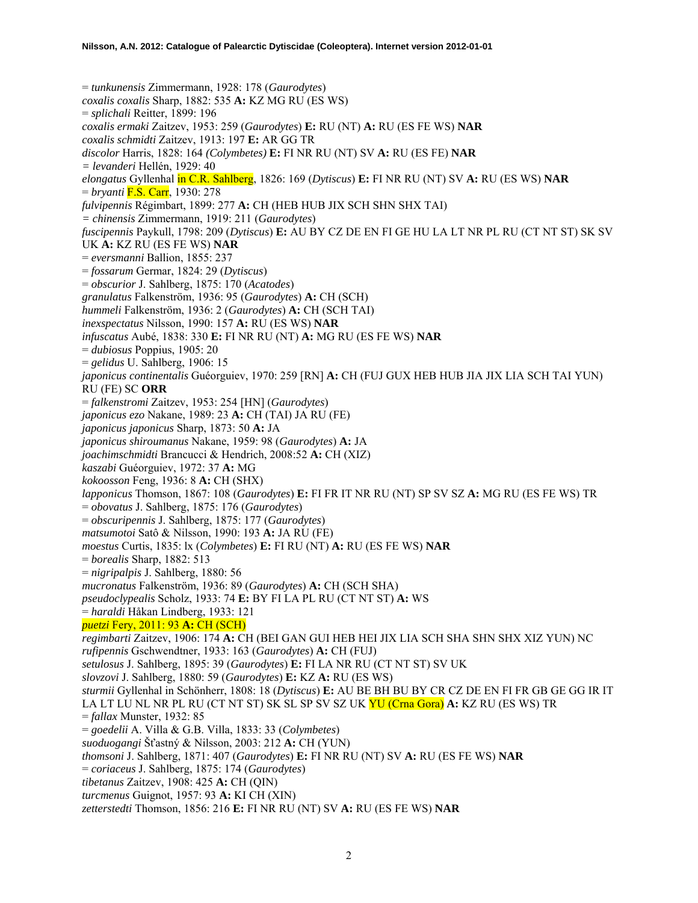= *tunkunensis* Zimmermann, 1928: 178 (*Gaurodytes*) *coxalis coxalis* Sharp, 1882: 535 **A:** KZ MG RU (ES WS) = *splichali* Reitter, 1899: 196 *coxalis ermaki* Zaitzev, 1953: 259 (*Gaurodytes*) **E:** RU (NT) **A:** RU (ES FE WS) **NAR** *coxalis schmidti* Zaitzev, 1913: 197 **E:** AR GG TR *discolor* Harris, 1828: 164 *(Colymbetes)* **E:** FI NR RU (NT) SV **A:** RU (ES FE) **NAR** *= levanderi* Hellén, 1929: 40 *elongatus* Gyllenhal in C.R. Sahlberg, 1826: 169 (*Dytiscus*) **E:** FI NR RU (NT) SV **A:** RU (ES WS) **NAR** = *bryanti* F.S. Carr, 1930: 278 *fulvipennis* Régimbart, 1899: 277 **A:** CH (HEB HUB JIX SCH SHN SHX TAI) *= chinensis* Zimmermann, 1919: 211 (*Gaurodytes*) *fuscipennis* Paykull, 1798: 209 (*Dytiscus*) **E:** AU BY CZ DE EN FI GE HU LA LT NR PL RU (CT NT ST) SK SV UK **A:** KZ RU (ES FE WS) **NAR** = *eversmanni* Ballion, 1855: 237 = *fossarum* Germar, 1824: 29 (*Dytiscus*) = *obscurior* J. Sahlberg, 1875: 170 (*Acatodes*) *granulatus* Falkenström, 1936: 95 (*Gaurodytes*) **A:** CH (SCH) *hummeli* Falkenström, 1936: 2 (*Gaurodytes*) **A:** CH (SCH TAI) *inexspectatus* Nilsson, 1990: 157 **A:** RU (ES WS) **NAR** *infuscatus* Aubé, 1838: 330 **E:** FI NR RU (NT) **A:** MG RU (ES FE WS) **NAR** = *dubiosus* Poppius, 1905: 20 = *gelidus* U. Sahlberg, 1906: 15 *japonicus continentalis* Guéorguiev, 1970: 259 [RN] **A:** CH (FUJ GUX HEB HUB JIA JIX LIA SCH TAI YUN) RU (FE) SC **ORR** = *falkenstromi* Zaitzev, 1953: 254 [HN] (*Gaurodytes*) *japonicus ezo* Nakane, 1989: 23 **A:** CH (TAI) JA RU (FE) *japonicus japonicus* Sharp, 1873: 50 **A:** JA *japonicus shiroumanus* Nakane, 1959: 98 (*Gaurodytes*) **A:** JA *joachimschmidti* Brancucci & Hendrich, 2008:52 **A:** CH (XIZ) *kaszabi* Guéorguiev, 1972: 37 **A:** MG *kokoosson* Feng, 1936: 8 **A:** CH (SHX) *lapponicus* Thomson, 1867: 108 (*Gaurodytes*) **E:** FI FR IT NR RU (NT) SP SV SZ **A:** MG RU (ES FE WS) TR = *obovatus* J. Sahlberg, 1875: 176 (*Gaurodytes*) = *obscuripennis* J. Sahlberg, 1875: 177 (*Gaurodytes*) *matsumotoi* Satô & Nilsson, 1990: 193 **A:** JA RU (FE) *moestus* Curtis, 1835: lx (*Colymbetes*) **E:** FI RU (NT) **A:** RU (ES FE WS) **NAR** = *borealis* Sharp, 1882: 513 = *nigripalpis* J. Sahlberg, 1880: 56 *mucronatus* Falkenström, 1936: 89 (*Gaurodytes*) **A:** CH (SCH SHA) *pseudoclypealis* Scholz, 1933: 74 **E:** BY FI LA PL RU (CT NT ST) **A:** WS = *haraldi* Håkan Lindberg, 1933: 121 *puetzi* Fery, 2011: 93 **A:** CH (SCH) *regimbarti* Zaitzev, 1906: 174 **A:** CH (BEI GAN GUI HEB HEI JIX LIA SCH SHA SHN SHX XIZ YUN) NC *rufipennis* Gschwendtner, 1933: 163 (*Gaurodytes*) **A:** CH (FUJ) *setulosus* J. Sahlberg, 1895: 39 (*Gaurodytes*) **E:** FI LA NR RU (CT NT ST) SV UK *slovzovi* J. Sahlberg, 1880: 59 (*Gaurodytes*) **E:** KZ **A:** RU (ES WS) *sturmii* Gyllenhal in Schönherr, 1808: 18 (*Dytiscus*) **E:** AU BE BH BU BY CR CZ DE EN FI FR GB GE GG IR IT LA LT LU NL NR PL RU (CT NT ST) SK SL SP SV SZ UK YU (Crna Gora) **A:** KZ RU (ES WS) TR = *fallax* Munster, 1932: 85 = *goedelii* A. Villa & G.B. Villa, 1833: 33 (*Colymbetes*) *suoduogangi* Šťastný & Nilsson, 2003: 212 **A:** CH (YUN) *thomsoni* J. Sahlberg, 1871: 407 (*Gaurodytes*) **E:** FI NR RU (NT) SV **A:** RU (ES FE WS) **NAR**  = *coriaceus* J. Sahlberg, 1875: 174 (*Gaurodytes*) *tibetanus* Zaitzev, 1908: 425 **A:** CH (QIN) *turcmenus* Guignot, 1957: 93 **A:** KI CH (XIN) *zetterstedti* Thomson, 1856: 216 **E:** FI NR RU (NT) SV **A:** RU (ES FE WS) **NAR**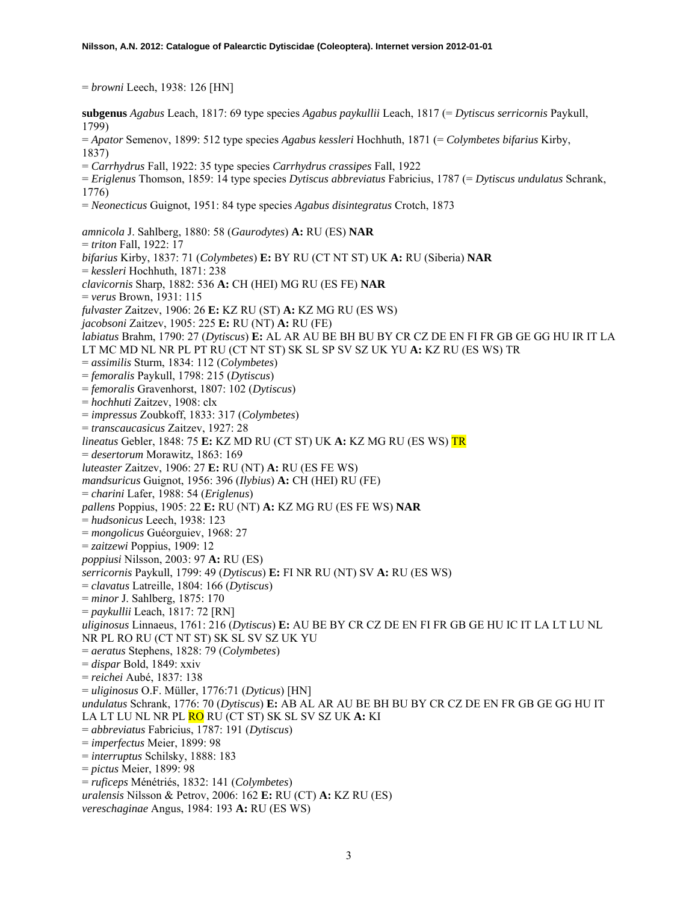= *browni* Leech, 1938: 126 [HN]

**subgenus** *Agabus* Leach, 1817: 69 type species *Agabus paykullii* Leach, 1817 (= *Dytiscus serricornis* Paykull, 1799)

= *Apator* Semenov, 1899: 512 type species *Agabus kessleri* Hochhuth, 1871 (= *Colymbetes bifarius* Kirby, 1837)

- = *Carrhydrus* Fall, 1922: 35 type species *Carrhydrus crassipes* Fall, 1922
- = *Eriglenus* Thomson, 1859: 14 type species *Dytiscus abbreviatus* Fabricius, 1787 (= *Dytiscus undulatus* Schrank, 1776)
- = *Neonecticus* Guignot, 1951: 84 type species *Agabus disintegratus* Crotch, 1873

*amnicola* J. Sahlberg, 1880: 58 (*Gaurodytes*) **A:** RU (ES) **NAR**  = *triton* Fall, 1922: 17 *bifarius* Kirby, 1837: 71 (*Colymbetes*) **E:** BY RU (CT NT ST) UK **A:** RU (Siberia) **NAR**  = *kessleri* Hochhuth, 1871: 238 *clavicornis* Sharp, 1882: 536 **A:** CH (HEI) MG RU (ES FE) **NAR**  = *verus* Brown, 1931: 115 *fulvaster* Zaitzev, 1906: 26 **E:** KZ RU (ST) **A:** KZ MG RU (ES WS) *jacobsoni* Zaitzev, 1905: 225 **E:** RU (NT) **A:** RU (FE) *labiatus* Brahm, 1790: 27 (*Dytiscus*) **E:** AL AR AU BE BH BU BY CR CZ DE EN FI FR GB GE GG HU IR IT LA LT MC MD NL NR PL PT RU (CT NT ST) SK SL SP SV SZ UK YU **A:** KZ RU (ES WS) TR = *assimilis* Sturm, 1834: 112 (*Colymbetes*) = *femoralis* Paykull, 1798: 215 (*Dytiscus*) = *femoralis* Gravenhorst, 1807: 102 (*Dytiscus*) = *hochhuti* Zaitzev, 1908: clx = *impressus* Zoubkoff, 1833: 317 (*Colymbetes*) = *transcaucasicus* Zaitzev, 1927: 28 *lineatus* Gebler, 1848: 75 **E:** KZ MD RU (CT ST) UK **A:** KZ MG RU (ES WS) TR = *desertorum* Morawitz, 1863: 169 *luteaster* Zaitzev, 1906: 27 **E:** RU (NT) **A:** RU (ES FE WS) *mandsuricus* Guignot, 1956: 396 (*Ilybius*) **A:** CH (HEI) RU (FE) = *charini* Lafer, 1988: 54 (*Eriglenus*) *pallens* Poppius, 1905: 22 **E:** RU (NT) **A:** KZ MG RU (ES FE WS) **NAR**  = *hudsonicus* Leech, 1938: 123 = *mongolicus* Guéorguiev, 1968: 27 = *zaitzewi* Poppius, 1909: 12 *poppiusi* Nilsson, 2003: 97 **A:** RU (ES) *serricornis* Paykull, 1799: 49 (*Dytiscus*) **E:** FI NR RU (NT) SV **A:** RU (ES WS) = *clavatus* Latreille, 1804: 166 (*Dytiscus*) = *minor* J. Sahlberg, 1875: 170 = *paykullii* Leach, 1817: 72 [RN] *uliginosus* Linnaeus, 1761: 216 (*Dytiscus*) **E:** AU BE BY CR CZ DE EN FI FR GB GE HU IC IT LA LT LU NL NR PL RO RU (CT NT ST) SK SL SV SZ UK YU = *aeratus* Stephens, 1828: 79 (*Colymbetes*) = *dispar* Bold, 1849: xxiv = *reichei* Aubé, 1837: 138 = *uliginosus* O.F. Müller, 1776:71 (*Dyticus*) [HN] *undulatus* Schrank, 1776: 70 (*Dytiscus*) **E:** AB AL AR AU BE BH BU BY CR CZ DE EN FR GB GE GG HU IT LA LT LU NL NR PL RO RU (CT ST) SK SL SV SZ UK **A:** KI = *abbreviatus* Fabricius, 1787: 191 (*Dytiscus*) = *imperfectus* Meier, 1899: 98 = *interruptus* Schilsky, 1888: 183 = *pictus* Meier, 1899: 98 = *ruficeps* Ménétriés, 1832: 141 (*Colymbetes*) *uralensis* Nilsson & Petrov, 2006: 162 **E:** RU (CT) **A:** KZ RU (ES) *vereschaginae* Angus, 1984: 193 **A:** RU (ES WS)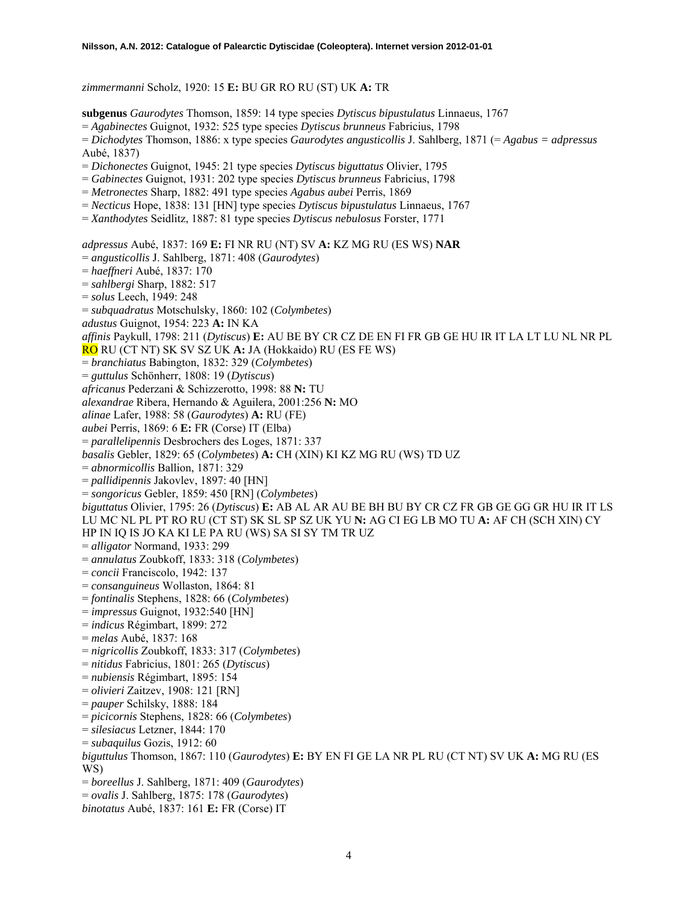*zimmermanni* Scholz, 1920: 15 **E:** BU GR RO RU (ST) UK **A:** TR

**subgenus** *Gaurodytes* Thomson, 1859: 14 type species *Dytiscus bipustulatus* Linnaeus, 1767

= *Agabinectes* Guignot, 1932: 525 type species *Dytiscus brunneus* Fabricius, 1798

= *Dichodytes* Thomson, 1886: x type species *Gaurodytes angusticollis* J. Sahlberg, 1871 (= *Agabus = adpressus* Aubé, 1837)

- = *Dichonectes* Guignot, 1945: 21 type species *Dytiscus biguttatus* Olivier, 1795
- = *Gabinectes* Guignot, 1931: 202 type species *Dytiscus brunneus* Fabricius, 1798
- = *Metronectes* Sharp, 1882: 491 type species *Agabus aubei* Perris, 1869
- = *Necticus* Hope, 1838: 131 [HN] type species *Dytiscus bipustulatus* Linnaeus, 1767
- = *Xanthodytes* Seidlitz, 1887: 81 type species *Dytiscus nebulosus* Forster, 1771

*adpressus* Aubé, 1837: 169 **E:** FI NR RU (NT) SV **A:** KZ MG RU (ES WS) **NAR** 

- = *angusticollis* J. Sahlberg, 1871: 408 (*Gaurodytes*)
- = *haeffneri* Aubé, 1837: 170
- = *sahlbergi* Sharp, 1882: 517
- = *solus* Leech, 1949: 248
- = *subquadratus* Motschulsky, 1860: 102 (*Colymbetes*)
- *adustus* Guignot, 1954: 223 **A:** IN KA

*affinis* Paykull, 1798: 211 (*Dytiscus*) **E:** AU BE BY CR CZ DE EN FI FR GB GE HU IR IT LA LT LU NL NR PL

RO RU (CT NT) SK SV SZ UK **A:** JA (Hokkaido) RU (ES FE WS)

- = *branchiatus* Babington, 1832: 329 (*Colymbetes*)
- = *guttulus* Schönherr, 1808: 19 (*Dytiscus*)
- *africanus* Pederzani & Schizzerotto, 1998: 88 **N:** TU
- *alexandrae* Ribera, Hernando & Aguilera, 2001:256 **N:** MO
- *alinae* Lafer, 1988: 58 (*Gaurodytes*) **A:** RU (FE)
- *aubei* Perris, 1869: 6 **E:** FR (Corse) IT (Elba)
- = *parallelipennis* Desbrochers des Loges, 1871: 337
- *basalis* Gebler, 1829: 65 (*Colymbetes*) **A:** CH (XIN) KI KZ MG RU (WS) TD UZ

= *abnormicollis* Ballion, 1871: 329

- = *pallidipennis* Jakovlev, 1897: 40 [HN]
- = *songoricus* Gebler, 1859: 450 [RN] (*Colymbetes*)

*biguttatus* Olivier, 1795: 26 (*Dytiscus*) **E:** AB AL AR AU BE BH BU BY CR CZ FR GB GE GG GR HU IR IT LS LU MC NL PL PT RO RU (CT ST) SK SL SP SZ UK YU **N:** AG CI EG LB MO TU **A:** AF CH (SCH XIN) CY HP IN IQ IS JO KA KI LE PA RU (WS) SA SI SY TM TR UZ

- = *alligator* Normand, 1933: 299
- = *annulatus* Zoubkoff, 1833: 318 (*Colymbetes*)
- = *concii* Franciscolo, 1942: 137
- = *consanguineus* Wollaston, 1864: 81
- = *fontinalis* Stephens, 1828: 66 (*Colymbetes*)
- = *impressus* Guignot, 1932:540 [HN]
- = *indicus* Régimbart, 1899: 272
- = *melas* Aubé, 1837: 168
- = *nigricollis* Zoubkoff, 1833: 317 (*Colymbetes*)
- = *nitidus* Fabricius, 1801: 265 (*Dytiscus*)
- = *nubiensis* Régimbart, 1895: 154
- = *olivieri* Zaitzev, 1908: 121 [RN]
- = *pauper* Schilsky, 1888: 184
- = *picicornis* Stephens, 1828: 66 (*Colymbetes*)
- = *silesiacus* Letzner, 1844: 170
- = *subaquilus* Gozis, 1912: 60
- *biguttulus* Thomson, 1867: 110 (*Gaurodytes*) **E:** BY EN FI GE LA NR PL RU (CT NT) SV UK **A:** MG RU (ES WS)
- = *boreellus* J. Sahlberg, 1871: 409 (*Gaurodytes*)
- = *ovalis* J. Sahlberg, 1875: 178 (*Gaurodytes*)
- *binotatus* Aubé, 1837: 161 **E:** FR (Corse) IT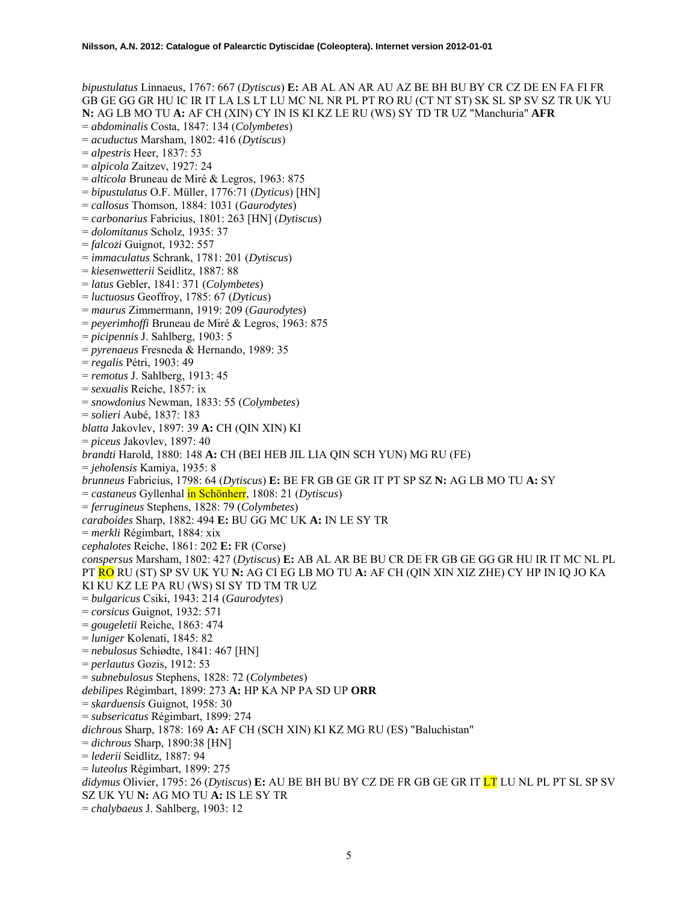*bipustulatus* Linnaeus, 1767: 667 (*Dytiscus*) **E:** AB AL AN AR AU AZ BE BH BU BY CR CZ DE EN FA FI FR GB GE GG GR HU IC IR IT LA LS LT LU MC NL NR PL PT RO RU (CT NT ST) SK SL SP SV SZ TR UK YU **N:** AG LB MO TU **A:** AF CH (XIN) CY IN IS KI KZ LE RU (WS) SY TD TR UZ "Manchuria" **AFR**  = *abdominalis* Costa, 1847: 134 (*Colymbetes*) = *acuductus* Marsham, 1802: 416 (*Dytiscus*) = *alpestris* Heer, 1837: 53 = *alpicola* Zaitzev, 1927: 24 = *alticola* Bruneau de Miré & Legros, 1963: 875 = *bipustulatus* O.F. Müller, 1776:71 (*Dyticus*) [HN] = *callosus* Thomson, 1884: 1031 (*Gaurodytes*) = *carbonarius* Fabricius, 1801: 263 [HN] (*Dytiscus*) = *dolomitanus* Scholz, 1935: 37 = *falcozi* Guignot, 1932: 557 = *immaculatus* Schrank, 1781: 201 (*Dytiscus*) = *kiesenwetterii* Seidlitz, 1887: 88 = *latus* Gebler, 1841: 371 (*Colymbetes*) = *luctuosus* Geoffroy, 1785: 67 (*Dyticus*) = *maurus* Zimmermann, 1919: 209 (*Gaurodytes*) = *peyerimhoffi* Bruneau de Miré & Legros, 1963: 875 = *picipennis* J. Sahlberg, 1903: 5 = *pyrenaeus* Fresneda & Hernando, 1989: 35 = *regalis* Pétri, 1903: 49 = *remotus* J. Sahlberg, 1913: 45 = *sexualis* Reiche, 1857: ix = *snowdonius* Newman, 1833: 55 (*Colymbetes*) = *solieri* Aubé, 1837: 183 *blatta* Jakovlev, 1897: 39 **A:** CH (QIN XIN) KI = *piceus* Jakovlev, 1897: 40 *brandti* Harold, 1880: 148 **A:** CH (BEI HEB JIL LIA QIN SCH YUN) MG RU (FE) = *jeholensis* Kamiya, 1935: 8 *brunneus* Fabricius, 1798: 64 (*Dytiscus*) **E:** BE FR GB GE GR IT PT SP SZ **N:** AG LB MO TU **A:** SY = *castaneus* Gyllenhal in Schönherr, 1808: 21 (*Dytiscus*) = *ferrugineus* Stephens, 1828: 79 (*Colymbetes*) *caraboides* Sharp, 1882: 494 **E:** BU GG MC UK **A:** IN LE SY TR = *merkli* Régimbart, 1884: xix *cephalotes* Reiche, 1861: 202 **E:** FR (Corse) *conspersus* Marsham, 1802: 427 (*Dytiscus*) **E:** AB AL AR BE BU CR DE FR GB GE GG GR HU IR IT MC NL PL PT RO RU (ST) SP SV UK YU **N:** AG CI EG LB MO TU **A:** AF CH (QIN XIN XIZ ZHE) CY HP IN IQ JO KA KI KU KZ LE PA RU (WS) SI SY TD TM TR UZ = *bulgaricus* Csiki, 1943: 214 (*Gaurodytes*) = *corsicus* Guignot, 1932: 571 = *gougeletii* Reiche, 1863: 474 = *luniger* Kolenati, 1845: 82 = *nebulosus* Schiødte, 1841: 467 [HN] = *perlautus* Gozis, 1912: 53 = *subnebulosus* Stephens, 1828: 72 (*Colymbetes*) *debilipes* Régimbart, 1899: 273 **A:** HP KA NP PA SD UP **ORR**  = *skarduensis* Guignot, 1958: 30 = *subsericatus* Régimbart, 1899: 274 *dichrous* Sharp, 1878: 169 **A:** AF CH (SCH XIN) KI KZ MG RU (ES) "Baluchistan" = *dichrous* Sharp, 1890:38 [HN] = *lederii* Seidlitz, 1887: 94 = *luteolus* Régimbart, 1899: 275 *didymus* Olivier, 1795: 26 (*Dytiscus*) **E:** AU BE BH BU BY CZ DE FR GB GE GR IT LT LU NL PL PT SL SP SV SZ UK YU **N:** AG MO TU **A:** IS LE SY TR = *chalybaeus* J. Sahlberg, 1903: 12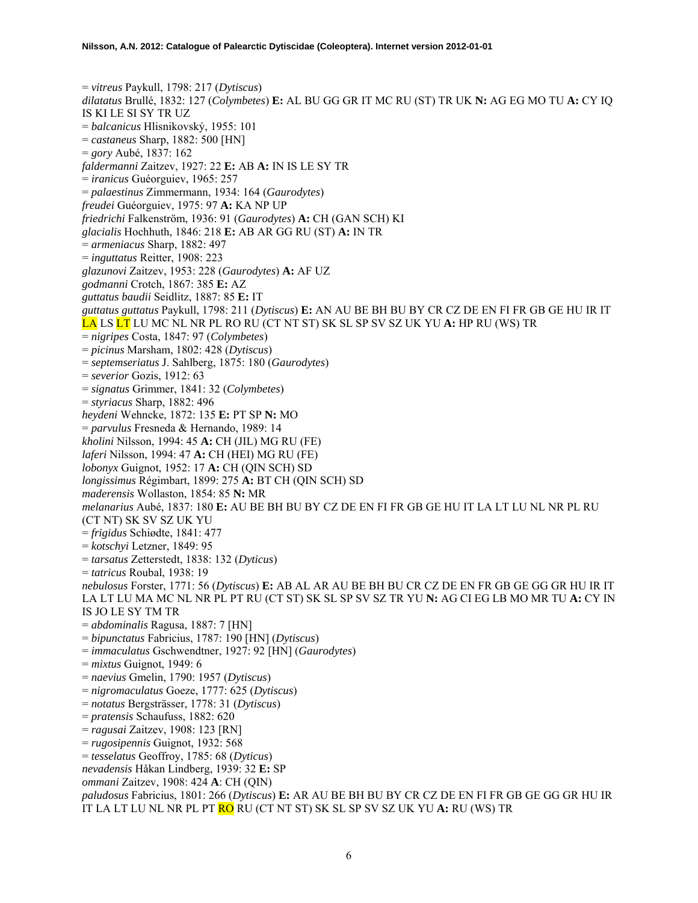= *vitreus* Paykull, 1798: 217 (*Dytiscus*) *dilatatus* Brullé, 1832: 127 (*Colymbetes*) **E:** AL BU GG GR IT MC RU (ST) TR UK **N:** AG EG MO TU **A:** CY IQ IS KI LE SI SY TR UZ = *balcanicus* Hlisnikovský, 1955: 101 = *castaneus* Sharp, 1882: 500 [HN] = *gory* Aubé, 1837: 162 *faldermanni* Zaitzev, 1927: 22 **E:** AB **A:** IN IS LE SY TR = *iranicus* Guéorguiev, 1965: 257 = *palaestinus* Zimmermann, 1934: 164 (*Gaurodytes*) *freudei* Guéorguiev, 1975: 97 **A:** KA NP UP *friedrichi* Falkenström, 1936: 91 (*Gaurodytes*) **A:** CH (GAN SCH) KI *glacialis* Hochhuth, 1846: 218 **E:** AB AR GG RU (ST) **A:** IN TR = *armeniacus* Sharp, 1882: 497 = *inguttatus* Reitter, 1908: 223 *glazunovi* Zaitzev, 1953: 228 (*Gaurodytes*) **A:** AF UZ *godmanni* Crotch, 1867: 385 **E:** AZ *guttatus baudii* Seidlitz, 1887: 85 **E:** IT *guttatus guttatus* Paykull, 1798: 211 (*Dytiscus*) **E:** AN AU BE BH BU BY CR CZ DE EN FI FR GB GE HU IR IT LA LS LT LU MC NL NR PL RO RU (CT NT ST) SK SL SP SV SZ UK YU **A:** HP RU (WS) TR = *nigripes* Costa, 1847: 97 (*Colymbetes*) = *picinus* Marsham, 1802: 428 (*Dytiscus*) = *septemseriatus* J. Sahlberg, 1875: 180 (*Gaurodytes*) = *severior* Gozis, 1912: 63 = *signatus* Grimmer, 1841: 32 (*Colymbetes*) = *styriacus* Sharp, 1882: 496 *heydeni* Wehncke, 1872: 135 **E:** PT SP **N:** MO = *parvulus* Fresneda & Hernando, 1989: 14 *kholini* Nilsson, 1994: 45 **A:** CH (JIL) MG RU (FE) *laferi* Nilsson, 1994: 47 **A:** CH (HEI) MG RU (FE) *lobonyx* Guignot, 1952: 17 **A:** CH (QIN SCH) SD *longissimus* Régimbart, 1899: 275 **A:** BT CH (QIN SCH) SD *maderensis* Wollaston, 1854: 85 **N:** MR *melanarius* Aubé, 1837: 180 **E:** AU BE BH BU BY CZ DE EN FI FR GB GE HU IT LA LT LU NL NR PL RU (CT NT) SK SV SZ UK YU = *frigidus* Schiødte, 1841: 477 = *kotschyi* Letzner, 1849: 95 = *tarsatus* Zetterstedt, 1838: 132 (*Dyticus*) = *tatricus* Roubal, 1938: 19 *nebulosus* Forster, 1771: 56 (*Dytiscus*) **E:** AB AL AR AU BE BH BU CR CZ DE EN FR GB GE GG GR HU IR IT LA LT LU MA MC NL NR PL PT RU (CT ST) SK SL SP SV SZ TR YU **N:** AG CI EG LB MO MR TU **A:** CY IN IS JO LE SY TM TR = *abdominalis* Ragusa, 1887: 7 [HN] = *bipunctatus* Fabricius, 1787: 190 [HN] (*Dytiscus*) = *immaculatus* Gschwendtner, 1927: 92 [HN] (*Gaurodytes*) = *mixtus* Guignot, 1949: 6 = *naevius* Gmelin, 1790: 1957 (*Dytiscus*) = *nigromaculatus* Goeze, 1777: 625 (*Dytiscus*) = *notatus* Bergsträsser, 1778: 31 (*Dytiscus*) = *pratensis* Schaufuss, 1882: 620 = *ragusai* Zaitzev, 1908: 123 [RN] = *rugosipennis* Guignot, 1932: 568 = *tesselatus* Geoffroy, 1785: 68 (*Dyticus*) *nevadensis* Håkan Lindberg, 1939: 32 **E:** SP *ommani* Zaitzev, 1908: 424 **A**: CH (QIN) *paludosus* Fabricius, 1801: 266 (*Dytiscus*) **E:** AR AU BE BH BU BY CR CZ DE EN FI FR GB GE GG GR HU IR IT LA LT LU NL NR PL PT RO RU (CT NT ST) SK SL SP SV SZ UK YU **A:** RU (WS) TR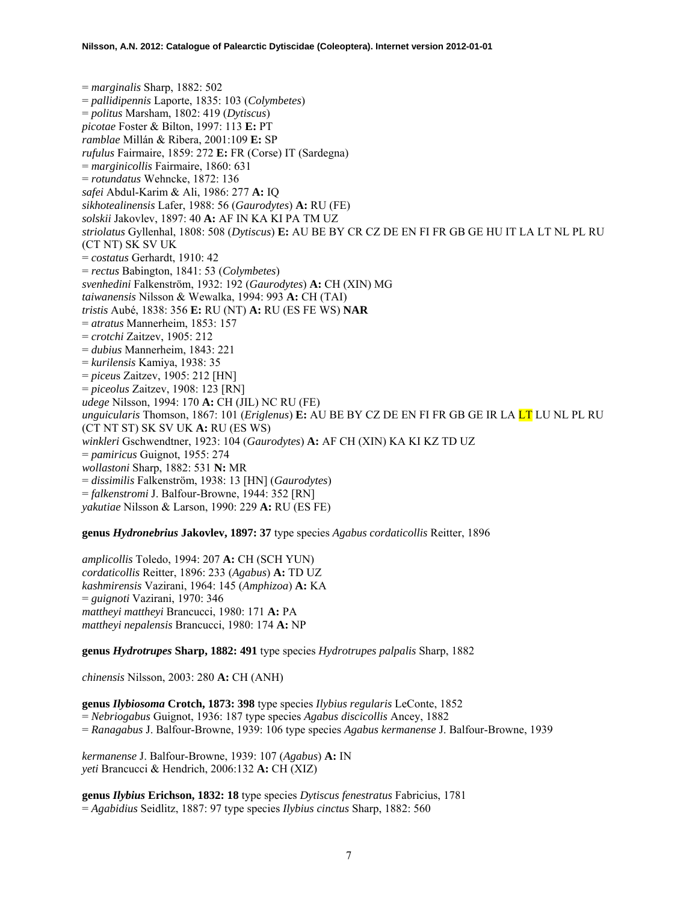= *marginalis* Sharp, 1882: 502 = *pallidipennis* Laporte, 1835: 103 (*Colymbetes*) = *politus* Marsham, 1802: 419 (*Dytiscus*) *picotae* Foster & Bilton, 1997: 113 **E:** PT *ramblae* Millán & Ribera, 2001:109 **E:** SP *rufulus* Fairmaire, 1859: 272 **E:** FR (Corse) IT (Sardegna) = *marginicollis* Fairmaire, 1860: 631 = *rotundatus* Wehncke, 1872: 136 *safei* Abdul-Karim & Ali, 1986: 277 **A:** IQ *sikhotealinensis* Lafer, 1988: 56 (*Gaurodytes*) **A:** RU (FE) *solskii* Jakovlev, 1897: 40 **A:** AF IN KA KI PA TM UZ *striolatus* Gyllenhal, 1808: 508 (*Dytiscus*) **E:** AU BE BY CR CZ DE EN FI FR GB GE HU IT LA LT NL PL RU (CT NT) SK SV UK = *costatus* Gerhardt, 1910: 42 = *rectus* Babington, 1841: 53 (*Colymbetes*) *svenhedini* Falkenström, 1932: 192 (*Gaurodytes*) **A:** CH (XIN) MG *taiwanensis* Nilsson & Wewalka, 1994: 993 **A:** CH (TAI) *tristis* Aubé, 1838: 356 **E:** RU (NT) **A:** RU (ES FE WS) **NAR**  = *atratus* Mannerheim, 1853: 157 = *crotchi* Zaitzev, 1905: 212 = *dubius* Mannerheim, 1843: 221 = *kurilensis* Kamiya, 1938: 35 = *piceu*s Zaitzev, 1905: 212 [HN] = *piceolus* Zaitzev, 1908: 123 [RN] *udege* Nilsson, 1994: 170 **A:** CH (JIL) NC RU (FE) *unguicularis* Thomson, 1867: 101 (*Eriglenus*) **E:** AU BE BY CZ DE EN FI FR GB GE IR LA LT LU NL PL RU (CT NT ST) SK SV UK **A:** RU (ES WS) *winkleri* Gschwendtner, 1923: 104 (*Gaurodytes*) **A:** AF CH (XIN) KA KI KZ TD UZ = *pamiricus* Guignot, 1955: 274 *wollastoni* Sharp, 1882: 531 **N:** MR = *dissimilis* Falkenström, 1938: 13 [HN] (*Gaurodytes*) = *falkenstromi* J. Balfour-Browne, 1944: 352 [RN] *yakutiae* Nilsson & Larson, 1990: 229 **A:** RU (ES FE)

**genus** *Hydronebrius* **Jakovlev, 1897: 37** type species *Agabus cordaticollis* Reitter, 1896

*amplicollis* Toledo, 1994: 207 **A:** CH (SCH YUN) *cordaticollis* Reitter, 1896: 233 (*Agabus*) **A:** TD UZ *kashmirensis* Vazirani, 1964: 145 (*Amphizoa*) **A:** KA = *guignoti* Vazirani, 1970: 346 *mattheyi mattheyi* Brancucci, 1980: 171 **A:** PA *mattheyi nepalensis* Brancucci, 1980: 174 **A:** NP

**genus** *Hydrotrupes* **Sharp, 1882: 491** type species *Hydrotrupes palpalis* Sharp, 1882

*chinensis* Nilsson, 2003: 280 **A:** CH (ANH)

**genus** *Ilybiosoma* **Crotch, 1873: 398** type species *Ilybius regularis* LeConte, 1852 = *Nebriogabus* Guignot, 1936: 187 type species *Agabus discicollis* Ancey, 1882 = *Ranagabus* J. Balfour-Browne, 1939: 106 type species *Agabus kermanense* J. Balfour-Browne, 1939

*kermanense* J. Balfour-Browne, 1939: 107 (*Agabus*) **A:** IN *yeti* Brancucci & Hendrich, 2006:132 **A:** CH (XIZ)

**genus** *Ilybius* **Erichson, 1832: 18** type species *Dytiscus fenestratus* Fabricius, 1781 = *Agabidius* Seidlitz, 1887: 97 type species *Ilybius cinctus* Sharp, 1882: 560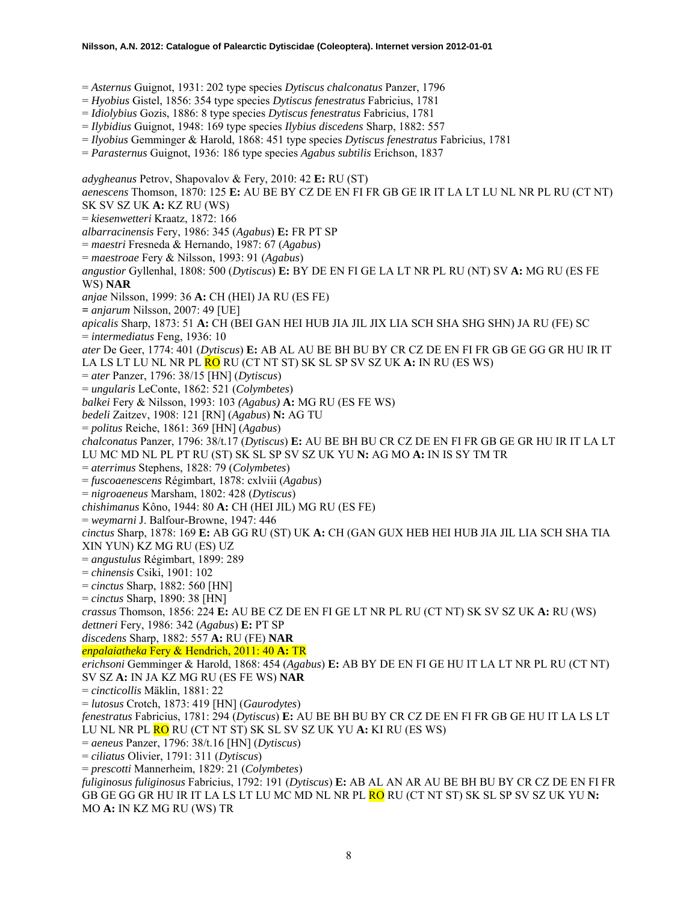- = *Asternus* Guignot, 1931: 202 type species *Dytiscus chalconatus* Panzer, 1796
- = *Hyobius* Gistel, 1856: 354 type species *Dytiscus fenestratus* Fabricius, 1781
- = *Idiolybius* Gozis, 1886: 8 type species *Dytiscus fenestratus* Fabricius, 1781
- = *Ilybidius* Guignot, 1948: 169 type species *Ilybius discedens* Sharp, 1882: 557
- = *Ilyobius* Gemminger & Harold, 1868: 451 type species *Dytiscus fenestratus* Fabricius, 1781
- = *Parasternus* Guignot, 1936: 186 type species *Agabus subtilis* Erichson, 1837

*adygheanus* Petrov, Shapovalov & Fery, 2010: 42 **E:** RU (ST) *aenescens* Thomson, 1870: 125 **E:** AU BE BY CZ DE EN FI FR GB GE IR IT LA LT LU NL NR PL RU (CT NT) SK SV SZ UK **A:** KZ RU (WS) = *kiesenwetteri* Kraatz, 1872: 166 *albarracinensis* Fery, 1986: 345 (*Agabus*) **E:** FR PT SP = *maestri* Fresneda & Hernando, 1987: 67 (*Agabus*) = *maestroae* Fery & Nilsson, 1993: 91 (*Agabus*) *angustior* Gyllenhal, 1808: 500 (*Dytiscus*) **E:** BY DE EN FI GE LA LT NR PL RU (NT) SV **A:** MG RU (ES FE WS) **NAR**  *anjae* Nilsson, 1999: 36 **A:** CH (HEI) JA RU (ES FE) **=** *anjarum* Nilsson, 2007: 49 [UE] *apicalis* Sharp, 1873: 51 **A:** CH (BEI GAN HEI HUB JIA JIL JIX LIA SCH SHA SHG SHN) JA RU (FE) SC = *intermediatus* Feng, 1936: 10 *ater* De Geer, 1774: 401 (*Dytiscus*) **E:** AB AL AU BE BH BU BY CR CZ DE EN FI FR GB GE GG GR HU IR IT LA LS LT LU NL NR PL RO RU (CT NT ST) SK SL SP SV SZ UK **A:** IN RU (ES WS) = *ater* Panzer, 1796: 38/15 [HN] (*Dytiscus*) = *ungularis* LeConte, 1862: 521 (*Colymbetes*) *balkei* Fery & Nilsson, 1993: 103 *(Agabus)* **A:** MG RU (ES FE WS) *bedeli* Zaitzev, 1908: 121 [RN] (*Agabus*) **N:** AG TU = *politus* Reiche, 1861: 369 [HN] (*Agabus*) *chalconatus* Panzer, 1796: 38/t.17 (*Dytiscus*) **E:** AU BE BH BU CR CZ DE EN FI FR GB GE GR HU IR IT LA LT LU MC MD NL PL PT RU (ST) SK SL SP SV SZ UK YU **N:** AG MO **A:** IN IS SY TM TR = *aterrimus* Stephens, 1828: 79 (*Colymbetes*) = *fuscoaenescens* Régimbart, 1878: cxlviii (*Agabus*) = *nigroaeneus* Marsham, 1802: 428 (*Dytiscus*) *chishimanus* Kôno, 1944: 80 **A:** CH (HEI JIL) MG RU (ES FE) = *weymarni* J. Balfour-Browne, 1947: 446 *cinctus* Sharp, 1878: 169 **E:** AB GG RU (ST) UK **A:** CH (GAN GUX HEB HEI HUB JIA JIL LIA SCH SHA TIA XIN YUN) KZ MG RU (ES) UZ = *angustulus* Régimbart, 1899: 289 = *chinensis* Csiki, 1901: 102 = *cinctus* Sharp, 1882: 560 [HN] = *cinctus* Sharp, 1890: 38 [HN] *crassus* Thomson, 1856: 224 **E:** AU BE CZ DE EN FI GE LT NR PL RU (CT NT) SK SV SZ UK **A:** RU (WS) *dettneri* Fery, 1986: 342 (*Agabus*) **E:** PT SP *discedens* Sharp, 1882: 557 **A:** RU (FE) **NAR**  *enpalaiatheka* Fery & Hendrich, 2011: 40 **A:** TR *erichsoni* Gemminger & Harold, 1868: 454 (*Agabus*) **E:** AB BY DE EN FI GE HU IT LA LT NR PL RU (CT NT) SV SZ **A:** IN JA KZ MG RU (ES FE WS) **NAR**  = *cincticollis* Mäklin, 1881: 22 = *lutosus* Crotch, 1873: 419 [HN] (*Gaurodytes*) *fenestratus* Fabricius, 1781: 294 (*Dytiscus*) **E:** AU BE BH BU BY CR CZ DE EN FI FR GB GE HU IT LA LS LT LU NL NR PL RO RU (CT NT ST) SK SL SV SZ UK YU **A:** KI RU (ES WS) = *aeneus* Panzer, 1796: 38/t.16 [HN] (*Dytiscus*) = *ciliatus* Olivier, 1791: 311 (*Dytiscus*) = *prescotti* Mannerheim, 1829: 21 (*Colymbetes*) *fuliginosus fuliginosus* Fabricius, 1792: 191 (*Dytiscus*) **E:** AB AL AN AR AU BE BH BU BY CR CZ DE EN FI FR GB GE GG GR HU IR IT LA LS LT LU MC MD NL NR PL RO RU (CT NT ST) SK SL SP SV SZ UK YU **N:**  MO **A:** IN KZ MG RU (WS) TR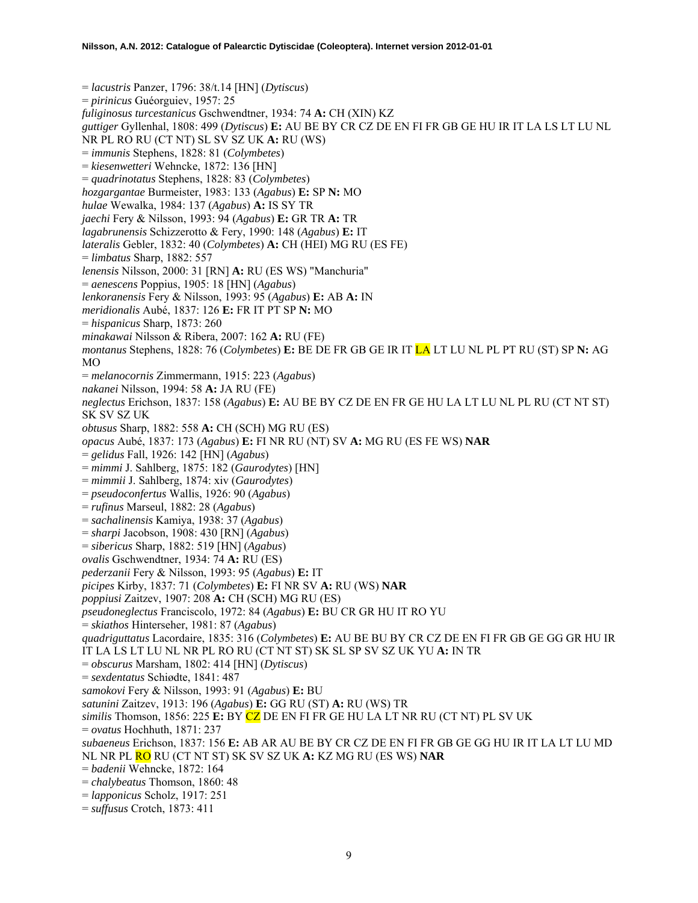= *lacustris* Panzer, 1796: 38/t.14 [HN] (*Dytiscus*) = *pirinicus* Guéorguiev, 1957: 25 *fuliginosus turcestanicus* Gschwendtner, 1934: 74 **A:** CH (XIN) KZ *guttiger* Gyllenhal, 1808: 499 (*Dytiscus*) **E:** AU BE BY CR CZ DE EN FI FR GB GE HU IR IT LA LS LT LU NL NR PL RO RU (CT NT) SL SV SZ UK **A:** RU (WS) = *immunis* Stephens, 1828: 81 (*Colymbetes*) = *kiesenwetteri* Wehncke, 1872: 136 [HN] = *quadrinotatus* Stephens, 1828: 83 (*Colymbetes*) *hozgargantae* Burmeister, 1983: 133 (*Agabus*) **E:** SP **N:** MO *hulae* Wewalka, 1984: 137 (*Agabus*) **A:** IS SY TR *jaechi* Fery & Nilsson, 1993: 94 (*Agabus*) **E:** GR TR **A:** TR *lagabrunensis* Schizzerotto & Fery, 1990: 148 (*Agabus*) **E:** IT *lateralis* Gebler, 1832: 40 (*Colymbetes*) **A:** CH (HEI) MG RU (ES FE) = *limbatus* Sharp, 1882: 557 *lenensis* Nilsson, 2000: 31 [RN] **A:** RU (ES WS) "Manchuria" = *aenescens* Poppius, 1905: 18 [HN] (*Agabus*) *lenkoranensis* Fery & Nilsson, 1993: 95 (*Agabus*) **E:** AB **A:** IN *meridionalis* Aubé, 1837: 126 **E:** FR IT PT SP **N:** MO = *hispanicus* Sharp, 1873: 260 *minakawai* Nilsson & Ribera, 2007: 162 **A:** RU (FE) *montanus* Stephens, 1828: 76 (*Colymbetes*) **E:** BE DE FR GB GE IR IT LA LT LU NL PL PT RU (ST) SP **N:** AG MO = *melanocornis* Zimmermann, 1915: 223 (*Agabus*) *nakanei* Nilsson, 1994: 58 **A:** JA RU (FE) *neglectus* Erichson, 1837: 158 (*Agabus*) **E:** AU BE BY CZ DE EN FR GE HU LA LT LU NL PL RU (CT NT ST) SK SV SZ UK *obtusus* Sharp, 1882: 558 **A:** CH (SCH) MG RU (ES) *opacus* Aubé, 1837: 173 (*Agabus*) **E:** FI NR RU (NT) SV **A:** MG RU (ES FE WS) **NAR** = *gelidus* Fall, 1926: 142 [HN] (*Agabus*) = *mimmi* J. Sahlberg, 1875: 182 (*Gaurodytes*) [HN] = *mimmii* J. Sahlberg, 1874: xiv (*Gaurodytes*) = *pseudoconfertus* Wallis, 1926: 90 (*Agabus*) = *rufinus* Marseul, 1882: 28 (*Agabus*) = *sachalinensis* Kamiya, 1938: 37 (*Agabus*) = *sharpi* Jacobson, 1908: 430 [RN] (*Agabus*) = *sibericus* Sharp, 1882: 519 [HN] (*Agabus*) *ovalis* Gschwendtner, 1934: 74 **A:** RU (ES) *pederzanii* Fery & Nilsson, 1993: 95 (*Agabus*) **E:** IT *picipes* Kirby, 1837: 71 (*Colymbetes*) **E:** FI NR SV **A:** RU (WS) **NAR**  *poppiusi* Zaitzev, 1907: 208 **A:** CH (SCH) MG RU (ES) *pseudoneglectus* Franciscolo, 1972: 84 (*Agabus*) **E:** BU CR GR HU IT RO YU = *skiathos* Hinterseher, 1981: 87 (*Agabus*) *quadriguttatus* Lacordaire, 1835: 316 (*Colymbetes*) **E:** AU BE BU BY CR CZ DE EN FI FR GB GE GG GR HU IR IT LA LS LT LU NL NR PL RO RU (CT NT ST) SK SL SP SV SZ UK YU **A:** IN TR = *obscurus* Marsham, 1802: 414 [HN] (*Dytiscus*) = *sexdentatus* Schiødte, 1841: 487 *samokovi* Fery & Nilsson, 1993: 91 (*Agabus*) **E:** BU *satunini* Zaitzev, 1913: 196 (*Agabus*) **E:** GG RU (ST) **A:** RU (WS) TR *similis* Thomson, 1856: 225 **E:** BY CZ DE EN FI FR GE HU LA LT NR RU (CT NT) PL SV UK = *ovatus* Hochhuth, 1871: 237 *subaeneus* Erichson, 1837: 156 **E:** AB AR AU BE BY CR CZ DE EN FI FR GB GE GG HU IR IT LA LT LU MD NL NR PL RO RU (CT NT ST) SK SV SZ UK **A:** KZ MG RU (ES WS) **NAR**  = *badenii* Wehncke, 1872: 164 = *chalybeatus* Thomson, 1860: 48 = *lapponicus* Scholz, 1917: 251

= *suffusus* Crotch, 1873: 411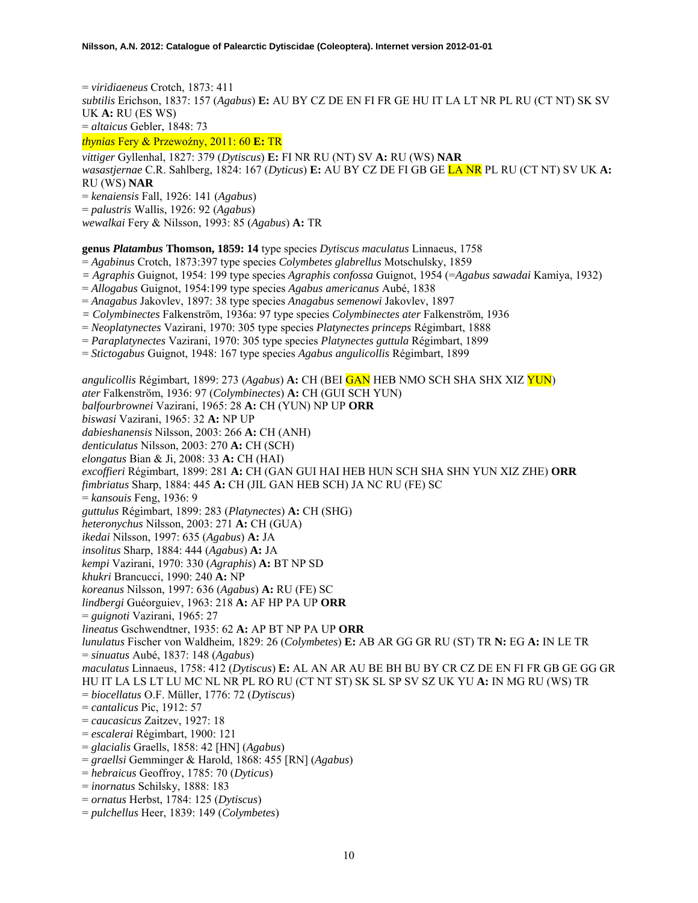= *viridiaeneus* Crotch, 1873: 411 *subtilis* Erichson, 1837: 157 (*Agabus*) **E:** AU BY CZ DE EN FI FR GE HU IT LA LT NR PL RU (CT NT) SK SV UK **A:** RU (ES WS) = *altaicus* Gebler, 1848: 73

*thynias* Fery & Przewoźny, 2011: 60 **E:** TR

*vittiger* Gyllenhal, 1827: 379 (*Dytiscus*) **E:** FI NR RU (NT) SV **A:** RU (WS) **NAR**  *wasastjernae* C.R. Sahlberg, 1824: 167 (*Dyticus*) **E:** AU BY CZ DE FI GB GE LA NR PL RU (CT NT) SV UK **A:**  RU (WS) **NAR**  = *kenaiensis* Fall, 1926: 141 (*Agabus*) = *palustris* Wallis, 1926: 92 (*Agabus*) *wewalkai* Fery & Nilsson, 1993: 85 (*Agabus*) **A:** TR

**genus** *Platambus* **Thomson, 1859: 14** type species *Dytiscus maculatus* Linnaeus, 1758

= *Agabinus* Crotch, 1873:397 type species *Colymbetes glabrellus* Motschulsky, 1859

- *= Agraphis* Guignot, 1954: 199 type species *Agraphis confossa* Guignot, 1954 (=*Agabus sawadai* Kamiya, 1932)
- = *Allogabus* Guignot, 1954:199 type species *Agabus americanus* Aubé, 1838
- = *Anagabus* Jakovlev, 1897: 38 type species *Anagabus semenowi* Jakovlev, 1897
- *= Colymbinectes* Falkenström, 1936a: 97 type species *Colymbinectes ater* Falkenström, 1936
- = *Neoplatynectes* Vazirani, 1970: 305 type species *Platynectes princeps* Régimbart, 1888
- = *Paraplatynectes* Vazirani, 1970: 305 type species *Platynectes guttula* Régimbart, 1899
- = *Stictogabus* Guignot, 1948: 167 type species *Agabus angulicollis* Régimbart, 1899

*angulicollis* Régimbart, 1899: 273 (*Agabus*) **A:** CH (BEI GAN HEB NMO SCH SHA SHX XIZ YUN) *ater* Falkenström, 1936: 97 (*Colymbinectes*) **A:** CH (GUI SCH YUN) *balfourbrownei* Vazirani, 1965: 28 **A:** CH (YUN) NP UP **ORR**  *biswasi* Vazirani, 1965: 32 **A:** NP UP *dabieshanensis* Nilsson, 2003: 266 **A:** CH (ANH) *denticulatus* Nilsson, 2003: 270 **A:** CH (SCH) *elongatus* Bian & Ji, 2008: 33 **A:** CH (HAI) *excoffieri* Régimbart, 1899: 281 **A:** CH (GAN GUI HAI HEB HUN SCH SHA SHN YUN XIZ ZHE) **ORR**  *fimbriatus* Sharp, 1884: 445 **A:** CH (JIL GAN HEB SCH) JA NC RU (FE) SC = *kansouis* Feng, 1936: 9 *guttulus* Régimbart, 1899: 283 (*Platynectes*) **A:** CH (SHG) *heteronychus* Nilsson, 2003: 271 **A:** CH (GUA) *ikedai* Nilsson, 1997: 635 (*Agabus*) **A:** JA *insolitus* Sharp, 1884: 444 (*Agabus*) **A:** JA *kempi* Vazirani, 1970: 330 (*Agraphis*) **A:** BT NP SD *khukri* Brancucci, 1990: 240 **A:** NP *koreanus* Nilsson, 1997: 636 (*Agabus*) **A:** RU (FE) SC *lindbergi* Guéorguiev, 1963: 218 **A:** AF HP PA UP **ORR**  = *guignoti* Vazirani, 1965: 27 *lineatus* Gschwendtner, 1935: 62 **A:** AP BT NP PA UP **ORR** *lunulatus* Fischer von Waldheim, 1829: 26 (*Colymbetes*) **E:** AB AR GG GR RU (ST) TR **N:** EG **A:** IN LE TR = *sinuatus* Aubé, 1837: 148 (*Agabus*) *maculatus* Linnaeus, 1758: 412 (*Dytiscus*) **E:** AL AN AR AU BE BH BU BY CR CZ DE EN FI FR GB GE GG GR HU IT LA LS LT LU MC NL NR PL RO RU (CT NT ST) SK SL SP SV SZ UK YU **A:** IN MG RU (WS) TR = *biocellatus* O.F. Müller, 1776: 72 (*Dytiscus*) = *cantalicus* Pic, 1912: 57 = *caucasicus* Zaitzev, 1927: 18 = *escalerai* Régimbart, 1900: 121 = *glacialis* Graells, 1858: 42 [HN] (*Agabus*) = *graellsi* Gemminger & Harold, 1868: 455 [RN] (*Agabus*) = *hebraicus* Geoffroy, 1785: 70 (*Dyticus*) = *inornatus* Schilsky, 1888: 183

- = *ornatus* Herbst, 1784: 125 (*Dytiscus*)
- = *pulchellus* Heer, 1839: 149 (*Colymbetes*)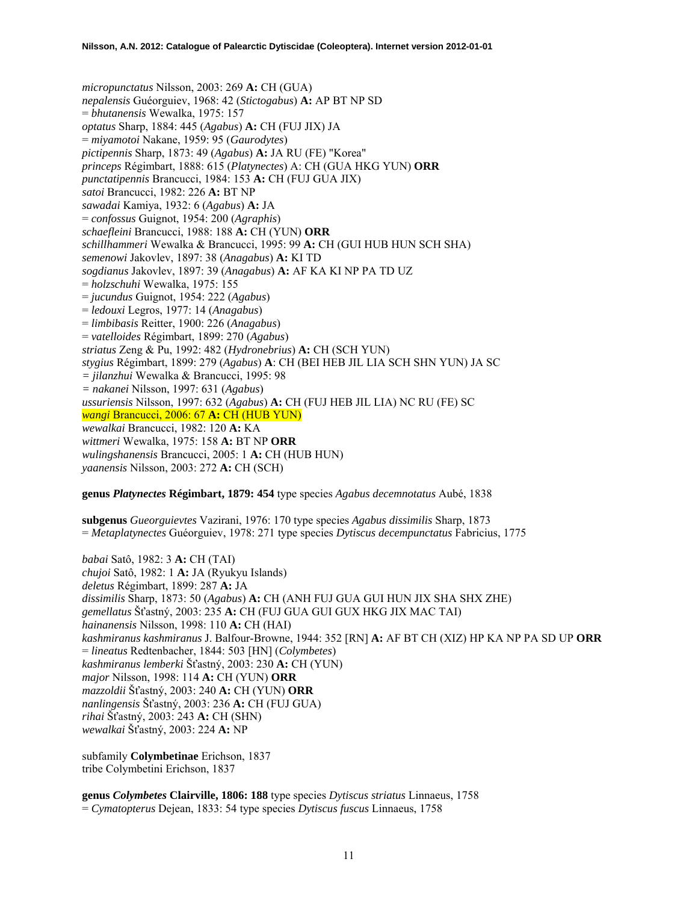*micropunctatus* Nilsson, 2003: 269 **A:** CH (GUA) *nepalensis* Guéorguiev, 1968: 42 (*Stictogabus*) **A:** AP BT NP SD = *bhutanensis* Wewalka, 1975: 157 *optatus* Sharp, 1884: 445 (*Agabus*) **A:** CH (FUJ JIX) JA = *miyamotoi* Nakane, 1959: 95 (*Gaurodytes*) *pictipennis* Sharp, 1873: 49 (*Agabus*) **A:** JA RU (FE) "Korea" *princeps* Régimbart, 1888: 615 (*Platynectes*) A: CH (GUA HKG YUN) **ORR**  *punctatipennis* Brancucci, 1984: 153 **A:** CH (FUJ GUA JIX) *satoi* Brancucci, 1982: 226 **A:** BT NP *sawadai* Kamiya, 1932: 6 (*Agabus*) **A:** JA = *confossus* Guignot, 1954: 200 (*Agraphis*) *schaefleini* Brancucci, 1988: 188 **A:** CH (YUN) **ORR**  *schillhammeri* Wewalka & Brancucci, 1995: 99 **A:** CH (GUI HUB HUN SCH SHA) *semenowi* Jakovlev, 1897: 38 (*Anagabus*) **A:** KI TD *sogdianus* Jakovlev, 1897: 39 (*Anagabus*) **A:** AF KA KI NP PA TD UZ = *holzschuhi* Wewalka, 1975: 155 = *jucundus* Guignot, 1954: 222 (*Agabus*) = *ledouxi* Legros, 1977: 14 (*Anagabus*) = *limbibasis* Reitter, 1900: 226 (*Anagabus*) = *vatelloides* Régimbart, 1899: 270 (*Agabus*) *striatus* Zeng & Pu, 1992: 482 (*Hydronebrius*) **A:** CH (SCH YUN) *stygius* Régimbart, 1899: 279 (*Agabus*) **A**: CH (BEI HEB JIL LIA SCH SHN YUN) JA SC *= jilanzhui* Wewalka & Brancucci, 1995: 98 *= nakanei* Nilsson, 1997: 631 (*Agabus*) *ussuriensis* Nilsson, 1997: 632 (*Agabus*) **A:** CH (FUJ HEB JIL LIA) NC RU (FE) SC *wangi* Brancucci, 2006: 67 **A:** CH (HUB YUN) *wewalkai* Brancucci, 1982: 120 **A:** KA *wittmeri* Wewalka, 1975: 158 **A:** BT NP **ORR**  *wulingshanensis* Brancucci, 2005: 1 **A:** CH (HUB HUN) *yaanensis* Nilsson, 2003: 272 **A:** CH (SCH)

## **genus** *Platynectes* **Régimbart, 1879: 454** type species *Agabus decemnotatus* Aubé, 1838

**subgenus** *Gueorguievtes* Vazirani, 1976: 170 type species *Agabus dissimilis* Sharp, 1873 = *Metaplatynectes* Guéorguiev, 1978: 271 type species *Dytiscus decempunctatus* Fabricius, 1775

*babai* Satô, 1982: 3 **A:** CH (TAI) *chujoi* Satô, 1982: 1 **A:** JA (Ryukyu Islands) *deletus* Régimbart, 1899: 287 **A:** JA *dissimilis* Sharp, 1873: 50 (*Agabus*) **A:** CH (ANH FUJ GUA GUI HUN JIX SHA SHX ZHE) *gemellatus* Šťastný, 2003: 235 **A:** CH (FUJ GUA GUI GUX HKG JIX MAC TAI) *hainanensis* Nilsson, 1998: 110 **A:** CH (HAI) *kashmiranus kashmiranus* J. Balfour-Browne, 1944: 352 [RN] **A:** AF BT CH (XIZ) HP KA NP PA SD UP **ORR** = *lineatus* Redtenbacher, 1844: 503 [HN] (*Colymbetes*) *kashmiranus lemberki* Šťastný, 2003: 230 **A:** CH (YUN) *major* Nilsson, 1998: 114 **A:** CH (YUN) **ORR**  *mazzoldii* Šťastný, 2003: 240 **A:** CH (YUN) **ORR** *nanlingensis* Šťastný, 2003: 236 **A:** CH (FUJ GUA) *rihai* Šťastný, 2003: 243 **A:** CH (SHN) *wewalkai* Šťastný, 2003: 224 **A:** NP

subfamily **Colymbetinae** Erichson, 1837 tribe Colymbetini Erichson, 1837

**genus** *Colymbetes* **Clairville, 1806: 188** type species *Dytiscus striatus* Linnaeus, 1758 = *Cymatopterus* Dejean, 1833: 54 type species *Dytiscus fuscus* Linnaeus, 1758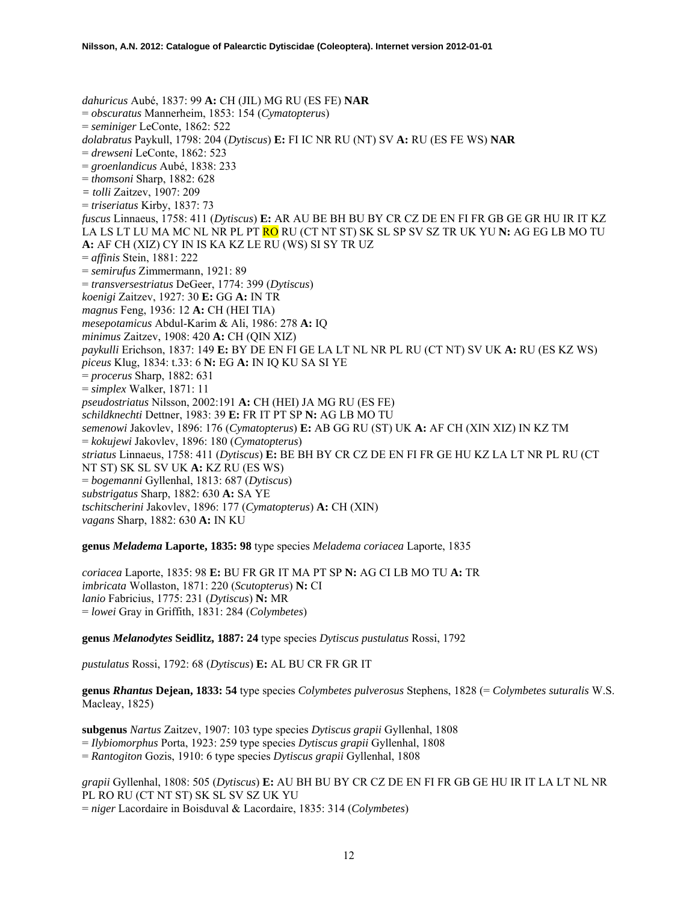*dahuricus* Aubé, 1837: 99 **A:** CH (JIL) MG RU (ES FE) **NAR** = *obscuratus* Mannerheim, 1853: 154 (*Cymatopteru*s) = *seminiger* LeConte, 1862: 522 *dolabratus* Paykull, 1798: 204 (*Dytiscus*) **E:** FI IC NR RU (NT) SV **A:** RU (ES FE WS) **NAR**  = *drewseni* LeConte, 1862: 523 = *groenlandicus* Aubé, 1838: 233 = *thomsoni* Sharp, 1882: 628 *= tolli* Zaitzev, 1907: 209 = *triseriatus* Kirby, 1837: 73 *fuscus* Linnaeus, 1758: 411 (*Dytiscus*) **E:** AR AU BE BH BU BY CR CZ DE EN FI FR GB GE GR HU IR IT KZ LA LS LT LU MA MC NL NR PL PT RO RU (CT NT ST) SK SL SP SV SZ TR UK YU **N:** AG EG LB MO TU **A:** AF CH (XIZ) CY IN IS KA KZ LE RU (WS) SI SY TR UZ = *affinis* Stein, 1881: 222 = *semirufus* Zimmermann, 1921: 89 = *transversestriatus* DeGeer, 1774: 399 (*Dytiscus*) *koenigi* Zaitzev, 1927: 30 **E:** GG **A:** IN TR *magnus* Feng, 1936: 12 **A:** CH (HEI TIA) *mesepotamicus* Abdul-Karim & Ali, 1986: 278 **A:** IQ *minimus* Zaitzev, 1908: 420 **A:** CH (QIN XIZ) *paykulli* Erichson, 1837: 149 **E:** BY DE EN FI GE LA LT NL NR PL RU (CT NT) SV UK **A:** RU (ES KZ WS) *piceus* Klug, 1834: t.33: 6 **N:** EG **A:** IN IQ KU SA SI YE = *procerus* Sharp, 1882: 631 = *simplex* Walker, 1871: 11 *pseudostriatus* Nilsson, 2002:191 **A:** CH (HEI) JA MG RU (ES FE) *schildknechti* Dettner, 1983: 39 **E:** FR IT PT SP **N:** AG LB MO TU *semenowi* Jakovlev, 1896: 176 (*Cymatopterus*) **E:** AB GG RU (ST) UK **A:** AF CH (XIN XIZ) IN KZ TM = *kokujewi* Jakovlev, 1896: 180 (*Cymatopterus*) *striatus* Linnaeus, 1758: 411 (*Dytiscus*) **E:** BE BH BY CR CZ DE EN FI FR GE HU KZ LA LT NR PL RU (CT NT ST) SK SL SV UK **A:** KZ RU (ES WS) = *bogemanni* Gyllenhal, 1813: 687 (*Dytiscus*) *substrigatus* Sharp, 1882: 630 **A:** SA YE *tschitscherini* Jakovlev, 1896: 177 (*Cymatopterus*) **A:** CH (XIN) *vagans* Sharp, 1882: 630 **A:** IN KU

**genus** *Meladema* **Laporte, 1835: 98** type species *Meladema coriacea* Laporte, 1835

*coriacea* Laporte, 1835: 98 **E:** BU FR GR IT MA PT SP **N:** AG CI LB MO TU **A:** TR *imbricata* Wollaston, 1871: 220 (*Scutopterus*) **N:** CI *lanio* Fabricius, 1775: 231 (*Dytiscus*) **N:** MR = *lowei* Gray in Griffith, 1831: 284 (*Colymbetes*)

**genus** *Melanodytes* **Seidlitz, 1887: 24** type species *Dytiscus pustulatus* Rossi, 1792

*pustulatus* Rossi, 1792: 68 (*Dytiscus*) **E:** AL BU CR FR GR IT

**genus** *Rhantus* **Dejean, 1833: 54** type species *Colymbetes pulverosus* Stephens, 1828 (= *Colymbetes suturalis* W.S. Macleay, 1825)

**subgenus** *Nartus* Zaitzev, 1907: 103 type species *Dytiscus grapii* Gyllenhal, 1808 = *Ilybiomorphus* Porta, 1923: 259 type species *Dytiscus grapii* Gyllenhal, 1808 = *Rantogiton* Gozis, 1910: 6 type species *Dytiscus grapii* Gyllenhal, 1808

*grapii* Gyllenhal, 1808: 505 (*Dytiscus*) **E:** AU BH BU BY CR CZ DE EN FI FR GB GE HU IR IT LA LT NL NR PL RO RU (CT NT ST) SK SL SV SZ UK YU = *niger* Lacordaire in Boisduval & Lacordaire, 1835: 314 (*Colymbetes*)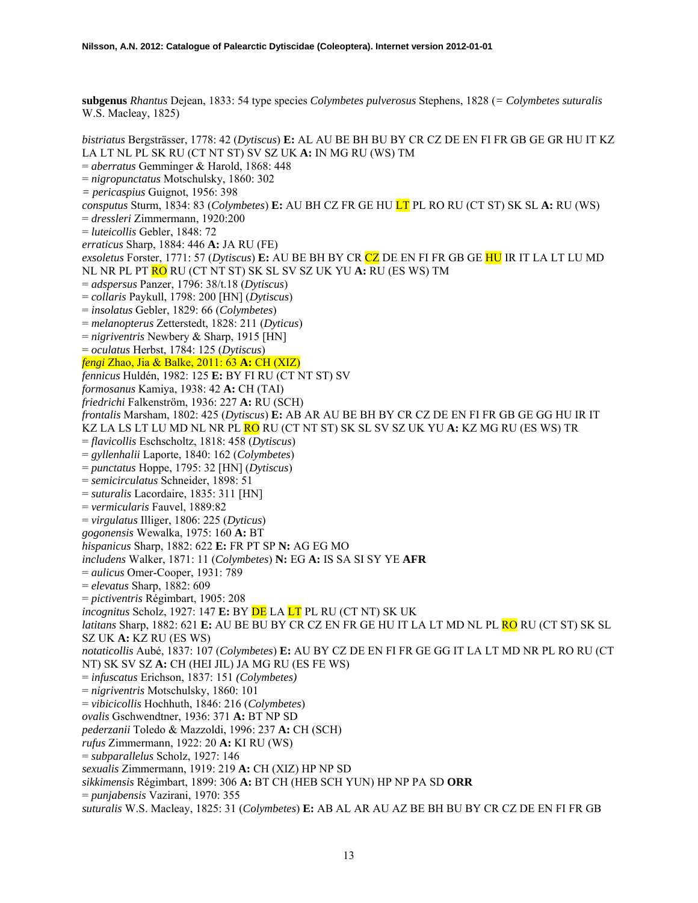**subgenus** *Rhantus* Dejean, 1833: 54 type species *Colymbetes pulverosus* Stephens, 1828 (*= Colymbetes suturalis* W.S. Macleay, 1825)

*bistriatus* Bergsträsser, 1778: 42 (*Dytiscus*) **E:** AL AU BE BH BU BY CR CZ DE EN FI FR GB GE GR HU IT KZ LA LT NL PL SK RU (CT NT ST) SV SZ UK **A:** IN MG RU (WS) TM = *aberratus* Gemminger & Harold, 1868: 448 = *nigropunctatus* Motschulsky, 1860: 302 *= pericaspius* Guignot, 1956: 398 *consputus* Sturm, 1834: 83 (*Colymbetes*) **E:** AU BH CZ FR GE HU LT PL RO RU (CT ST) SK SL **A:** RU (WS) = *dressleri* Zimmermann, 1920:200 = *luteicollis* Gebler, 1848: 72 *erraticus* Sharp, 1884: 446 **A:** JA RU (FE) *exsoletus* Forster, 1771: 57 (*Dytiscus*) **E:** AU BE BH BY CR CZ DE EN FI FR GB GE HU IR IT LA LT LU MD NL NR PL PT RO RU (CT NT ST) SK SL SV SZ UK YU **A:** RU (ES WS) TM = *adspersus* Panzer, 1796: 38/t.18 (*Dytiscus*) = *collaris* Paykull, 1798: 200 [HN] (*Dytiscus*) = *insolatus* Gebler, 1829: 66 (*Colymbetes*) = *melanopterus* Zetterstedt, 1828: 211 (*Dyticus*) = *nigriventris* Newbery & Sharp, 1915 [HN] = *oculatus* Herbst, 1784: 125 (*Dytiscus*) *fengi* Zhao, Jia & Balke, 2011: 63 **A:** CH (XIZ) *fennicus* Huldén, 1982: 125 **E:** BY FI RU (CT NT ST) SV *formosanus* Kamiya, 1938: 42 **A:** CH (TAI) *friedrichi* Falkenström, 1936: 227 **A:** RU (SCH) *frontalis* Marsham, 1802: 425 (*Dytiscus*) **E:** AB AR AU BE BH BY CR CZ DE EN FI FR GB GE GG HU IR IT KZ LA LS LT LU MD NL NR PL RO RU (CT NT ST) SK SL SV SZ UK YU **A:** KZ MG RU (ES WS) TR = *flavicollis* Eschscholtz, 1818: 458 (*Dytiscus*) = *gyllenhalii* Laporte, 1840: 162 (*Colymbetes*) = *punctatus* Hoppe, 1795: 32 [HN] (*Dytiscus*) = *semicirculatus* Schneider, 1898: 51 = *suturalis* Lacordaire, 1835: 311 [HN] = *vermicularis* Fauvel, 1889:82 = *virgulatus* Illiger, 1806: 225 (*Dyticus*) *gogonensis* Wewalka, 1975: 160 **A:** BT *hispanicus* Sharp, 1882: 622 **E:** FR PT SP **N:** AG EG MO *includens* Walker, 1871: 11 (*Colymbetes*) **N:** EG **A:** IS SA SI SY YE **AFR**  = *aulicus* Omer-Cooper, 1931: 789 = *elevatus* Sharp, 1882: 609 = *pictiventris* Régimbart, 1905: 208 *incognitus* Scholz, 1927: 147 **E:** BY DE LA LT PL RU (CT NT) SK UK *latitans* Sharp, 1882: 621 **E:** AU BE BU BY CR CZ EN FR GE HU IT LA LT MD NL PL RO RU (CT ST) SK SL SZ UK **A:** KZ RU (ES WS) *notaticollis* Aubé, 1837: 107 (*Colymbetes*) **E:** AU BY CZ DE EN FI FR GE GG IT LA LT MD NR PL RO RU (CT NT) SK SV SZ **A:** CH (HEI JIL) JA MG RU (ES FE WS) = *infuscatus* Erichson, 1837: 151 *(Colymbetes)* = *nigriventris* Motschulsky, 1860: 101 = *vibicicollis* Hochhuth, 1846: 216 (*Colymbetes*) *ovalis* Gschwendtner, 1936: 371 **A:** BT NP SD *pederzanii* Toledo & Mazzoldi, 1996: 237 **A:** CH (SCH) *rufus* Zimmermann, 1922: 20 **A:** KI RU (WS) = *subparallelus* Scholz, 1927: 146 *sexualis* Zimmermann, 1919: 219 **A:** CH (XIZ) HP NP SD *sikkimensis* Régimbart, 1899: 306 **A:** BT CH (HEB SCH YUN) HP NP PA SD **ORR**  = *punjabensis* Vazirani, 1970: 355 *suturalis* W.S. Macleay, 1825: 31 (*Colymbetes*) **E:** AB AL AR AU AZ BE BH BU BY CR CZ DE EN FI FR GB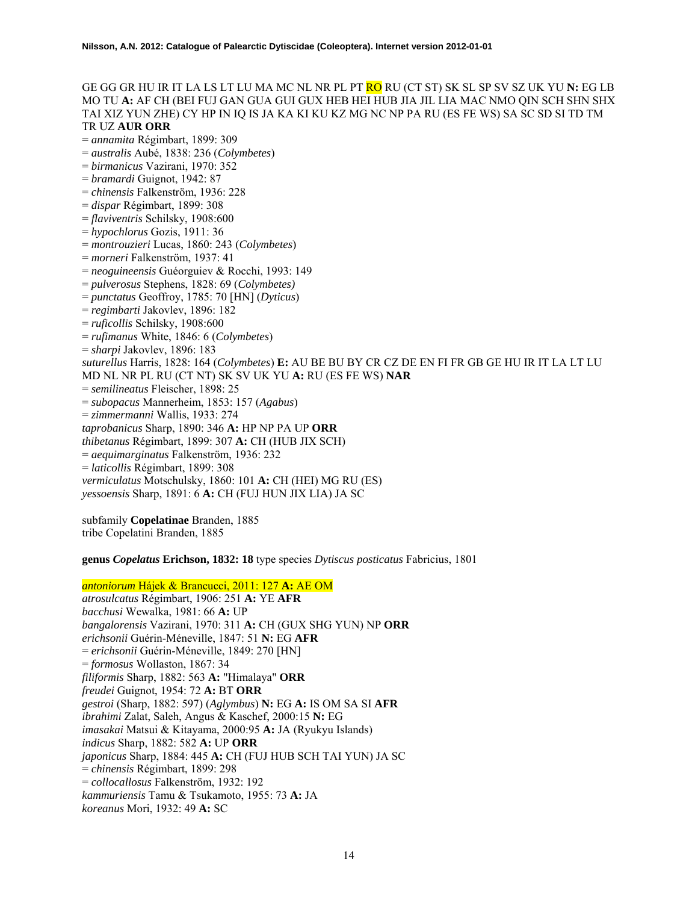GE GG GR HU IR IT LA LS LT LU MA MC NL NR PL PT RO RU (CT ST) SK SL SP SV SZ UK YU **N:** EG LB MO TU **A:** AF CH (BEI FUJ GAN GUA GUI GUX HEB HEI HUB JIA JIL LIA MAC NMO QIN SCH SHN SHX TAI XIZ YUN ZHE) CY HP IN IQ IS JA KA KI KU KZ MG NC NP PA RU (ES FE WS) SA SC SD SI TD TM TR UZ **AUR ORR**  = *annamita* Régimbart, 1899: 309 = *australis* Aubé, 1838: 236 (*Colymbetes*) = *birmanicus* Vazirani, 1970: 352 = *bramardi* Guignot, 1942: 87 = *chinensis* Falkenström, 1936: 228 = *dispar* Régimbart, 1899: 308 = *flaviventris* Schilsky, 1908:600 = *hypochlorus* Gozis, 1911: 36 = *montrouzieri* Lucas, 1860: 243 (*Colymbetes*) = *morneri* Falkenström, 1937: 41 = *neoguineensis* Guéorguiev & Rocchi, 1993: 149 = *pulverosus* Stephens, 1828: 69 (*Colymbetes)* = *punctatus* Geoffroy, 1785: 70 [HN] (*Dyticus*) = *regimbarti* Jakovlev, 1896: 182 = *ruficollis* Schilsky, 1908:600 = *rufimanus* White, 1846: 6 (*Colymbetes*) = *sharpi* Jakovlev, 1896: 183 *suturellus* Harris, 1828: 164 (*Colymbetes*) **E:** AU BE BU BY CR CZ DE EN FI FR GB GE HU IR IT LA LT LU MD NL NR PL RU (CT NT) SK SV UK YU **A:** RU (ES FE WS) **NAR**  = *semilineatus* Fleischer, 1898: 25 = *subopacus* Mannerheim, 1853: 157 (*Agabus*) = *zimmermanni* Wallis, 1933: 274 *taprobanicus* Sharp, 1890: 346 **A:** HP NP PA UP **ORR**  *thibetanus* Régimbart, 1899: 307 **A:** CH (HUB JIX SCH) = *aequimarginatus* Falkenström, 1936: 232 = *laticollis* Régimbart, 1899: 308 *vermiculatus* Motschulsky, 1860: 101 **A:** CH (HEI) MG RU (ES) *yessoensis* Sharp, 1891: 6 **A:** CH (FUJ HUN JIX LIA) JA SC

subfamily **Copelatinae** Branden, 1885 tribe Copelatini Branden, 1885

**genus** *Copelatus* **Erichson, 1832: 18** type species *Dytiscus posticatus* Fabricius, 1801

## *antoniorum* Hájek & Brancucci, 2011: 127 **A:** AE OM

*atrosulcatus* Régimbart, 1906: 251 **A:** YE **AFR**  *bacchusi* Wewalka, 1981: 66 **A:** UP *bangalorensis* Vazirani, 1970: 311 **A:** CH (GUX SHG YUN) NP **ORR**  *erichsonii* Guérin-Méneville, 1847: 51 **N:** EG **AFR**  = *erichsonii* Guérin-Méneville, 1849: 270 [HN] = *formosus* Wollaston, 1867: 34 *filiformis* Sharp, 1882: 563 **A:** "Himalaya" **ORR**  *freudei* Guignot, 1954: 72 **A:** BT **ORR**  *gestroi* (Sharp, 1882: 597) (*Aglymbus*) **N:** EG **A:** IS OM SA SI **AFR**  *ibrahimi* Zalat, Saleh, Angus & Kaschef, 2000:15 **N:** EG *imasakai* Matsui & Kitayama, 2000:95 **A:** JA (Ryukyu Islands) *indicus* Sharp, 1882: 582 **A:** UP **ORR**  *japonicus* Sharp, 1884: 445 **A:** CH (FUJ HUB SCH TAI YUN) JA SC = *chinensis* Régimbart, 1899: 298 = *collocallosus* Falkenström, 1932: 192 *kammuriensis* Tamu & Tsukamoto, 1955: 73 **A:** JA *koreanus* Mori, 1932: 49 **A:** SC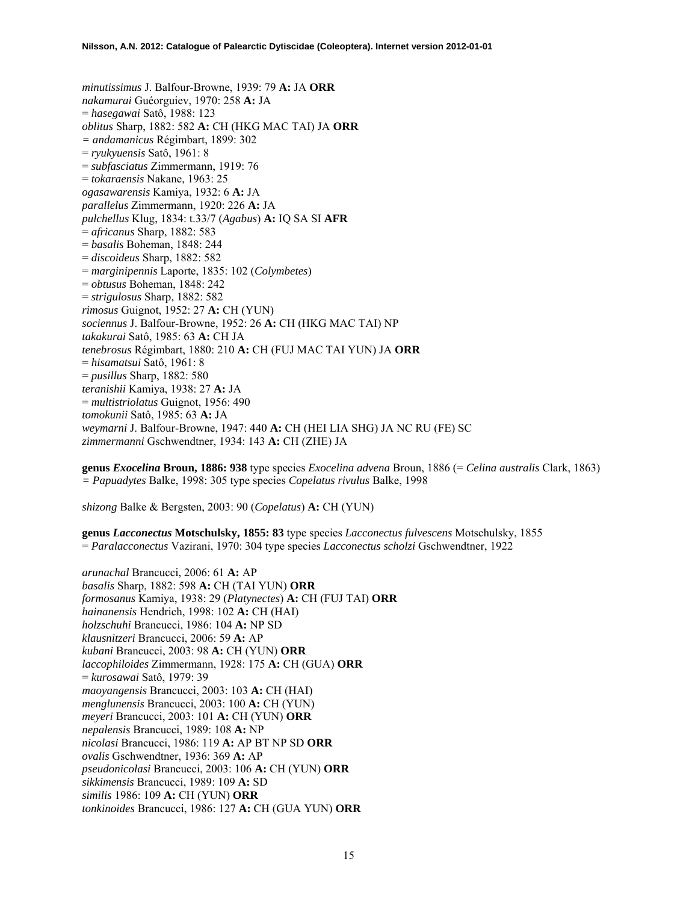*minutissimus* J. Balfour-Browne, 1939: 79 **A:** JA **ORR**  *nakamurai* Guéorguiev, 1970: 258 **A:** JA = *hasegawai* Satô, 1988: 123 *oblitus* Sharp, 1882: 582 **A:** CH (HKG MAC TAI) JA **ORR** *= andamanicus* Régimbart, 1899: 302 = *ryukyuensis* Satô, 1961: 8 = *subfasciatus* Zimmermann, 1919: 76 = *tokaraensis* Nakane, 1963: 25 *ogasawarensis* Kamiya, 1932: 6 **A:** JA *parallelus* Zimmermann, 1920: 226 **A:** JA *pulchellus* Klug, 1834: t.33/7 (*Agabus*) **A:** IQ SA SI **AFR**  = *africanus* Sharp, 1882: 583 = *basalis* Boheman, 1848: 244 = *discoideus* Sharp, 1882: 582 = *marginipennis* Laporte, 1835: 102 (*Colymbetes*) = *obtusus* Boheman, 1848: 242 = *strigulosus* Sharp, 1882: 582 *rimosus* Guignot, 1952: 27 **A:** CH (YUN) *sociennus* J. Balfour-Browne, 1952: 26 **A:** CH (HKG MAC TAI) NP *takakurai* Satô, 1985: 63 **A:** CH JA *tenebrosus* Régimbart, 1880: 210 **A:** CH (FUJ MAC TAI YUN) JA **ORR**  = *hisamatsui* Satô, 1961: 8 = *pusillus* Sharp, 1882: 580 *teranishii* Kamiya, 1938: 27 **A:** JA = *multistriolatus* Guignot, 1956: 490 *tomokunii* Satô, 1985: 63 **A:** JA *weymarni* J. Balfour-Browne, 1947: 440 **A:** CH (HEI LIA SHG) JA NC RU (FE) SC *zimmermanni* Gschwendtner, 1934: 143 **A:** CH (ZHE) JA

**genus** *Exocelina* **Broun, 1886: 938** type species *Exocelina advena* Broun, 1886 (= *Celina australis* Clark, 1863) *= Papuadytes* Balke, 1998: 305 type species *Copelatus rivulus* Balke, 1998

*shizong* Balke & Bergsten, 2003: 90 (*Copelatus*) **A:** CH (YUN)

**genus** *Lacconectus* **Motschulsky, 1855: 83** type species *Lacconectus fulvescens* Motschulsky, 1855 = *Paralacconectus* Vazirani, 1970: 304 type species *Lacconectus scholzi* Gschwendtner, 1922

*arunachal* Brancucci, 2006: 61 **A:** AP *basalis* Sharp, 1882: 598 **A:** CH (TAI YUN) **ORR**  *formosanus* Kamiya, 1938: 29 (*Platynectes*) **A:** CH (FUJ TAI) **ORR** *hainanensis* Hendrich, 1998: 102 **A:** CH (HAI) *holzschuhi* Brancucci, 1986: 104 **A:** NP SD *klausnitzeri* Brancucci, 2006: 59 **A:** AP *kubani* Brancucci, 2003: 98 **A:** CH (YUN) **ORR** *laccophiloides* Zimmermann, 1928: 175 **A:** CH (GUA) **ORR**  = *kurosawai* Satô, 1979: 39 *maoyangensis* Brancucci, 2003: 103 **A:** CH (HAI) *menglunensis* Brancucci, 2003: 100 **A:** CH (YUN) *meyeri* Brancucci, 2003: 101 **A:** CH (YUN) **ORR** *nepalensis* Brancucci, 1989: 108 **A:** NP *nicolasi* Brancucci, 1986: 119 **A:** AP BT NP SD **ORR**  *ovalis* Gschwendtner, 1936: 369 **A:** AP *pseudonicolasi* Brancucci, 2003: 106 **A:** CH (YUN) **ORR** *sikkimensis* Brancucci, 1989: 109 **A:** SD *similis* 1986: 109 **A:** CH (YUN) **ORR** *tonkinoides* Brancucci, 1986: 127 **A:** CH (GUA YUN) **ORR**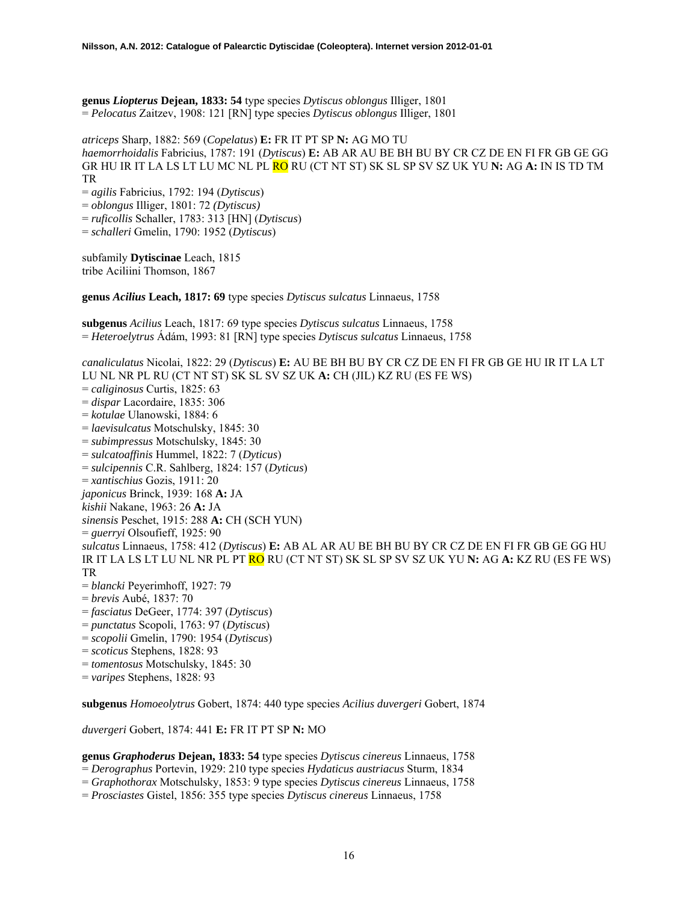**genus** *Liopterus* **Dejean, 1833: 54** type species *Dytiscus oblongus* Illiger, 1801 = *Pelocatus* Zaitzev, 1908: 121 [RN] type species *Dytiscus oblongus* Illiger, 1801

*atriceps* Sharp, 1882: 569 (*Copelatus*) **E:** FR IT PT SP **N:** AG MO TU *haemorrhoidalis* Fabricius, 1787: 191 (*Dytiscus*) **E:** AB AR AU BE BH BU BY CR CZ DE EN FI FR GB GE GG GR HU IR IT LA LS LT LU MC NL PL RO RU (CT NT ST) SK SL SP SV SZ UK YU **N:** AG **A:** IN IS TD TM TR

= *agilis* Fabricius, 1792: 194 (*Dytiscus*)

= *oblongus* Illiger, 1801: 72 *(Dytiscus)*

= *ruficollis* Schaller, 1783: 313 [HN] (*Dytiscus*)

= *schalleri* Gmelin, 1790: 1952 (*Dytiscus*)

subfamily **Dytiscinae** Leach, 1815 tribe Aciliini Thomson, 1867

**genus** *Acilius* **Leach, 1817: 69** type species *Dytiscus sulcatus* Linnaeus, 1758

**subgenus** *Acilius* Leach, 1817: 69 type species *Dytiscus sulcatus* Linnaeus, 1758 = *Heteroelytrus* Ádám, 1993: 81 [RN] type species *Dytiscus sulcatus* Linnaeus, 1758

*canaliculatus* Nicolai, 1822: 29 (*Dytiscus*) **E:** AU BE BH BU BY CR CZ DE EN FI FR GB GE HU IR IT LA LT LU NL NR PL RU (CT NT ST) SK SL SV SZ UK **A:** CH (JIL) KZ RU (ES FE WS) = *caliginosus* Curtis, 1825: 63 = *dispar* Lacordaire, 1835: 306 = *kotulae* Ulanowski, 1884: 6 = *laevisulcatus* Motschulsky, 1845: 30 = *subimpressus* Motschulsky, 1845: 30 = *sulcatoaffinis* Hummel, 1822: 7 (*Dyticus*) = *sulcipennis* C.R. Sahlberg, 1824: 157 (*Dyticus*) = *xantischius* Gozis, 1911: 20 *japonicus* Brinck, 1939: 168 **A:** JA *kishii* Nakane, 1963: 26 **A:** JA *sinensis* Peschet, 1915: 288 **A:** CH (SCH YUN) = *guerryi* Olsoufieff, 1925: 90 *sulcatus* Linnaeus, 1758: 412 (*Dytiscus*) **E:** AB AL AR AU BE BH BU BY CR CZ DE EN FI FR GB GE GG HU IR IT LA LS LT LU NL NR PL PT RO RU (CT NT ST) SK SL SP SV SZ UK YU **N:** AG **A:** KZ RU (ES FE WS) TR = *blancki* Peyerimhoff, 1927: 79 = *brevis* Aubé, 1837: 70 = *fasciatus* DeGeer, 1774: 397 (*Dytiscus*) = *punctatus* Scopoli, 1763: 97 (*Dytiscus*) = *scopolii* Gmelin, 1790: 1954 (*Dytiscus*) = *scoticus* Stephens, 1828: 93 = *tomentosus* Motschulsky, 1845: 30

= *varipes* Stephens, 1828: 93

**subgenus** *Homoeolytrus* Gobert, 1874: 440 type species *Acilius duvergeri* Gobert, 1874

*duvergeri* Gobert, 1874: 441 **E:** FR IT PT SP **N:** MO

**genus** *Graphoderus* **Dejean, 1833: 54** type species *Dytiscus cinereus* Linnaeus, 1758

= *Derographus* Portevin, 1929: 210 type species *Hydaticus austriacus* Sturm, 1834

= *Graphothorax* Motschulsky, 1853: 9 type species *Dytiscus cinereus* Linnaeus, 1758

= *Prosciastes* Gistel, 1856: 355 type species *Dytiscus cinereus* Linnaeus, 1758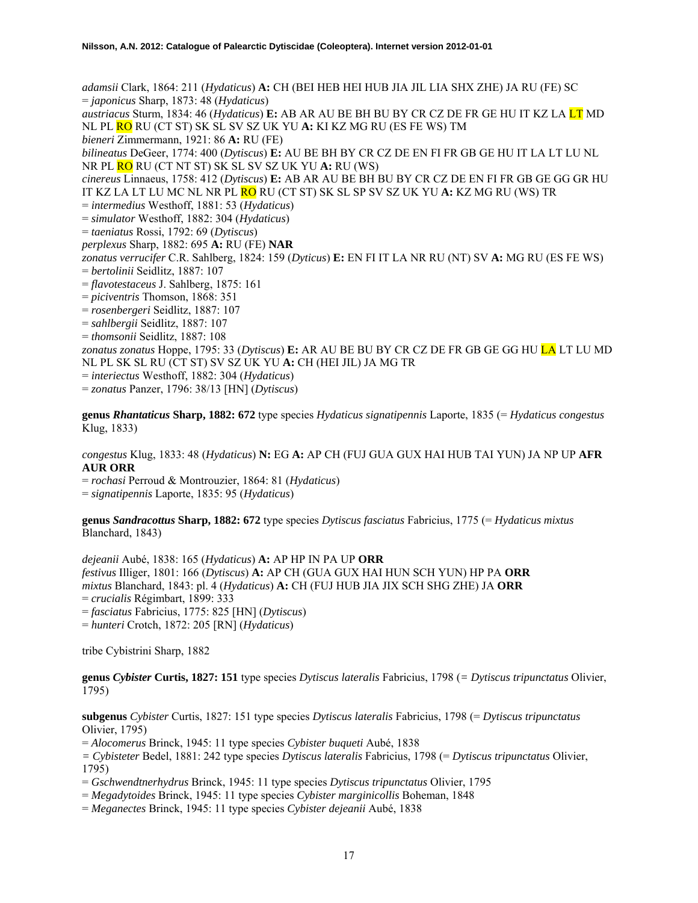*adamsii* Clark, 1864: 211 (*Hydaticus*) **A:** CH (BEI HEB HEI HUB JIA JIL LIA SHX ZHE) JA RU (FE) SC = *japonicus* Sharp, 1873: 48 (*Hydaticus*)

*austriacus* Sturm, 1834: 46 (*Hydaticus*) **E:** AB AR AU BE BH BU BY CR CZ DE FR GE HU IT KZ LA LT MD NL PL RO RU (CT ST) SK SL SV SZ UK YU **A:** KI KZ MG RU (ES FE WS) TM

*bieneri* Zimmermann, 1921: 86 **A:** RU (FE)

*bilineatus* DeGeer, 1774: 400 (*Dytiscus*) **E:** AU BE BH BY CR CZ DE EN FI FR GB GE HU IT LA LT LU NL NR PL RO RU (CT NT ST) SK SL SV SZ UK YU **A:** RU (WS)

*cinereus* Linnaeus, 1758: 412 (*Dytiscus*) **E:** AB AR AU BE BH BU BY CR CZ DE EN FI FR GB GE GG GR HU IT KZ LA LT LU MC NL NR PL RO RU (CT ST) SK SL SP SV SZ UK YU **A:** KZ MG RU (WS) TR

= *intermedius* Westhoff, 1881: 53 (*Hydaticus*)

= *simulator* Westhoff, 1882: 304 (*Hydaticus*)

= *taeniatus* Rossi, 1792: 69 (*Dytiscus*)

*perplexus* Sharp, 1882: 695 **A:** RU (FE) **NAR**

*zonatus verrucifer* C.R. Sahlberg, 1824: 159 (*Dyticus*) **E:** EN FI IT LA NR RU (NT) SV **A:** MG RU (ES FE WS)

= *bertolinii* Seidlitz, 1887: 107

= *flavotestaceus* J. Sahlberg, 1875: 161

= *piciventris* Thomson, 1868: 351

= *rosenbergeri* Seidlitz, 1887: 107

= *sahlbergii* Seidlitz, 1887: 107

= *thomsonii* Seidlitz, 1887: 108

*zonatus zonatus* Hoppe, 1795: 33 (*Dytiscus*) **E:** AR AU BE BU BY CR CZ DE FR GB GE GG HU LA LT LU MD NL PL SK SL RU (CT ST) SV SZ UK YU **A:** CH (HEI JIL) JA MG TR

= *interiectus* Westhoff, 1882: 304 (*Hydaticus*)

= *zonatus* Panzer, 1796: 38/13 [HN] (*Dytiscus*)

**genus** *Rhantaticus* **Sharp, 1882: 672** type species *Hydaticus signatipennis* Laporte, 1835 (= *Hydaticus congestus*  Klug, 1833)

*congestus* Klug, 1833: 48 (*Hydaticus*) **N:** EG **A:** AP CH (FUJ GUA GUX HAI HUB TAI YUN) JA NP UP **AFR AUR ORR**

= *rochasi* Perroud & Montrouzier, 1864: 81 (*Hydaticus*)

= *signatipennis* Laporte, 1835: 95 (*Hydaticus*)

**genus** *Sandracottus* **Sharp, 1882: 672** type species *Dytiscus fasciatus* Fabricius, 1775 (= *Hydaticus mixtus* Blanchard, 1843)

*dejeanii* Aubé, 1838: 165 (*Hydaticus*) **A:** AP HP IN PA UP **ORR**  *festivus* Illiger, 1801: 166 (*Dytiscus*) **A:** AP CH (GUA GUX HAI HUN SCH YUN) HP PA **ORR**  *mixtus* Blanchard, 1843: pl. 4 (*Hydaticus*) **A:** CH (FUJ HUB JIA JIX SCH SHG ZHE) JA **ORR**  = *crucialis* Régimbart, 1899: 333 = *fasciatus* Fabricius, 1775: 825 [HN] (*Dytiscus*) = *hunteri* Crotch, 1872: 205 [RN] (*Hydaticus*)

tribe Cybistrini Sharp, 1882

**genus** *Cybister* **Curtis, 1827: 151** type species *Dytiscus lateralis* Fabricius, 1798 (*= Dytiscus tripunctatus* Olivier, 1795)

**subgenus** *Cybister* Curtis, 1827: 151 type species *Dytiscus lateralis* Fabricius, 1798 (= *Dytiscus tripunctatus* Olivier, 1795)

= *Alocomerus* Brinck, 1945: 11 type species *Cybister buqueti* Aubé, 1838

*= Cybisteter* Bedel, 1881: 242 type species *Dytiscus lateralis* Fabricius, 1798 (= *Dytiscus tripunctatus* Olivier, 1795)

= *Gschwendtnerhydrus* Brinck, 1945: 11 type species *Dytiscus tripunctatus* Olivier, 1795

= *Megadytoides* Brinck, 1945: 11 type species *Cybister marginicollis* Boheman, 1848

= *Meganectes* Brinck, 1945: 11 type species *Cybister dejeanii* Aubé, 1838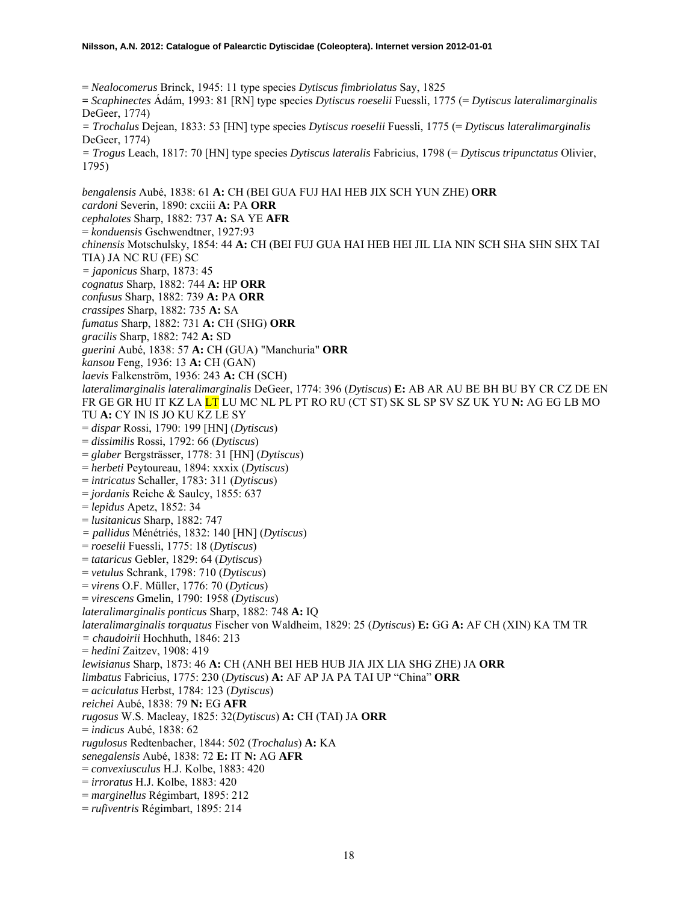= *Nealocomerus* Brinck, 1945: 11 type species *Dytiscus fimbriolatus* Say, 1825 **=** *Scaphinectes* Ádám, 1993: 81 [RN] type species *Dytiscus roeselii* Fuessli, 1775 (= *Dytiscus lateralimarginalis* DeGeer, 1774) *= Trochalus* Dejean, 1833: 53 [HN] type species *Dytiscus roeselii* Fuessli, 1775 (= *Dytiscus lateralimarginalis*

DeGeer, 1774)

*= Trogus* Leach, 1817: 70 [HN] type species *Dytiscus lateralis* Fabricius, 1798 (= *Dytiscus tripunctatus* Olivier, 1795)

*bengalensis* Aubé, 1838: 61 **A:** CH (BEI GUA FUJ HAI HEB JIX SCH YUN ZHE) **ORR**  *cardoni* Severin, 1890: cxciii **A:** PA **ORR**  *cephalotes* Sharp, 1882: 737 **A:** SA YE **AFR**  = *konduensis* Gschwendtner, 1927:93 *chinensis* Motschulsky, 1854: 44 **A:** CH (BEI FUJ GUA HAI HEB HEI JIL LIA NIN SCH SHA SHN SHX TAI TIA) JA NC RU (FE) SC *= japonicus* Sharp, 1873: 45 *cognatus* Sharp, 1882: 744 **A:** HP **ORR**  *confusus* Sharp, 1882: 739 **A:** PA **ORR**  *crassipes* Sharp, 1882: 735 **A:** SA *fumatus* Sharp, 1882: 731 **A:** CH (SHG) **ORR**  *gracilis* Sharp, 1882: 742 **A:** SD *guerini* Aubé, 1838: 57 **A:** CH (GUA) "Manchuria" **ORR**  *kansou* Feng, 1936: 13 **A:** CH (GAN) *laevis* Falkenström, 1936: 243 **A:** CH (SCH) *lateralimarginalis lateralimarginalis* DeGeer, 1774: 396 (*Dytiscus*) **E:** AB AR AU BE BH BU BY CR CZ DE EN FR GE GR HU IT KZ LA LT LU MC NL PL PT RO RU (CT ST) SK SL SP SV SZ UK YU **N:** AG EG LB MO TU **A:** CY IN IS JO KU KZ LE SY = *dispar* Rossi, 1790: 199 [HN] (*Dytiscus*) = *dissimilis* Rossi, 1792: 66 (*Dytiscus*) = *glaber* Bergsträsser, 1778: 31 [HN] (*Dytiscus*) = *herbeti* Peytoureau, 1894: xxxix (*Dytiscus*) = *intricatus* Schaller, 1783: 311 (*Dytiscus*) = *jordanis* Reiche & Saulcy, 1855: 637 = *lepidus* Apetz, 1852: 34 = *lusitanicus* Sharp, 1882: 747 *= pallidus* Ménétriés, 1832: 140 [HN] (*Dytiscus*) = *roeselii* Fuessli, 1775: 18 (*Dytiscus*) = *tataricus* Gebler, 1829: 64 (*Dytiscus*) = *vetulus* Schrank, 1798: 710 (*Dytiscus*) = *virens* O.F. Müller, 1776: 70 (*Dyticus*) = *virescens* Gmelin, 1790: 1958 (*Dytiscus*) *lateralimarginalis ponticus* Sharp, 1882: 748 **A:** IQ *lateralimarginalis torquatus* Fischer von Waldheim, 1829: 25 (*Dytiscus*) **E:** GG **A:** AF CH (XIN) KA TM TR *= chaudoirii* Hochhuth, 1846: 213 = *hedini* Zaitzev, 1908: 419 *lewisianus* Sharp, 1873: 46 **A:** CH (ANH BEI HEB HUB JIA JIX LIA SHG ZHE) JA **ORR**  *limbatus* Fabricius, 1775: 230 (*Dytiscus*) **A:** AF AP JA PA TAI UP "China" **ORR**  = *aciculatus* Herbst, 1784: 123 (*Dytiscus*) *reichei* Aubé, 1838: 79 **N:** EG **AFR**  *rugosus* W.S. Macleay, 1825: 32(*Dytiscus*) **A:** CH (TAI) JA **ORR**  = *indicus* Aubé, 1838: 62 *rugulosus* Redtenbacher, 1844: 502 (*Trochalus*) **A:** KA *senegalensis* Aubé, 1838: 72 **E:** IT **N:** AG **AFR**  = *convexiusculus* H.J. Kolbe, 1883: 420 = *irroratus* H.J. Kolbe, 1883: 420 = *marginellus* Régimbart, 1895: 212

= *rufiventris* Régimbart, 1895: 214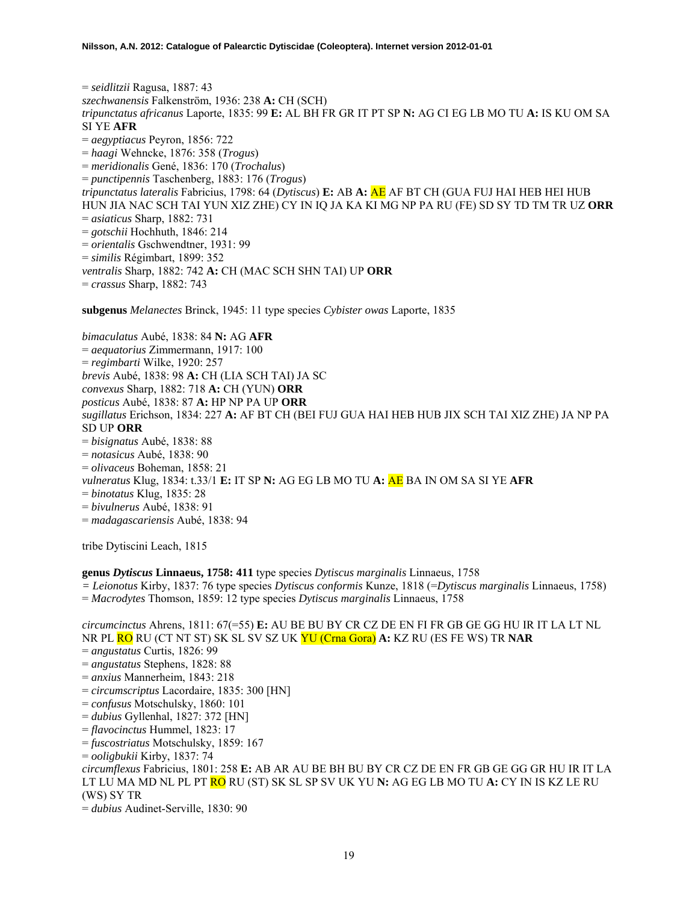= *seidlitzii* Ragusa, 1887: 43 *szechwanensis* Falkenström, 1936: 238 **A:** CH (SCH) *tripunctatus africanus* Laporte, 1835: 99 **E:** AL BH FR GR IT PT SP **N:** AG CI EG LB MO TU **A:** IS KU OM SA SI YE **AFR**  = *aegyptiacus* Peyron, 1856: 722 = *haagi* Wehncke, 1876: 358 (*Trogus*) = *meridionalis* Gené, 1836: 170 (*Trochalus*) = *punctipennis* Taschenberg, 1883: 176 (*Trogus*) *tripunctatus lateralis* Fabricius, 1798: 64 (*Dytiscus*) **E:** AB **A:** AE AF BT CH (GUA FUJ HAI HEB HEI HUB HUN JIA NAC SCH TAI YUN XIZ ZHE) CY IN IQ JA KA KI MG NP PA RU (FE) SD SY TD TM TR UZ **ORR**  = *asiaticus* Sharp, 1882: 731 = *gotschii* Hochhuth, 1846: 214 = *orientalis* Gschwendtner, 1931: 99 = *similis* Régimbart, 1899: 352 *ventralis* Sharp, 1882: 742 **A:** CH (MAC SCH SHN TAI) UP **ORR**  = *crassus* Sharp, 1882: 743

**subgenus** *Melanectes* Brinck, 1945: 11 type species *Cybister owas* Laporte, 1835

*bimaculatus* Aubé, 1838: 84 **N:** AG **AFR**  = *aequatorius* Zimmermann, 1917: 100 = *regimbarti* Wilke, 1920: 257 *brevis* Aubé, 1838: 98 **A:** CH (LIA SCH TAI) JA SC *convexus* Sharp, 1882: 718 **A:** CH (YUN) **ORR**  *posticus* Aubé, 1838: 87 **A:** HP NP PA UP **ORR**  *sugillatus* Erichson, 1834: 227 **A:** AF BT CH (BEI FUJ GUA HAI HEB HUB JIX SCH TAI XIZ ZHE) JA NP PA SD UP **ORR**  = *bisignatus* Aubé, 1838: 88 = *notasicus* Aubé, 1838: 90 = *olivaceus* Boheman, 1858: 21 *vulneratus* Klug, 1834: t.33/1 **E:** IT SP **N:** AG EG LB MO TU **A:** AE BA IN OM SA SI YE **AFR**  = *binotatus* Klug, 1835: 28 = *bivulnerus* Aubé, 1838: 91 = *madagascariensis* Aubé, 1838: 94

tribe Dytiscini Leach, 1815

# **genus** *Dytiscus* **Linnaeus, 1758: 411** type species *Dytiscus marginalis* Linnaeus, 1758

*= Leionotus* Kirby, 1837: 76 type species *Dytiscus conformis* Kunze, 1818 (=*Dytiscus marginalis* Linnaeus, 1758)

= *Macrodytes* Thomson, 1859: 12 type species *Dytiscus marginalis* Linnaeus, 1758

*circumcinctus* Ahrens, 1811: 67(=55) **E:** AU BE BU BY CR CZ DE EN FI FR GB GE GG HU IR IT LA LT NL NR PL RO RU (CT NT ST) SK SL SV SZ UK YU (Crna Gora) **A:** KZ RU (ES FE WS) TR **NAR**  = *angustatus* Curtis, 1826: 99 = *angustatus* Stephens, 1828: 88 = *anxius* Mannerheim, 1843: 218 = *circumscriptus* Lacordaire, 1835: 300 [HN] = *confusus* Motschulsky, 1860: 101 = *dubius* Gyllenhal, 1827: 372 [HN] = *flavocinctus* Hummel, 1823: 17 = *fuscostriatus* Motschulsky, 1859: 167 = *ooligbukii* Kirby, 1837: 74 *circumflexus* Fabricius, 1801: 258 **E:** AB AR AU BE BH BU BY CR CZ DE EN FR GB GE GG GR HU IR IT LA LT LU MA MD NL PL PT RO RU (ST) SK SL SP SV UK YU **N:** AG EG LB MO TU **A:** CY IN IS KZ LE RU (WS) SY TR

= *dubius* Audinet-Serville, 1830: 90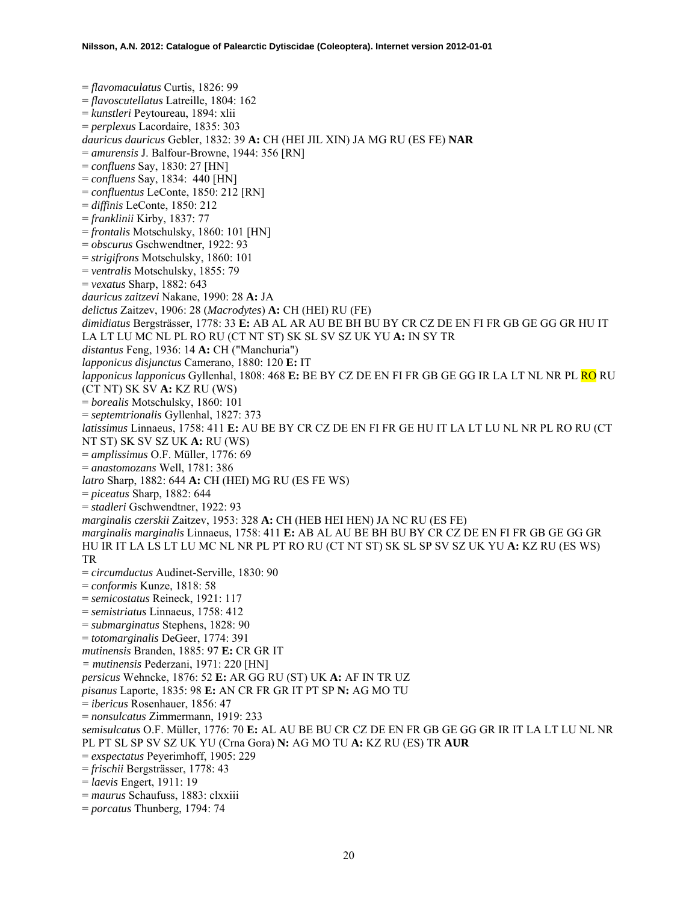= *flavomaculatus* Curtis, 1826: 99 = *flavoscutellatus* Latreille, 1804: 162 = *kunstleri* Peytoureau, 1894: xlii = *perplexus* Lacordaire, 1835: 303 *dauricus dauricus* Gebler, 1832: 39 **A:** CH (HEI JIL XIN) JA MG RU (ES FE) **NAR**  = *amurensis* J. Balfour-Browne, 1944: 356 [RN] = *confluens* Say, 1830: 27 [HN] = *confluens* Say, 1834: 440 [HN] = *confluentus* LeConte, 1850: 212 [RN] = *diffinis* LeConte, 1850: 212 = *franklinii* Kirby, 1837: 77 = *frontalis* Motschulsky, 1860: 101 [HN] = *obscurus* Gschwendtner, 1922: 93 = *strigifrons* Motschulsky, 1860: 101 = *ventralis* Motschulsky, 1855: 79 = *vexatus* Sharp, 1882: 643 *dauricus zaitzevi* Nakane, 1990: 28 **A:** JA *delictus* Zaitzev, 1906: 28 (*Macrodytes*) **A:** CH (HEI) RU (FE) *dimidiatus* Bergsträsser, 1778: 33 **E:** AB AL AR AU BE BH BU BY CR CZ DE EN FI FR GB GE GG GR HU IT LA LT LU MC NL PL RO RU (CT NT ST) SK SL SV SZ UK YU **A:** IN SY TR *distantus* Feng, 1936: 14 **A:** CH ("Manchuria") *lapponicus disjunctus* Camerano, 1880: 120 **E:** IT *lapponicus lapponicus* Gyllenhal, 1808: 468 **E:** BE BY CZ DE EN FI FR GB GE GG IR LA LT NL NR PL RO RU (CT NT) SK SV **A:** KZ RU (WS) = *borealis* Motschulsky, 1860: 101 = *septemtrionalis* Gyllenhal, 1827: 373 *latissimus* Linnaeus, 1758: 411 **E:** AU BE BY CR CZ DE EN FI FR GE HU IT LA LT LU NL NR PL RO RU (CT NT ST) SK SV SZ UK **A:** RU (WS) = *amplissimus* O.F. Müller, 1776: 69 = *anastomozans* Well, 1781: 386 *latro* Sharp, 1882: 644 **A:** CH (HEI) MG RU (ES FE WS) = *piceatus* Sharp, 1882: 644 = *stadleri* Gschwendtner, 1922: 93 *marginalis czerskii* Zaitzev, 1953: 328 **A:** CH (HEB HEI HEN) JA NC RU (ES FE) *marginalis marginalis* Linnaeus, 1758: 411 **E:** AB AL AU BE BH BU BY CR CZ DE EN FI FR GB GE GG GR HU IR IT LA LS LT LU MC NL NR PL PT RO RU (CT NT ST) SK SL SP SV SZ UK YU **A:** KZ RU (ES WS) TR = *circumductus* Audinet-Serville, 1830: 90 = *conformis* Kunze, 1818: 58 = *semicostatus* Reineck, 1921: 117 = *semistriatus* Linnaeus, 1758: 412 = *submarginatus* Stephens, 1828: 90 = *totomarginalis* DeGeer, 1774: 391 *mutinensis* Branden, 1885: 97 **E:** CR GR IT *= mutinensis* Pederzani, 1971: 220 [HN] *persicus* Wehncke, 1876: 52 **E:** AR GG RU (ST) UK **A:** AF IN TR UZ *pisanus* Laporte, 1835: 98 **E:** AN CR FR GR IT PT SP **N:** AG MO TU = *ibericus* Rosenhauer, 1856: 47 = *nonsulcatus* Zimmermann, 1919: 233 *semisulcatus* O.F. Müller, 1776: 70 **E:** AL AU BE BU CR CZ DE EN FR GB GE GG GR IR IT LA LT LU NL NR PL PT SL SP SV SZ UK YU (Crna Gora) **N:** AG MO TU **A:** KZ RU (ES) TR **AUR**  = *exspectatus* Peyerimhoff, 1905: 229 = *frischii* Bergsträsser, 1778: 43 = *laevis* Engert, 1911: 19 = *maurus* Schaufuss, 1883: clxxiii = *porcatus* Thunberg, 1794: 74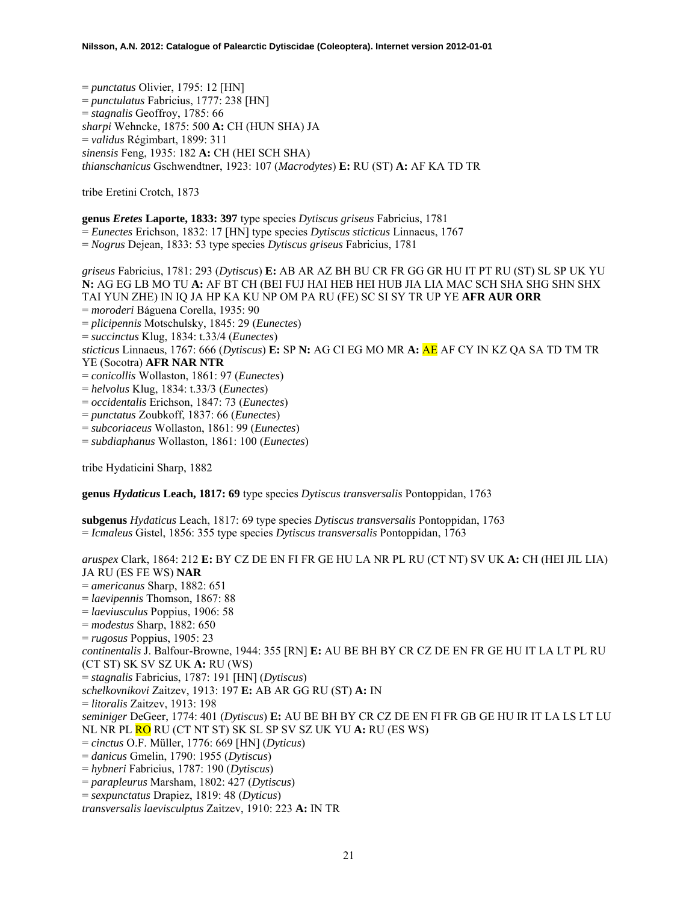= *punctatus* Olivier, 1795: 12 [HN] = *punctulatus* Fabricius, 1777: 238 [HN] = *stagnalis* Geoffroy, 1785: 66 *sharpi* Wehncke, 1875: 500 **A:** CH (HUN SHA) JA = *validus* Régimbart, 1899: 311 *sinensis* Feng, 1935: 182 **A:** CH (HEI SCH SHA) *thianschanicus* Gschwendtner, 1923: 107 (*Macrodytes*) **E:** RU (ST) **A:** AF KA TD TR

tribe Eretini Crotch, 1873

**genus** *Eretes* **Laporte, 1833: 397** type species *Dytiscus griseus* Fabricius, 1781

= *Eunectes* Erichson, 1832: 17 [HN] type species *Dytiscus sticticus* Linnaeus, 1767

= *Nogrus* Dejean, 1833: 53 type species *Dytiscus griseus* Fabricius, 1781

*griseus* Fabricius, 1781: 293 (*Dytiscus*) **E:** AB AR AZ BH BU CR FR GG GR HU IT PT RU (ST) SL SP UK YU **N:** AG EG LB MO TU **A:** AF BT CH (BEI FUJ HAI HEB HEI HUB JIA LIA MAC SCH SHA SHG SHN SHX TAI YUN ZHE) IN IQ JA HP KA KU NP OM PA RU (FE) SC SI SY TR UP YE **AFR AUR ORR** = *moroderi* Báguena Corella, 1935: 90 = *plicipennis* Motschulsky, 1845: 29 (*Eunectes*) = *succinctus* Klug, 1834: t.33/4 (*Eunectes*) *sticticus* Linnaeus, 1767: 666 (*Dytiscus*) **E:** SP **N:** AG CI EG MO MR **A:** AE AF CY IN KZ QA SA TD TM TR YE (Socotra) **AFR NAR NTR** = *conicollis* Wollaston, 1861: 97 (*Eunectes*) = *helvolus* Klug, 1834: t.33/3 (*Eunectes*) = *occidentalis* Erichson, 1847: 73 (*Eunectes*) = *punctatus* Zoubkoff, 1837: 66 (*Eunectes*) = *subcoriaceus* Wollaston, 1861: 99 (*Eunectes*) = *subdiaphanus* Wollaston, 1861: 100 (*Eunectes*)

tribe Hydaticini Sharp, 1882

**genus** *Hydaticus* **Leach, 1817: 69** type species *Dytiscus transversalis* Pontoppidan, 1763

**subgenus** *Hydaticus* Leach, 1817: 69 type species *Dytiscus transversalis* Pontoppidan, 1763 = *Icmaleus* Gistel, 1856: 355 type species *Dytiscus transversalis* Pontoppidan, 1763

*aruspex* Clark, 1864: 212 **E:** BY CZ DE EN FI FR GE HU LA NR PL RU (CT NT) SV UK **A:** CH (HEI JIL LIA) JA RU (ES FE WS) **NAR** = *americanus* Sharp, 1882: 651 = *laevipennis* Thomson, 1867: 88 = *laeviusculus* Poppius, 1906: 58 = *modestus* Sharp, 1882: 650 = *rugosus* Poppius, 1905: 23 *continentalis* J. Balfour-Browne, 1944: 355 [RN] **E:** AU BE BH BY CR CZ DE EN FR GE HU IT LA LT PL RU (CT ST) SK SV SZ UK **A:** RU (WS) = *stagnalis* Fabricius, 1787: 191 [HN] (*Dytiscus*) *schelkovnikovi* Zaitzev, 1913: 197 **E:** AB AR GG RU (ST) **A:** IN = *litoralis* Zaitzev, 1913: 198 *seminiger* DeGeer, 1774: 401 (*Dytiscus*) **E:** AU BE BH BY CR CZ DE EN FI FR GB GE HU IR IT LA LS LT LU NL NR PL RO RU (CT NT ST) SK SL SP SV SZ UK YU **A:** RU (ES WS) = *cinctus* O.F. Müller, 1776: 669 [HN] (*Dyticus*) = *danicus* Gmelin, 1790: 1955 (*Dytiscus*) = *hybneri* Fabricius, 1787: 190 (*Dytiscus*) = *parapleurus* Marsham, 1802: 427 (*Dytiscus*) = *sexpunctatus* Drapiez, 1819: 48 (*Dyticus*) *transversalis laevisculptus* Zaitzev, 1910: 223 **A:** IN TR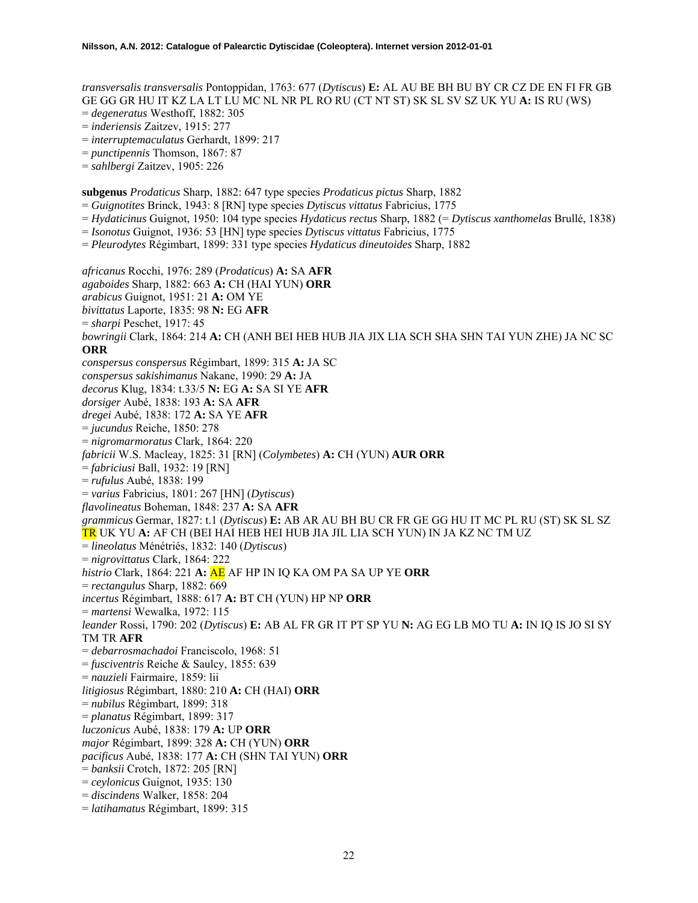*transversalis transversalis* Pontoppidan, 1763: 677 (*Dytiscus*) **E:** AL AU BE BH BU BY CR CZ DE EN FI FR GB GE GG GR HU IT KZ LA LT LU MC NL NR PL RO RU (CT NT ST) SK SL SV SZ UK YU **A:** IS RU (WS)

- = *degeneratus* Westhoff, 1882: 305
- = *inderiensis* Zaitzev, 1915: 277
- = *interruptemaculatus* Gerhardt, 1899: 217
- = *punctipennis* Thomson, 1867: 87
- = *sahlbergi* Zaitzev, 1905: 226

**subgenus** *Prodaticus* Sharp, 1882: 647 type species *Prodaticus pictus* Sharp, 1882

- = *Guignotites* Brinck, 1943: 8 [RN] type species *Dytiscus vittatus* Fabricius, 1775
- = *Hydaticinus* Guignot, 1950: 104 type species *Hydaticus rectus* Sharp, 1882 (= *Dytiscus xanthomelas* Brullé, 1838)
- = *Isonotus* Guignot, 1936: 53 [HN] type species *Dytiscus vittatus* Fabricius, 1775
- = *Pleurodytes* Régimbart, 1899: 331 type species *Hydaticus dineutoides* Sharp, 1882

*africanus* Rocchi, 1976: 289 (*Prodaticus*) **A:** SA **AFR** *agaboides* Sharp, 1882: 663 **A:** CH (HAI YUN) **ORR**  *arabicus* Guignot, 1951: 21 **A:** OM YE *bivittatus* Laporte, 1835: 98 **N:** EG **AFR**  = *sharpi* Peschet, 1917: 45 *bowringii* Clark, 1864: 214 **A:** CH (ANH BEI HEB HUB JIA JIX LIA SCH SHA SHN TAI YUN ZHE) JA NC SC **ORR** *conspersus conspersus* Régimbart, 1899: 315 **A:** JA SC *conspersus sakishimanus* Nakane, 1990: 29 **A:** JA *decorus* Klug, 1834: t.33/5 **N:** EG **A:** SA SI YE **AFR** *dorsiger* Aubé, 1838: 193 **A:** SA **AFR** *dregei* Aubé, 1838: 172 **A:** SA YE **AFR** = *jucundus* Reiche, 1850: 278 = *nigromarmoratus* Clark, 1864: 220 *fabricii* W.S. Macleay, 1825: 31 [RN] (*Colymbetes*) **A:** CH (YUN) **AUR ORR**  = *fabriciusi* Ball, 1932: 19 [RN] = *rufulus* Aubé, 1838: 199 = *varius* Fabricius, 1801: 267 [HN] (*Dytiscus*) *flavolineatus* Boheman, 1848: 237 **A:** SA **AFR** *grammicus* Germar, 1827: t.1 (*Dytiscus*) **E:** AB AR AU BH BU CR FR GE GG HU IT MC PL RU (ST) SK SL SZ TR UK YU **A:** AF CH (BEI HAI HEB HEI HUB JIA JIL LIA SCH YUN) IN JA KZ NC TM UZ = *lineolatus* Ménétriés, 1832: 140 (*Dytiscus*) = *nigrovittatus* Clark, 1864: 222 *histrio* Clark, 1864: 221 **A:** AE AF HP IN IQ KA OM PA SA UP YE **ORR** = *rectangulus* Sharp, 1882: 669 *incertus* Régimbart, 1888: 617 **A:** BT CH (YUN) HP NP **ORR** = *martensi* Wewalka, 1972: 115 *leander* Rossi, 1790: 202 (*Dytiscus*) **E:** AB AL FR GR IT PT SP YU **N:** AG EG LB MO TU **A:** IN IQ IS JO SI SY TM TR **AFR** = *debarrosmachadoi* Franciscolo, 1968: 51 = *fusciventris* Reiche & Saulcy, 1855: 639 = *nauzieli* Fairmaire, 1859: lii *litigiosus* Régimbart, 1880: 210 **A:** CH (HAI) **ORR** = *nubilus* Régimbart, 1899: 318 = *planatus* Régimbart, 1899: 317 *luczonicus* Aubé, 1838: 179 **A:** UP **ORR** *major* Régimbart, 1899: 328 **A:** CH (YUN) **ORR** *pacificus* Aubé, 1838: 177 **A:** CH (SHN TAI YUN) **ORR** = *banksii* Crotch, 1872: 205 [RN] = *ceylonicus* Guignot, 1935: 130 = *discindens* Walker, 1858: 204 = *latihamatus* Régimbart, 1899: 315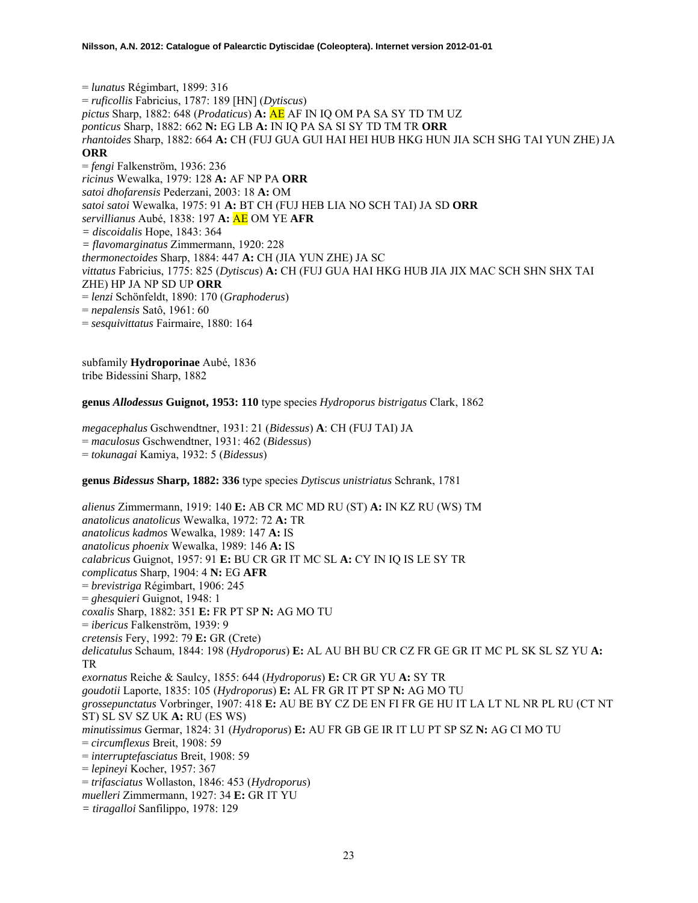= *lunatus* Régimbart, 1899: 316 = *ruficollis* Fabricius, 1787: 189 [HN] (*Dytiscus*) *pictus* Sharp, 1882: 648 (*Prodaticus*) **A:** AE AF IN IQ OM PA SA SY TD TM UZ *ponticus* Sharp, 1882: 662 **N:** EG LB **A:** IN IQ PA SA SI SY TD TM TR **ORR** *rhantoides* Sharp, 1882: 664 **A:** CH (FUJ GUA GUI HAI HEI HUB HKG HUN JIA SCH SHG TAI YUN ZHE) JA **ORR** = *fengi* Falkenström, 1936: 236 *ricinus* Wewalka, 1979: 128 **A:** AF NP PA **ORR** *satoi dhofarensis* Pederzani, 2003: 18 **A:** OM *satoi satoi* Wewalka, 1975: 91 **A:** BT CH (FUJ HEB LIA NO SCH TAI) JA SD **ORR**  *servillianus* Aubé, 1838: 197 **A:** AE OM YE **AFR** *= discoidalis* Hope, 1843: 364 *= flavomarginatus* Zimmermann, 1920: 228 *thermonectoides* Sharp, 1884: 447 **A:** CH (JIA YUN ZHE) JA SC *vittatus* Fabricius, 1775: 825 (*Dytiscus*) **A:** CH (FUJ GUA HAI HKG HUB JIA JIX MAC SCH SHN SHX TAI ZHE) HP JA NP SD UP **ORR** = *lenzi* Schönfeldt, 1890: 170 (*Graphoderus*) = *nepalensis* Satô, 1961: 60 = *sesquivittatus* Fairmaire, 1880: 164

subfamily **Hydroporinae** Aubé, 1836 tribe Bidessini Sharp, 1882

**genus** *Allodessus* **Guignot, 1953: 110** type species *Hydroporus bistrigatus* Clark, 1862

*megacephalus* Gschwendtner, 1931: 21 (*Bidessus*) **A**: CH (FUJ TAI) JA = *maculosus* Gschwendtner, 1931: 462 (*Bidessus*) = *tokunagai* Kamiya, 1932: 5 (*Bidessus*)

#### **genus** *Bidessus* **Sharp, 1882: 336** type species *Dytiscus unistriatus* Schrank, 1781

*alienus* Zimmermann, 1919: 140 **E:** AB CR MC MD RU (ST) **A:** IN KZ RU (WS) TM *anatolicus anatolicus* Wewalka, 1972: 72 **A:** TR *anatolicus kadmos* Wewalka, 1989: 147 **A:** IS *anatolicus phoenix* Wewalka, 1989: 146 **A:** IS *calabricus* Guignot, 1957: 91 **E:** BU CR GR IT MC SL **A:** CY IN IQ IS LE SY TR *complicatus* Sharp, 1904: 4 **N:** EG **AFR** = *brevistriga* Régimbart, 1906: 245 = *ghesquieri* Guignot, 1948: 1 *coxalis* Sharp, 1882: 351 **E:** FR PT SP **N:** AG MO TU = *ibericus* Falkenström, 1939: 9 *cretensis* Fery, 1992: 79 **E:** GR (Crete) *delicatulus* Schaum, 1844: 198 (*Hydroporus*) **E:** AL AU BH BU CR CZ FR GE GR IT MC PL SK SL SZ YU **A:**  TR *exornatus* Reiche & Saulcy, 1855: 644 (*Hydroporus*) **E:** CR GR YU **A:** SY TR *goudotii* Laporte, 1835: 105 (*Hydroporus*) **E:** AL FR GR IT PT SP **N:** AG MO TU *grossepunctatus* Vorbringer, 1907: 418 **E:** AU BE BY CZ DE EN FI FR GE HU IT LA LT NL NR PL RU (CT NT ST) SL SV SZ UK **A:** RU (ES WS) *minutissimus* Germar, 1824: 31 (*Hydroporus*) **E:** AU FR GB GE IR IT LU PT SP SZ **N:** AG CI MO TU = *circumflexus* Breit, 1908: 59 = *interruptefasciatus* Breit, 1908: 59 = *lepineyi* Kocher, 1957: 367 = *trifasciatus* Wollaston, 1846: 453 (*Hydroporus*) *muelleri* Zimmermann, 1927: 34 **E:** GR IT YU *= tiragalloi* Sanfilippo, 1978: 129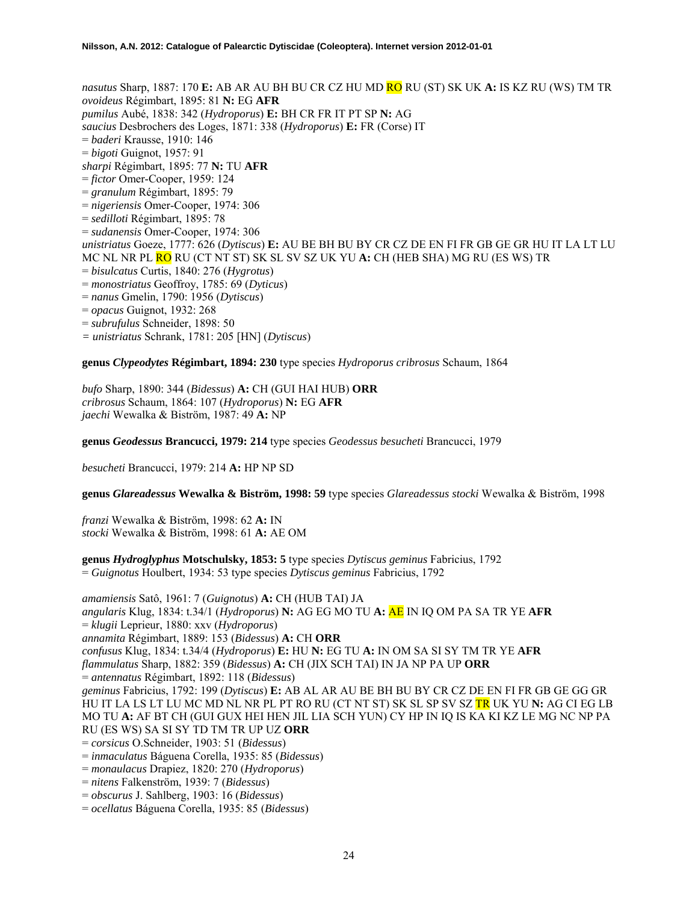*nasutus* Sharp, 1887: 170 **E:** AB AR AU BH BU CR CZ HU MD RO RU (ST) SK UK **A:** IS KZ RU (WS) TM TR *ovoideus* Régimbart, 1895: 81 **N:** EG **AFR** *pumilus* Aubé, 1838: 342 (*Hydroporus*) **E:** BH CR FR IT PT SP **N:** AG *saucius* Desbrochers des Loges, 1871: 338 (*Hydroporus*) **E:** FR (Corse) IT = *baderi* Krausse, 1910: 146 = *bigoti* Guignot, 1957: 91 *sharpi* Régimbart, 1895: 77 **N:** TU **AFR** = *fictor* Omer-Cooper, 1959: 124 = *granulum* Régimbart, 1895: 79 = *nigeriensis* Omer-Cooper, 1974: 306 = *sedilloti* Régimbart, 1895: 78 = *sudanensis* Omer-Cooper, 1974: 306 *unistriatus* Goeze, 1777: 626 (*Dytiscus*) **E:** AU BE BH BU BY CR CZ DE EN FI FR GB GE GR HU IT LA LT LU MC NL NR PL RO RU (CT NT ST) SK SL SV SZ UK YU **A:** CH (HEB SHA) MG RU (ES WS) TR = *bisulcatus* Curtis, 1840: 276 (*Hygrotus*) = *monostriatus* Geoffroy, 1785: 69 (*Dyticus*) = *nanus* Gmelin, 1790: 1956 (*Dytiscus*) = *opacus* Guignot, 1932: 268 = *subrufulus* Schneider, 1898: 50 *= unistriatus* Schrank, 1781: 205 [HN] (*Dytiscus*)

**genus** *Clypeodytes* **Régimbart, 1894: 230** type species *Hydroporus cribrosus* Schaum, 1864

*bufo* Sharp, 1890: 344 (*Bidessus*) **A:** CH (GUI HAI HUB) **ORR**  *cribrosus* Schaum, 1864: 107 (*Hydroporus*) **N:** EG **AFR**  *jaechi* Wewalka & Biström, 1987: 49 **A:** NP

**genus** *Geodessus* **Brancucci, 1979: 214** type species *Geodessus besucheti* Brancucci, 1979

*besucheti* Brancucci, 1979: 214 **A:** HP NP SD

**genus** *Glareadessus* **Wewalka & Biström, 1998: 59** type species *Glareadessus stocki* Wewalka & Biström, 1998

*franzi* Wewalka & Biström, 1998: 62 **A:** IN *stocki* Wewalka & Biström, 1998: 61 **A:** AE OM

**genus** *Hydroglyphus* **Motschulsky, 1853: 5** type species *Dytiscus geminus* Fabricius, 1792 = *Guignotus* Houlbert, 1934: 53 type species *Dytiscus geminus* Fabricius, 1792

*amamiensis* Satô, 1961: 7 (*Guignotus*) **A:** CH (HUB TAI) JA *angularis* Klug, 1834: t.34/1 (*Hydroporus*) **N:** AG EG MO TU **A:** AE IN IQ OM PA SA TR YE **AFR**  = *klugii* Leprieur, 1880: xxv (*Hydroporus*) *annamita* Régimbart, 1889: 153 (*Bidessus*) **A:** CH **ORR**  *confusus* Klug, 1834: t.34/4 (*Hydroporus*) **E:** HU **N:** EG TU **A:** IN OM SA SI SY TM TR YE **AFR**  *flammulatus* Sharp, 1882: 359 (*Bidessus*) **A:** CH (JIX SCH TAI) IN JA NP PA UP **ORR**  = *antennatus* Régimbart, 1892: 118 (*Bidessus*) *geminus* Fabricius, 1792: 199 (*Dytiscus*) **E:** AB AL AR AU BE BH BU BY CR CZ DE EN FI FR GB GE GG GR HU IT LA LS LT LU MC MD NL NR PL PT RO RU (CT NT ST) SK SL SP SV SZ TR UK YU **N:** AG CI EG LB MO TU **A:** AF BT CH (GUI GUX HEI HEN JIL LIA SCH YUN) CY HP IN IQ IS KA KI KZ LE MG NC NP PA RU (ES WS) SA SI SY TD TM TR UP UZ **ORR**  = *corsicus* O.Schneider, 1903: 51 (*Bidessus*) = *inmaculatus* Báguena Corella, 1935: 85 (*Bidessus*) = *monaulacus* Drapiez, 1820: 270 (*Hydroporus*) = *nitens* Falkenström, 1939: 7 (*Bidessus*) = *obscurus* J. Sahlberg, 1903: 16 (*Bidessus*)

= *ocellatus* Báguena Corella, 1935: 85 (*Bidessus*)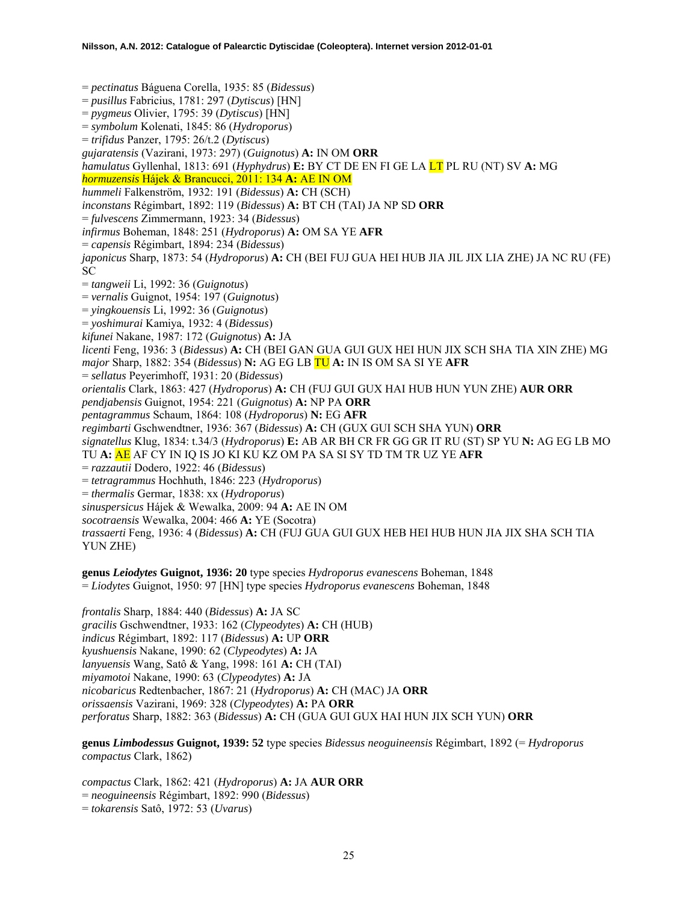= *pectinatus* Báguena Corella, 1935: 85 (*Bidessus*) = *pusillus* Fabricius, 1781: 297 (*Dytiscus*) [HN] = *pygmeus* Olivier, 1795: 39 (*Dytiscus*) [HN] = *symbolum* Kolenati, 1845: 86 (*Hydroporus*) = *trifidus* Panzer, 1795: 26/t.2 (*Dytiscus*) *gujaratensis* (Vazirani, 1973: 297) (*Guignotus*) **A:** IN OM **ORR** *hamulatus* Gyllenhal, 1813: 691 (*Hyphydrus*) **E:** BY CT DE EN FI GE LA LT PL RU (NT) SV **A:** MG *hormuzensis* Hájek & Brancucci, 2011: 134 **A:** AE IN OM *hummeli* Falkenström, 1932: 191 (*Bidessus*) **A:** CH (SCH) *inconstans* Régimbart, 1892: 119 (*Bidessus*) **A:** BT CH (TAI) JA NP SD **ORR**  = *fulvescens* Zimmermann, 1923: 34 (*Bidessus*) *infirmus* Boheman, 1848: 251 (*Hydroporus*) **A:** OM SA YE **AFR**  = *capensis* Régimbart, 1894: 234 (*Bidessus*) *japonicus* Sharp, 1873: 54 (*Hydroporus*) **A:** CH (BEI FUJ GUA HEI HUB JIA JIL JIX LIA ZHE) JA NC RU (FE) SC = *tangweii* Li, 1992: 36 (*Guignotus*) = *vernalis* Guignot, 1954: 197 (*Guignotus*) = *yingkouensis* Li, 1992: 36 (*Guignotus*) = *yoshimurai* Kamiya, 1932: 4 (*Bidessus*) *kifunei* Nakane, 1987: 172 (*Guignotus*) **A:** JA *licenti* Feng, 1936: 3 (*Bidessus*) **A:** CH (BEI GAN GUA GUI GUX HEI HUN JIX SCH SHA TIA XIN ZHE) MG *major* Sharp, 1882: 354 (*Bidessus*) **N:** AG EG LB TU **A:** IN IS OM SA SI YE **AFR**  = *sellatus* Peyerimhoff, 1931: 20 (*Bidessus*) *orientalis* Clark, 1863: 427 (*Hydroporus*) **A:** CH (FUJ GUI GUX HAI HUB HUN YUN ZHE) **AUR ORR**  *pendjabensis* Guignot, 1954: 221 (*Guignotus*) **A:** NP PA **ORR**  *pentagrammus* Schaum, 1864: 108 (*Hydroporus*) **N:** EG **AFR**  *regimbarti* Gschwendtner, 1936: 367 (*Bidessus*) **A:** CH (GUX GUI SCH SHA YUN) **ORR**  *signatellus* Klug, 1834: t.34/3 (*Hydroporus*) **E:** AB AR BH CR FR GG GR IT RU (ST) SP YU **N:** AG EG LB MO TU **A:** AE AF CY IN IQ IS JO KI KU KZ OM PA SA SI SY TD TM TR UZ YE **AFR**  = *razzautii* Dodero, 1922: 46 (*Bidessus*) = *tetragrammus* Hochhuth, 1846: 223 (*Hydroporus*) = *thermalis* Germar, 1838: xx (*Hydroporus*) *sinuspersicus* Hájek & Wewalka, 2009: 94 **A:** AE IN OM *socotraensis* Wewalka, 2004: 466 **A:** YE (Socotra) *trassaerti* Feng, 1936: 4 (*Bidessus*) **A:** CH (FUJ GUA GUI GUX HEB HEI HUB HUN JIA JIX SHA SCH TIA YUN ZHE)

**genus** *Leiodytes* **Guignot, 1936: 20** type species *Hydroporus evanescens* Boheman, 1848 = *Liodytes* Guignot, 1950: 97 [HN] type species *Hydroporus evanescens* Boheman, 1848

*frontalis* Sharp, 1884: 440 (*Bidessus*) **A:** JA SC *gracilis* Gschwendtner, 1933: 162 (*Clypeodytes*) **A:** CH (HUB) *indicus* Régimbart, 1892: 117 (*Bidessus*) **A:** UP **ORR**  *kyushuensis* Nakane, 1990: 62 (*Clypeodytes*) **A:** JA *lanyuensis* Wang, Satô & Yang, 1998: 161 **A:** CH (TAI) *miyamotoi* Nakane, 1990: 63 (*Clypeodytes*) **A:** JA *nicobaricus* Redtenbacher, 1867: 21 (*Hydroporus*) **A:** CH (MAC) JA **ORR**  *orissaensis* Vazirani, 1969: 328 (*Clypeodytes*) **A:** PA **ORR**  *perforatus* Sharp, 1882: 363 (*Bidessus*) **A:** CH (GUA GUI GUX HAI HUN JIX SCH YUN) **ORR** 

**genus** *Limbodessus* **Guignot, 1939: 52** type species *Bidessus neoguineensis* Régimbart, 1892 (= *Hydroporus compactus* Clark, 1862)

*compactus* Clark, 1862: 421 (*Hydroporus*) **A:** JA **AUR ORR**  = *neoguineensis* Régimbart, 1892: 990 (*Bidessus*) = *tokarensis* Satô, 1972: 53 (*Uvarus*)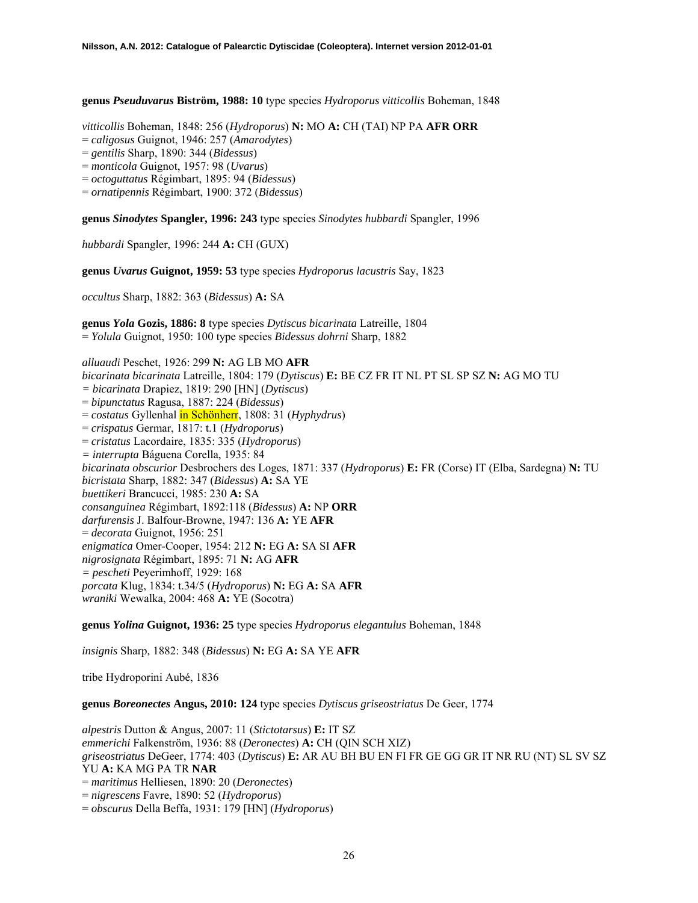**genus** *Pseuduvarus* **Biström, 1988: 10** type species *Hydroporus vitticollis* Boheman, 1848

*vitticollis* Boheman, 1848: 256 (*Hydroporus*) **N:** MO **A:** CH (TAI) NP PA **AFR ORR** 

= *caligosus* Guignot, 1946: 257 (*Amarodytes*)

= *gentilis* Sharp, 1890: 344 (*Bidessus*)

= *monticola* Guignot, 1957: 98 (*Uvarus*)

= *octoguttatus* Régimbart, 1895: 94 (*Bidessus*)

= *ornatipennis* Régimbart, 1900: 372 (*Bidessus*)

**genus** *Sinodytes* **Spangler, 1996: 243** type species *Sinodytes hubbardi* Spangler, 1996

*hubbardi* Spangler, 1996: 244 **A:** CH (GUX)

**genus** *Uvarus* **Guignot, 1959: 53** type species *Hydroporus lacustris* Say, 1823

*occultus* Sharp, 1882: 363 (*Bidessus*) **A:** SA

**genus** *Yola* **Gozis, 1886: 8** type species *Dytiscus bicarinata* Latreille, 1804 = *Yolula* Guignot, 1950: 100 type species *Bidessus dohrni* Sharp, 1882

*alluaudi* Peschet, 1926: 299 **N:** AG LB MO **AFR**  *bicarinata bicarinata* Latreille, 1804: 179 (*Dytiscus*) **E:** BE CZ FR IT NL PT SL SP SZ **N:** AG MO TU *= bicarinata* Drapiez, 1819: 290 [HN] (*Dytiscus*) = *bipunctatus* Ragusa, 1887: 224 (*Bidessus*) = *costatus* Gyllenhal in Schönherr, 1808: 31 (*Hyphydrus*) = *crispatus* Germar, 1817: t.1 (*Hydroporus*) = *cristatus* Lacordaire, 1835: 335 (*Hydroporus*) *= interrupta* Báguena Corella, 1935: 84 *bicarinata obscurior* Desbrochers des Loges, 1871: 337 (*Hydroporus*) **E:** FR (Corse) IT (Elba, Sardegna) **N:** TU *bicristata* Sharp, 1882: 347 (*Bidessus*) **A:** SA YE *buettikeri* Brancucci, 1985: 230 **A:** SA *consanguinea* Régimbart, 1892:118 (*Bidessus*) **A:** NP **ORR** *darfurensis* J. Balfour-Browne, 1947: 136 **A:** YE **AFR**  = *decorata* Guignot, 1956: 251 *enigmatica* Omer-Cooper, 1954: 212 **N:** EG **A:** SA SI **AFR**  *nigrosignata* Régimbart, 1895: 71 **N:** AG **AFR**  *= pescheti* Peyerimhoff, 1929: 168 *porcata* Klug, 1834: t.34/5 (*Hydroporus*) **N:** EG **A:** SA **AFR**  *wraniki* Wewalka, 2004: 468 **A:** YE (Socotra)

**genus** *Yolina* **Guignot, 1936: 25** type species *Hydroporus elegantulus* Boheman, 1848

*insignis* Sharp, 1882: 348 (*Bidessus*) **N:** EG **A:** SA YE **AFR** 

tribe Hydroporini Aubé, 1836

**genus** *Boreonectes* **Angus, 2010: 124** type species *Dytiscus griseostriatus* De Geer, 1774

*alpestris* Dutton & Angus, 2007: 11 (*Stictotarsus*) **E:** IT SZ *emmerichi* Falkenström, 1936: 88 (*Deronectes*) **A:** CH (QIN SCH XIZ) *griseostriatus* DeGeer, 1774: 403 (*Dytiscus*) **E:** AR AU BH BU EN FI FR GE GG GR IT NR RU (NT) SL SV SZ YU **A:** KA MG PA TR **NAR** = *maritimus* Helliesen, 1890: 20 (*Deronectes*) = *nigrescens* Favre, 1890: 52 (*Hydroporus*) = *obscurus* Della Beffa, 1931: 179 [HN] (*Hydroporus*)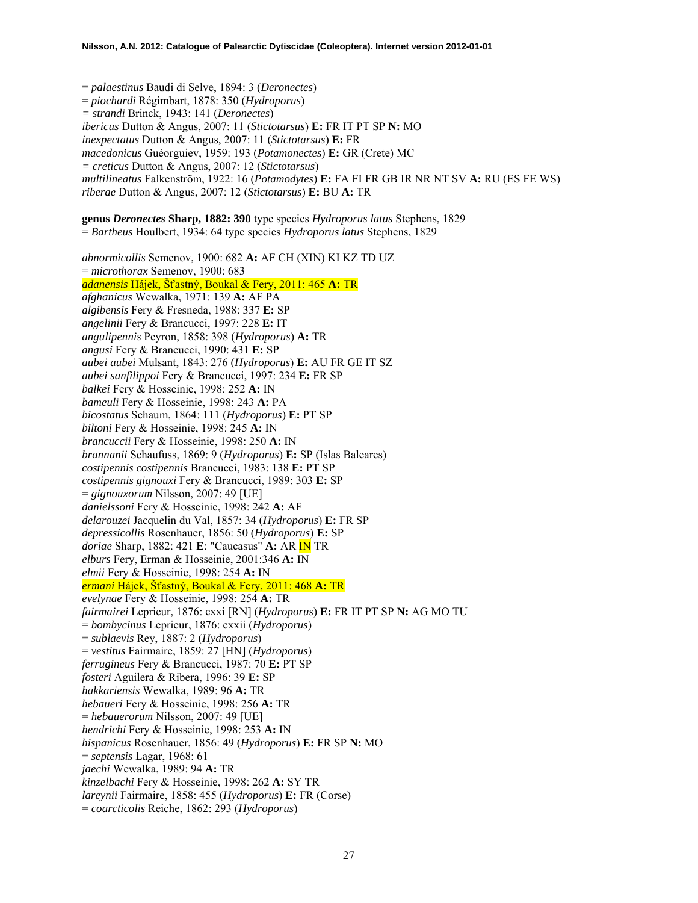= *palaestinus* Baudi di Selve, 1894: 3 (*Deronectes*) = *piochardi* Régimbart, 1878: 350 (*Hydroporus*) *= strandi* Brinck, 1943: 141 (*Deronectes*) *ibericus* Dutton & Angus, 2007: 11 (*Stictotarsus*) **E:** FR IT PT SP **N:** MO *inexpectatus* Dutton & Angus, 2007: 11 (*Stictotarsus*) **E:** FR *macedonicus* Guéorguiev, 1959: 193 (*Potamonectes*) **E:** GR (Crete) MC *= creticus* Dutton & Angus, 2007: 12 (*Stictotarsus*) *multilineatus* Falkenström, 1922: 16 (*Potamodytes*) **E:** FA FI FR GB IR NR NT SV **A:** RU (ES FE WS) *riberae* Dutton & Angus, 2007: 12 (*Stictotarsus*) **E:** BU **A:** TR

**genus** *Deronectes* **Sharp, 1882: 390** type species *Hydroporus latus* Stephens, 1829 = *Bartheus* Houlbert, 1934: 64 type species *Hydroporus latus* Stephens, 1829 *abnormicollis* Semenov, 1900: 682 **A:** AF CH (XIN) KI KZ TD UZ = *microthorax* Semenov, 1900: 683 *adanensis* Hájek, Šťastný, Boukal & Fery, 2011: 465 **A:** TR *afghanicus* Wewalka, 1971: 139 **A:** AF PA *algibensis* Fery & Fresneda, 1988: 337 **E:** SP *angelinii* Fery & Brancucci, 1997: 228 **E:** IT *angulipennis* Peyron, 1858: 398 (*Hydroporus*) **A:** TR *angusi* Fery & Brancucci, 1990: 431 **E:** SP *aubei aubei* Mulsant, 1843: 276 (*Hydroporus*) **E:** AU FR GE IT SZ *aubei sanfilippoi* Fery & Brancucci, 1997: 234 **E:** FR SP *balkei* Fery & Hosseinie, 1998: 252 **A:** IN *bameuli* Fery & Hosseinie, 1998: 243 **A:** PA *bicostatus* Schaum, 1864: 111 (*Hydroporus*) **E:** PT SP *biltoni* Fery & Hosseinie, 1998: 245 **A:** IN *brancuccii* Fery & Hosseinie, 1998: 250 **A:** IN *brannanii* Schaufuss, 1869: 9 (*Hydroporus*) **E:** SP (Islas Baleares) *costipennis costipennis* Brancucci, 1983: 138 **E:** PT SP *costipennis gignouxi* Fery & Brancucci, 1989: 303 **E:** SP = *gignouxorum* Nilsson, 2007: 49 [UE] *danielssoni* Fery & Hosseinie, 1998: 242 **A:** AF *delarouzei* Jacquelin du Val, 1857: 34 (*Hydroporus*) **E:** FR SP *depressicollis* Rosenhauer, 1856: 50 (*Hydroporus*) **E:** SP *doriae* Sharp, 1882: 421 **E**: "Caucasus" **A:** AR IN TR *elburs* Fery, Erman & Hosseinie, 2001:346 **A:** IN *elmii* Fery & Hosseinie, 1998: 254 **A:** IN *ermani* Hájek, Šťastný, Boukal & Fery, 2011: 468 **A:** TR *evelynae* Fery & Hosseinie, 1998: 254 **A:** TR *fairmairei* Leprieur, 1876: cxxi [RN] (*Hydroporus*) **E:** FR IT PT SP **N:** AG MO TU = *bombycinus* Leprieur, 1876: cxxii (*Hydroporus*) = *sublaevis* Rey, 1887: 2 (*Hydroporus*) = *vestitus* Fairmaire, 1859: 27 [HN] (*Hydroporus*) *ferrugineus* Fery & Brancucci, 1987: 70 **E:** PT SP *fosteri* Aguilera & Ribera, 1996: 39 **E:** SP *hakkariensis* Wewalka, 1989: 96 **A:** TR *hebaueri* Fery & Hosseinie, 1998: 256 **A:** TR = *hebauerorum* Nilsson, 2007: 49 [UE] *hendrichi* Fery & Hosseinie, 1998: 253 **A:** IN *hispanicus* Rosenhauer, 1856: 49 (*Hydroporus*) **E:** FR SP **N:** MO = *septensis* Lagar, 1968: 61 *jaechi* Wewalka, 1989: 94 **A:** TR *kinzelbachi* Fery & Hosseinie, 1998: 262 **A:** SY TR *lareynii* Fairmaire, 1858: 455 (*Hydroporus*) **E:** FR (Corse) = *coarcticolis* Reiche, 1862: 293 (*Hydroporus*)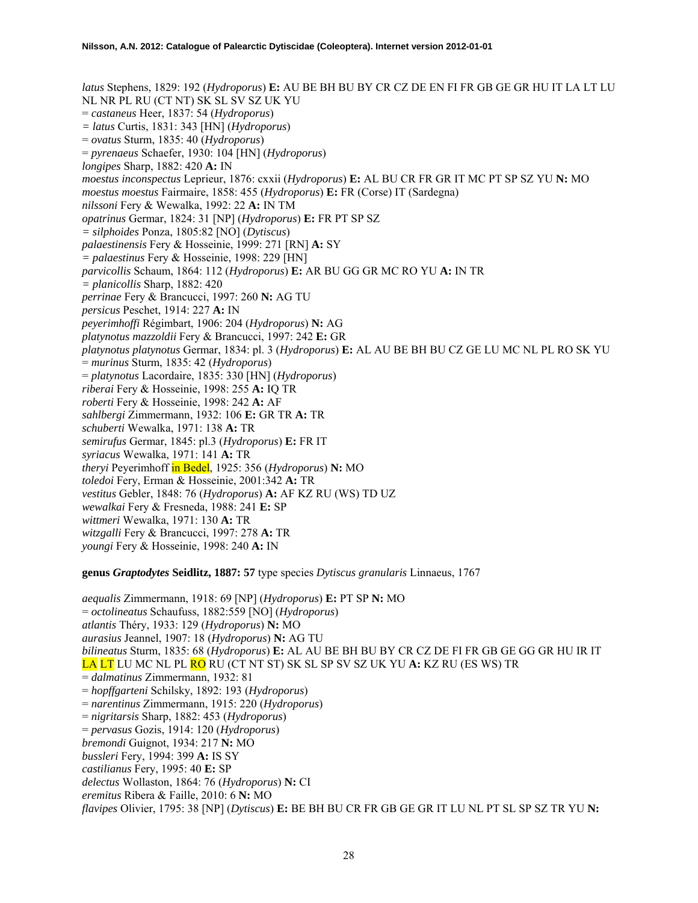*latus* Stephens, 1829: 192 (*Hydroporus*) **E:** AU BE BH BU BY CR CZ DE EN FI FR GB GE GR HU IT LA LT LU NL NR PL RU (CT NT) SK SL SV SZ UK YU = *castaneus* Heer, 1837: 54 (*Hydroporus*) *= latus* Curtis, 1831: 343 [HN] (*Hydroporus*) = *ovatus* Sturm, 1835: 40 (*Hydroporus*) = *pyrenaeus* Schaefer, 1930: 104 [HN] (*Hydroporus*) *longipes* Sharp, 1882: 420 **A:** IN *moestus inconspectus* Leprieur, 1876: cxxii (*Hydroporus*) **E:** AL BU CR FR GR IT MC PT SP SZ YU **N:** MO *moestus moestus* Fairmaire, 1858: 455 (*Hydroporus*) **E:** FR (Corse) IT (Sardegna) *nilssoni* Fery & Wewalka, 1992: 22 **A:** IN TM *opatrinus* Germar, 1824: 31 [NP] (*Hydroporus*) **E:** FR PT SP SZ *= silphoides* Ponza, 1805:82 [NO] (*Dytiscus*) *palaestinensis* Fery & Hosseinie, 1999: 271 [RN] **A:** SY *= palaestinus* Fery & Hosseinie, 1998: 229 [HN] *parvicollis* Schaum, 1864: 112 (*Hydroporus*) **E:** AR BU GG GR MC RO YU **A:** IN TR *= planicollis* Sharp, 1882: 420 *perrinae* Fery & Brancucci, 1997: 260 **N:** AG TU *persicus* Peschet, 1914: 227 **A:** IN *peyerimhoffi* Régimbart, 1906: 204 (*Hydroporus*) **N:** AG *platynotus mazzoldii* Fery & Brancucci, 1997: 242 **E:** GR *platynotus platynotus* Germar, 1834: pl. 3 (*Hydroporus*) **E:** AL AU BE BH BU CZ GE LU MC NL PL RO SK YU = *murinus* Sturm, 1835: 42 (*Hydroporus*) = *platynotus* Lacordaire, 1835: 330 [HN] (*Hydroporus*) *riberai* Fery & Hosseinie, 1998: 255 **A:** IQ TR *roberti* Fery & Hosseinie, 1998: 242 **A:** AF *sahlbergi* Zimmermann, 1932: 106 **E:** GR TR **A:** TR *schuberti* Wewalka, 1971: 138 **A:** TR *semirufus* Germar, 1845: pl.3 (*Hydroporus*) **E:** FR IT *syriacus* Wewalka, 1971: 141 **A:** TR *theryi* Peyerimhoff in Bedel, 1925: 356 (*Hydroporus*) **N:** MO *toledoi* Fery, Erman & Hosseinie, 2001:342 **A:** TR *vestitus* Gebler, 1848: 76 (*Hydroporus*) **A:** AF KZ RU (WS) TD UZ *wewalkai* Fery & Fresneda, 1988: 241 **E:** SP *wittmeri* Wewalka, 1971: 130 **A:** TR *witzgalli* Fery & Brancucci, 1997: 278 **A:** TR *youngi* Fery & Hosseinie, 1998: 240 **A:** IN

**genus** *Graptodytes* **Seidlitz, 1887: 57** type species *Dytiscus granularis* Linnaeus, 1767

*aequalis* Zimmermann, 1918: 69 [NP] (*Hydroporus*) **E:** PT SP **N:** MO = *octolineatus* Schaufuss, 1882:559 [NO] (*Hydroporus*) *atlantis* Théry, 1933: 129 (*Hydroporus*) **N:** MO *aurasius* Jeannel, 1907: 18 (*Hydroporus*) **N:** AG TU *bilineatus* Sturm, 1835: 68 (*Hydroporus*) **E:** AL AU BE BH BU BY CR CZ DE FI FR GB GE GG GR HU IR IT LA LT LU MC NL PL RO RU (CT NT ST) SK SL SP SV SZ UK YU **A:** KZ RU (ES WS) TR = *dalmatinus* Zimmermann, 1932: 81 = *hopffgarteni* Schilsky, 1892: 193 (*Hydroporus*) = *narentinus* Zimmermann, 1915: 220 (*Hydroporus*) = *nigritarsis* Sharp, 1882: 453 (*Hydroporus*) = *pervasus* Gozis, 1914: 120 (*Hydroporus*) *bremondi* Guignot, 1934: 217 **N:** MO *bussleri* Fery, 1994: 399 **A:** IS SY *castilianus* Fery, 1995: 40 **E:** SP *delectus* Wollaston, 1864: 76 (*Hydroporus*) **N:** CI *eremitus* Ribera & Faille, 2010: 6 **N:** MO *flavipes* Olivier, 1795: 38 [NP] (*Dytiscus*) **E:** BE BH BU CR FR GB GE GR IT LU NL PT SL SP SZ TR YU **N:**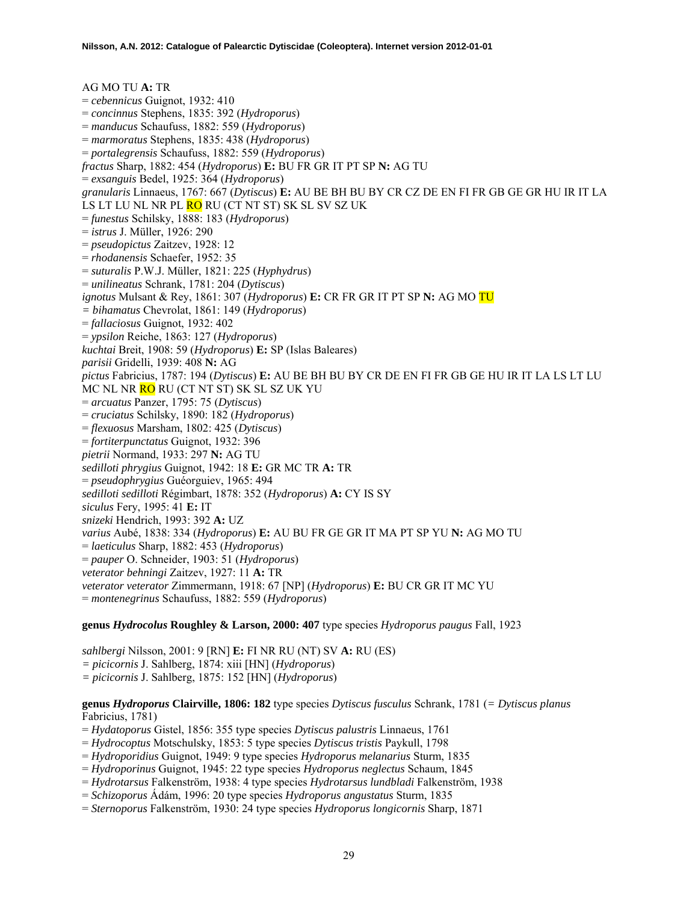AG MO TU **A:** TR = *cebennicus* Guignot, 1932: 410 = *concinnus* Stephens, 1835: 392 (*Hydroporus*) = *manducus* Schaufuss, 1882: 559 (*Hydroporus*) = *marmoratus* Stephens, 1835: 438 (*Hydroporus*) = *portalegrensis* Schaufuss, 1882: 559 (*Hydroporus*) *fractus* Sharp, 1882: 454 (*Hydroporus*) **E:** BU FR GR IT PT SP **N:** AG TU = *exsanguis* Bedel, 1925: 364 (*Hydroporus*) *granularis* Linnaeus, 1767: 667 (*Dytiscus*) **E:** AU BE BH BU BY CR CZ DE EN FI FR GB GE GR HU IR IT LA LS LT LU NL NR PL <mark>RO</mark> RU (CT NT ST) SK SL SV SZ UK = *funestus* Schilsky, 1888: 183 (*Hydroporus*) = *istrus* J. Müller, 1926: 290 = *pseudopictus* Zaitzev, 1928: 12 = *rhodanensis* Schaefer, 1952: 35 = *suturalis* P.W.J. Müller, 1821: 225 (*Hyphydrus*) = *unilineatus* Schrank, 1781: 204 (*Dytiscus*) *ignotus* Mulsant & Rey, 1861: 307 (*Hydroporus*) **E:** CR FR GR IT PT SP **N:** AG MO TU *= bihamatus* Chevrolat, 1861: 149 (*Hydroporus*) = *fallaciosus* Guignot, 1932: 402 = *ypsilon* Reiche, 1863: 127 (*Hydroporus*) *kuchtai* Breit, 1908: 59 (*Hydroporus*) **E:** SP (Islas Baleares) *parisii* Gridelli, 1939: 408 **N:** AG *pictus* Fabricius, 1787: 194 (*Dytiscus*) **E:** AU BE BH BU BY CR DE EN FI FR GB GE HU IR IT LA LS LT LU MC NL NR RO RU (CT NT ST) SK SL SZ UK YU = *arcuatus* Panzer, 1795: 75 (*Dytiscus*) = *cruciatus* Schilsky, 1890: 182 (*Hydroporus*) = *flexuosus* Marsham, 1802: 425 (*Dytiscus*) = *fortiterpunctatus* Guignot, 1932: 396 *pietrii* Normand, 1933: 297 **N:** AG TU *sedilloti phrygius* Guignot, 1942: 18 **E:** GR MC TR **A:** TR = *pseudophrygius* Guéorguiev, 1965: 494 *sedilloti sedilloti* Régimbart, 1878: 352 (*Hydroporus*) **A:** CY IS SY *siculus* Fery, 1995: 41 **E:** IT *snizeki* Hendrich, 1993: 392 **A:** UZ *varius* Aubé, 1838: 334 (*Hydroporus*) **E:** AU BU FR GE GR IT MA PT SP YU **N:** AG MO TU = *laeticulus* Sharp, 1882: 453 (*Hydroporus*) = *pauper* O. Schneider, 1903: 51 (*Hydroporus*) *veterator behningi* Zaitzev, 1927: 11 **A:** TR *veterator veterator* Zimmermann, 1918: 67 [NP] (*Hydroporus*) **E:** BU CR GR IT MC YU = *montenegrinus* Schaufuss, 1882: 559 (*Hydroporus*)

# **genus** *Hydrocolus* **Roughley & Larson, 2000: 407** type species *Hydroporus paugus* Fall, 1923

*sahlbergi* Nilsson, 2001: 9 [RN] **E:** FI NR RU (NT) SV **A:** RU (ES) *= picicornis* J. Sahlberg, 1874: xiii [HN] (*Hydroporus*) *= picicornis* J. Sahlberg, 1875: 152 [HN] (*Hydroporus*)

# **genus** *Hydroporus* **Clairville, 1806: 182** type species *Dytiscus fusculus* Schrank, 1781 (*= Dytiscus planus* Fabricius, 1781)

- = *Hydatoporus* Gistel, 1856: 355 type species *Dytiscus palustris* Linnaeus, 1761
- = *Hydrocoptus* Motschulsky, 1853: 5 type species *Dytiscus tristis* Paykull, 1798
- = *Hydroporidius* Guignot, 1949: 9 type species *Hydroporus melanarius* Sturm, 1835
- = *Hydroporinus* Guignot, 1945: 22 type species *Hydroporus neglectus* Schaum, 1845
- = *Hydrotarsus* Falkenström, 1938: 4 type species *Hydrotarsus lundbladi* Falkenström, 1938
- = *Schizoporus* Ádám, 1996: 20 type species *Hydroporus angustatus* Sturm, 1835
- = *Sternoporus* Falkenström, 1930: 24 type species *Hydroporus longicornis* Sharp, 1871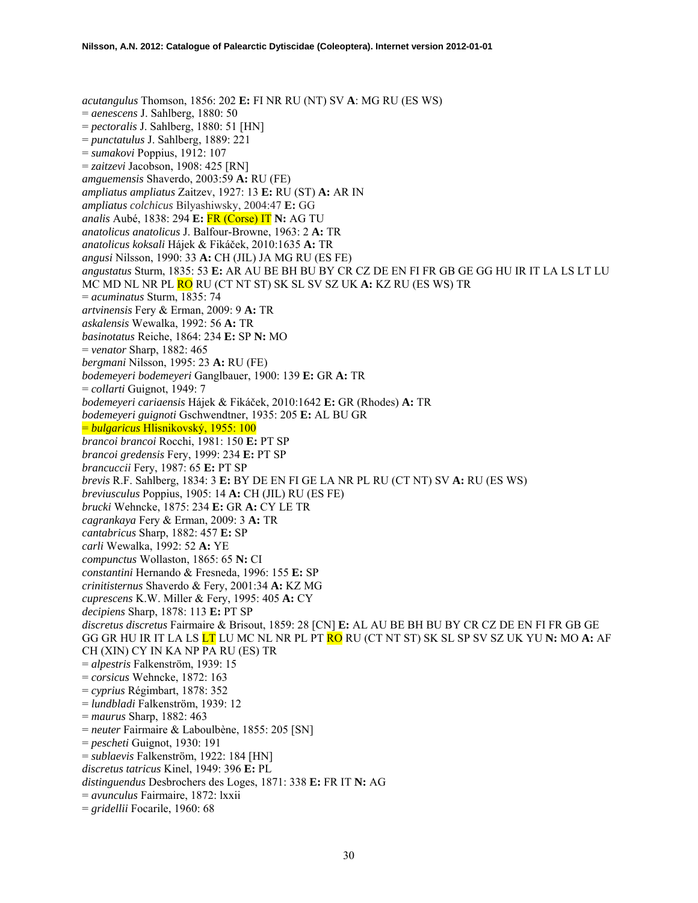*acutangulus* Thomson, 1856: 202 **E:** FI NR RU (NT) SV **A**: MG RU (ES WS) = *aenescens* J. Sahlberg, 1880: 50 = *pectoralis* J. Sahlberg, 1880: 51 [HN] = *punctatulus* J. Sahlberg, 1889: 221 = *sumakovi* Poppius, 1912: 107 = *zaitzevi* Jacobson, 1908: 425 [RN] *amguemensis* Shaverdo, 2003:59 **A:** RU (FE) *ampliatus ampliatus* Zaitzev, 1927: 13 **E:** RU (ST) **A:** AR IN *ampliatus colchicus* Bilyashiwsky, 2004:47 **E:** GG *analis* Aubé, 1838: 294 **E:** FR (Corse) IT **N:** AG TU *anatolicus anatolicus* J. Balfour-Browne, 1963: 2 **A:** TR *anatolicus koksali* Hájek & Fikáček, 2010:1635 **A:** TR *angusi* Nilsson, 1990: 33 **A:** CH (JIL) JA MG RU (ES FE) *angustatus* Sturm, 1835: 53 **E:** AR AU BE BH BU BY CR CZ DE EN FI FR GB GE GG HU IR IT LA LS LT LU MC MD NL NR PL RO RU (CT NT ST) SK SL SV SZ UK **A:** KZ RU (ES WS) TR = *acuminatus* Sturm, 1835: 74 *artvinensis* Fery & Erman, 2009: 9 **A:** TR *askalensis* Wewalka, 1992: 56 **A:** TR *basinotatus* Reiche, 1864: 234 **E:** SP **N:** MO = *venator* Sharp, 1882: 465 *bergmani* Nilsson, 1995: 23 **A:** RU (FE) *bodemeyeri bodemeyeri* Ganglbauer, 1900: 139 **E:** GR **A:** TR = *collarti* Guignot, 1949: 7 *bodemeyeri cariaensis* Hájek & Fikáček, 2010:1642 **E:** GR (Rhodes) **A:** TR *bodemeyeri guignoti* Gschwendtner, 1935: 205 **E:** AL BU GR = *bulgaricus* Hlisnikovský, 1955: 100 *brancoi brancoi* Rocchi, 1981: 150 **E:** PT SP *brancoi gredensis* Fery, 1999: 234 **E:** PT SP *brancuccii* Fery, 1987: 65 **E:** PT SP *brevis* R.F. Sahlberg, 1834: 3 **E:** BY DE EN FI GE LA NR PL RU (CT NT) SV **A:** RU (ES WS) *breviusculus* Poppius, 1905: 14 **A:** CH (JIL) RU (ES FE) *brucki* Wehncke, 1875: 234 **E:** GR **A:** CY LE TR *cagrankaya* Fery & Erman, 2009: 3 **A:** TR *cantabricus* Sharp, 1882: 457 **E:** SP *carli* Wewalka, 1992: 52 **A:** YE *compunctus* Wollaston, 1865: 65 **N:** CI *constantini* Hernando & Fresneda, 1996: 155 **E:** SP *crinitisternus* Shaverdo & Fery, 2001:34 **A:** KZ MG *cuprescens* K.W. Miller & Fery, 1995: 405 **A:** CY *decipiens* Sharp, 1878: 113 **E:** PT SP *discretus discretus* Fairmaire & Brisout, 1859: 28 [CN] **E:** AL AU BE BH BU BY CR CZ DE EN FI FR GB GE GG GR HU IR IT LA LS LT LU MC NL NR PL PT RO RU (CT NT ST) SK SL SP SV SZ UK YU **N:** MO **A:** AF CH (XIN) CY IN KA NP PA RU (ES) TR = *alpestris* Falkenström, 1939: 15 = *corsicus* Wehncke, 1872: 163 = *cyprius* Régimbart, 1878: 352 = *lundbladi* Falkenström, 1939: 12 = *maurus* Sharp, 1882: 463 = *neuter* Fairmaire & Laboulbène, 1855: 205 [SN] = *pescheti* Guignot, 1930: 191 = *sublaevis* Falkenström, 1922: 184 [HN] *discretus tatricus* Kinel, 1949: 396 **E:** PL *distinguendus* Desbrochers des Loges, 1871: 338 **E:** FR IT **N:** AG = *avunculus* Fairmaire, 1872: lxxii = *gridellii* Focarile, 1960: 68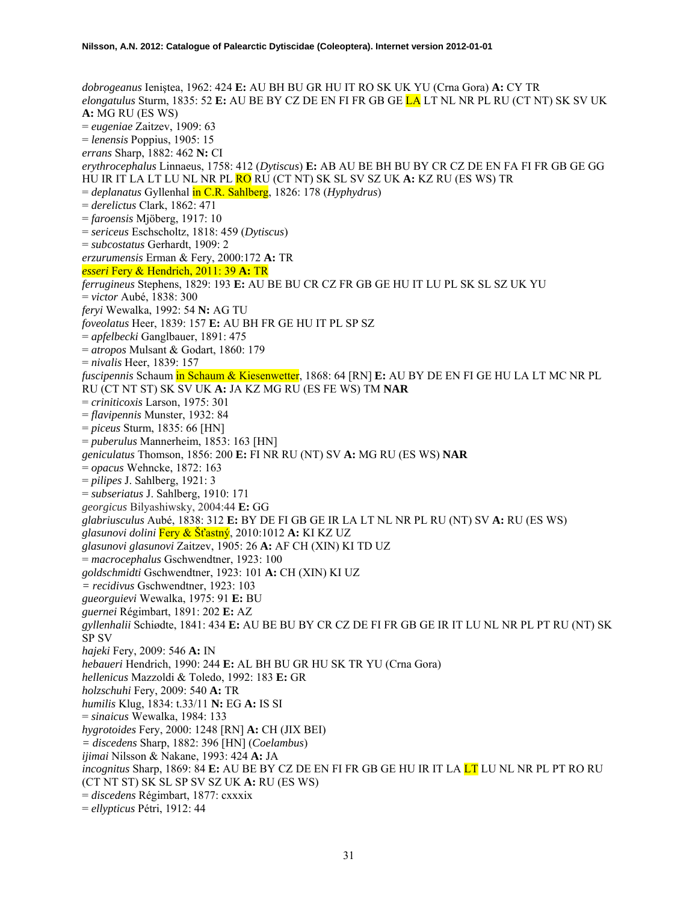*dobrogeanus* Ieniştea, 1962: 424 **E:** AU BH BU GR HU IT RO SK UK YU (Crna Gora) **A:** CY TR *elongatulus* Sturm, 1835: 52 **E:** AU BE BY CZ DE EN FI FR GB GE LA LT NL NR PL RU (CT NT) SK SV UK **A:** MG RU (ES WS) = *eugeniae* Zaitzev, 1909: 63 = *lenensis* Poppius, 1905: 15 *errans* Sharp, 1882: 462 **N:** CI *erythrocephalus* Linnaeus, 1758: 412 (*Dytiscus*) **E:** AB AU BE BH BU BY CR CZ DE EN FA FI FR GB GE GG HU IR IT LA LT LU NL NR PL RO RU (CT NT) SK SL SV SZ UK **A:** KZ RU (ES WS) TR = *deplanatus* Gyllenhal in C.R. Sahlberg, 1826: 178 (*Hyphydrus*) = *derelictus* Clark, 1862: 471 = *faroensis* Mjöberg, 1917: 10 = *sericeus* Eschscholtz, 1818: 459 (*Dytiscus*) = *subcostatus* Gerhardt, 1909: 2 *erzurumensis* Erman & Fery, 2000:172 **A:** TR *esseri* Fery & Hendrich, 2011: 39 **A:** TR *ferrugineus* Stephens, 1829: 193 **E:** AU BE BU CR CZ FR GB GE HU IT LU PL SK SL SZ UK YU = *victor* Aubé, 1838: 300 *feryi* Wewalka, 1992: 54 **N:** AG TU *foveolatus* Heer, 1839: 157 **E:** AU BH FR GE HU IT PL SP SZ = *apfelbecki* Ganglbauer, 1891: 475 = *atropos* Mulsant & Godart, 1860: 179 = *nivalis* Heer, 1839: 157 *fuscipennis* Schaum in Schaum & Kiesenwetter, 1868: 64 [RN] **E:** AU BY DE EN FI GE HU LA LT MC NR PL RU (CT NT ST) SK SV UK **A:** JA KZ MG RU (ES FE WS) TM **NAR**  = *criniticoxis* Larson, 1975: 301 = *flavipennis* Munster, 1932: 84 = *piceus* Sturm, 1835: 66 [HN] = *puberulus* Mannerheim, 1853: 163 [HN] *geniculatus* Thomson, 1856: 200 **E:** FI NR RU (NT) SV **A:** MG RU (ES WS) **NAR**  = *opacus* Wehncke, 1872: 163 = *pilipes* J. Sahlberg, 1921: 3 = *subseriatus* J. Sahlberg, 1910: 171 *georgicus* Bilyashiwsky, 2004:44 **E:** GG *glabriusculus* Aubé, 1838: 312 **E:** BY DE FI GB GE IR LA LT NL NR PL RU (NT) SV **A:** RU (ES WS) *glasunovi dolini* Fery & Šťastný, 2010:1012 **A:** KI KZ UZ *glasunovi glasunovi* Zaitzev, 1905: 26 **A:** AF CH (XIN) KI TD UZ = *macrocephalus* Gschwendtner, 1923: 100 *goldschmidti* Gschwendtner, 1923: 101 **A:** CH (XIN) KI UZ *= recidivus* Gschwendtner, 1923: 103 *gueorguievi* Wewalka, 1975: 91 **E:** BU *guernei* Régimbart, 1891: 202 **E:** AZ *gyllenhalii* Schiødte, 1841: 434 **E:** AU BE BU BY CR CZ DE FI FR GB GE IR IT LU NL NR PL PT RU (NT) SK SP SV *hajeki* Fery, 2009: 546 **A:** IN *hebaueri* Hendrich, 1990: 244 **E:** AL BH BU GR HU SK TR YU (Crna Gora) *hellenicus* Mazzoldi & Toledo, 1992: 183 **E:** GR *holzschuhi* Fery, 2009: 540 **A:** TR *humilis* Klug, 1834: t.33/11 **N:** EG **A:** IS SI = *sinaicus* Wewalka, 1984: 133 *hygrotoides* Fery, 2000: 1248 [RN] **A:** CH (JIX BEI) *= discedens* Sharp, 1882: 396 [HN] (*Coelambus*) *ijimai* Nilsson & Nakane, 1993: 424 **A:** JA *incognitus* Sharp, 1869: 84 **E:** AU BE BY CZ DE EN FI FR GB GE HU IR IT LA LT LU NL NR PL PT RO RU (CT NT ST) SK SL SP SV SZ UK **A:** RU (ES WS) = *discedens* Régimbart, 1877: cxxxix = *ellypticus* Pétri, 1912: 44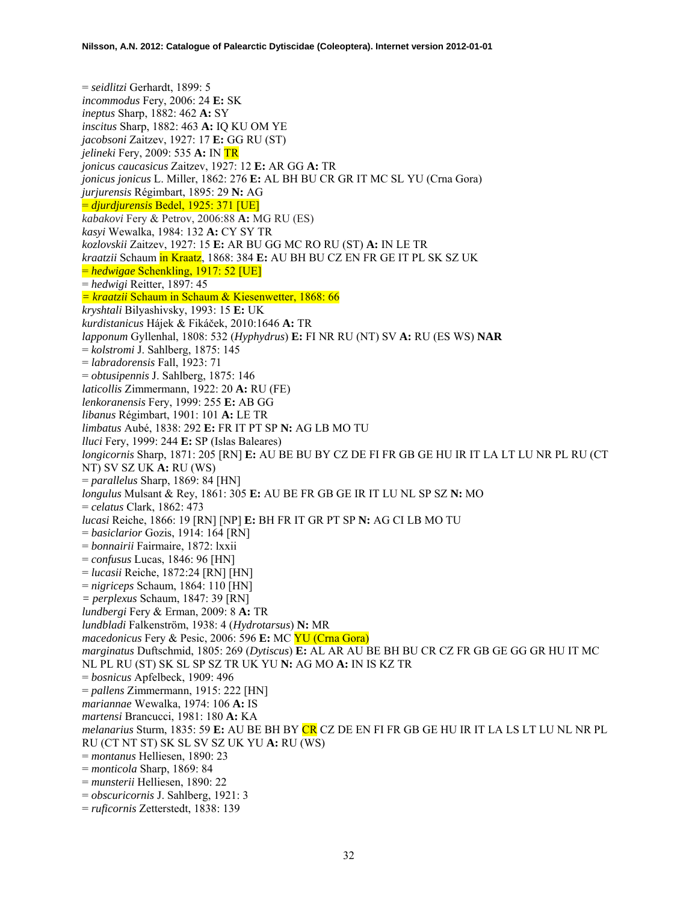= *seidlitzi* Gerhardt, 1899: 5 *incommodus* Fery, 2006: 24 **E:** SK *ineptus* Sharp, 1882: 462 **A:** SY *inscitus* Sharp, 1882: 463 **A:** IQ KU OM YE *jacobsoni* Zaitzev, 1927: 17 **E:** GG RU (ST) *jelineki* Fery, 2009: 535 **A:** IN TR *jonicus caucasicus* Zaitzev, 1927: 12 **E:** AR GG **A:** TR *jonicus jonicus* L. Miller, 1862: 276 **E:** AL BH BU CR GR IT MC SL YU (Crna Gora) *jurjurensis* Régimbart, 1895: 29 **N:** AG = *djurdjurensis* Bedel, 1925: 371 [UE] *kabakovi* Fery & Petrov, 2006:88 **A:** MG RU (ES) *kasyi* Wewalka, 1984: 132 **A:** CY SY TR *kozlovskii* Zaitzev, 1927: 15 **E:** AR BU GG MC RO RU (ST) **A:** IN LE TR *kraatzii* Schaum in Kraatz, 1868: 384 **E:** AU BH BU CZ EN FR GE IT PL SK SZ UK = *hedwigae* Schenkling, 1917: 52 [UE] = *hedwigi* Reitter, 1897: 45 *= kraatzii* Schaum in Schaum & Kiesenwetter, 1868: 66 *kryshtali* Bilyashivsky, 1993: 15 **E:** UK *kurdistanicus* Hájek & Fikáček, 2010:1646 **A:** TR *lapponum* Gyllenhal, 1808: 532 (*Hyphydrus*) **E:** FI NR RU (NT) SV **A:** RU (ES WS) **NAR**  = *kolstromi* J. Sahlberg, 1875: 145 = *labradorensis* Fall, 1923: 71 = *obtusipennis* J. Sahlberg, 1875: 146 *laticollis* Zimmermann, 1922: 20 **A:** RU (FE) *lenkoranensis* Fery, 1999: 255 **E:** AB GG *libanus* Régimbart, 1901: 101 **A:** LE TR *limbatus* Aubé, 1838: 292 **E:** FR IT PT SP **N:** AG LB MO TU *lluci* Fery, 1999: 244 **E:** SP (Islas Baleares) *longicornis* Sharp, 1871: 205 [RN] **E:** AU BE BU BY CZ DE FI FR GB GE HU IR IT LA LT LU NR PL RU (CT NT) SV SZ UK **A:** RU (WS) = *parallelus* Sharp, 1869: 84 [HN] *longulus* Mulsant & Rey, 1861: 305 **E:** AU BE FR GB GE IR IT LU NL SP SZ **N:** MO = *celatus* Clark, 1862: 473 *lucasi* Reiche, 1866: 19 [RN] [NP] **E:** BH FR IT GR PT SP **N:** AG CI LB MO TU = *basiclarior* Gozis, 1914: 164 [RN] = *bonnairii* Fairmaire, 1872: lxxii = *confusus* Lucas, 1846: 96 [HN] = *lucasii* Reiche, 1872:24 [RN] [HN] = *nigriceps* Schaum, 1864: 110 [HN] *= perplexus* Schaum, 1847: 39 [RN] *lundbergi* Fery & Erman, 2009: 8 **A:** TR *lundbladi* Falkenström, 1938: 4 (*Hydrotarsus*) **N:** MR *macedonicus* Fery & Pesic, 2006: 596 **E:** MC YU (Crna Gora) *marginatus* Duftschmid, 1805: 269 (*Dytiscus*) **E:** AL AR AU BE BH BU CR CZ FR GB GE GG GR HU IT MC NL PL RU (ST) SK SL SP SZ TR UK YU **N:** AG MO **A:** IN IS KZ TR = *bosnicus* Apfelbeck, 1909: 496 = *pallens* Zimmermann, 1915: 222 [HN] *mariannae* Wewalka, 1974: 106 **A:** IS *martensi* Brancucci, 1981: 180 **A:** KA *melanarius* Sturm, 1835: 59 **E:** AU BE BH BY CR CZ DE EN FI FR GB GE HU IR IT LA LS LT LU NL NR PL RU (CT NT ST) SK SL SV SZ UK YU **A:** RU (WS) = *montanus* Helliesen, 1890: 23 = *monticola* Sharp, 1869: 84 = *munsterii* Helliesen, 1890: 22 = *obscuricornis* J. Sahlberg, 1921: 3 = *ruficornis* Zetterstedt, 1838: 139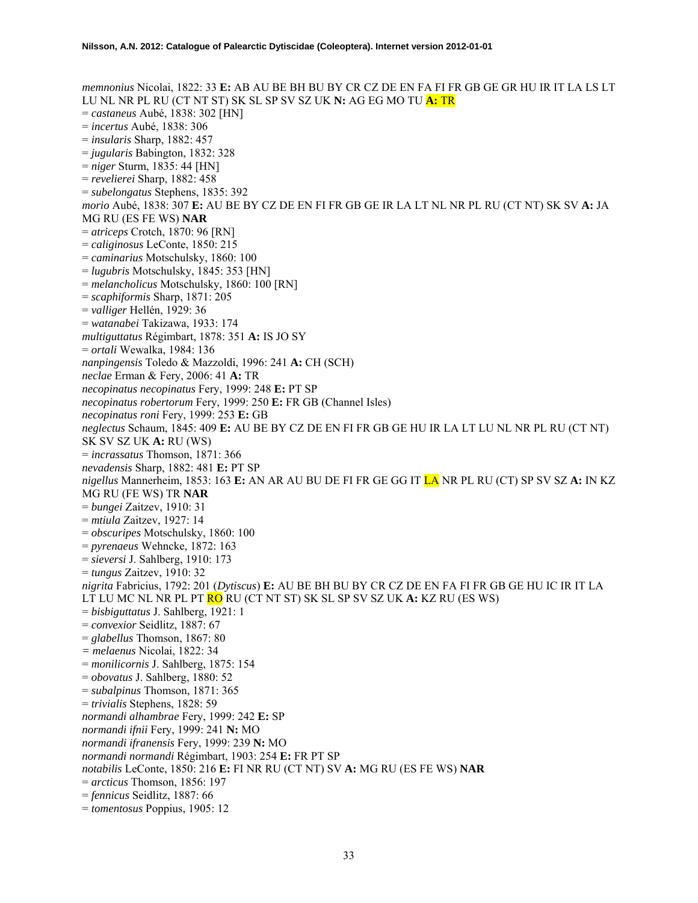*memnonius* Nicolai, 1822: 33 **E:** AB AU BE BH BU BY CR CZ DE EN FA FI FR GB GE GR HU IR IT LA LS LT LU NL NR PL RU (CT NT ST) SK SL SP SV SZ UK **N:** AG EG MO TU **A:** TR = *castaneus* Aubé, 1838: 302 [HN] = *incertus* Aubé, 1838: 306 = *insularis* Sharp, 1882: 457 = *jugularis* Babington, 1832: 328 = *niger* Sturm, 1835: 44 [HN] = *revelierei* Sharp, 1882: 458 = *subelongatus* Stephens, 1835: 392 *morio* Aubé, 1838: 307 **E:** AU BE BY CZ DE EN FI FR GB GE IR LA LT NL NR PL RU (CT NT) SK SV **A:** JA MG RU (ES FE WS) **NAR**  = *atriceps* Crotch, 1870: 96 [RN] = *caliginosus* LeConte, 1850: 215 = *caminarius* Motschulsky, 1860: 100 = *lugubris* Motschulsky, 1845: 353 [HN] = *melancholicus* Motschulsky, 1860: 100 [RN] = *scaphiformis* Sharp, 1871: 205 = *valliger* Hellén, 1929: 36 = *watanabei* Takizawa, 1933: 174 *multiguttatus* Régimbart, 1878: 351 **A:** IS JO SY = *ortali* Wewalka, 1984: 136 *nanpingensis* Toledo & Mazzoldi, 1996: 241 **A:** CH (SCH) *neclae* Erman & Fery, 2006: 41 **A:** TR *necopinatus necopinatus* Fery, 1999: 248 **E:** PT SP *necopinatus robertorum* Fery, 1999: 250 **E:** FR GB (Channel Isles) *necopinatus roni* Fery, 1999: 253 **E:** GB *neglectus* Schaum, 1845: 409 **E:** AU BE BY CZ DE EN FI FR GB GE HU IR LA LT LU NL NR PL RU (CT NT) SK SV SZ UK **A:** RU (WS) = *incrassatus* Thomson, 1871: 366 *nevadensis* Sharp, 1882: 481 **E:** PT SP *nigellus* Mannerheim, 1853: 163 **E:** AN AR AU BU DE FI FR GE GG IT LA NR PL RU (CT) SP SV SZ **A:** IN KZ MG RU (FE WS) TR **NAR**  = *bungei* Zaitzev, 1910: 31 = *mtiula* Zaitzev, 1927: 14 = *obscuripes* Motschulsky, 1860: 100 = *pyrenaeus* Wehncke, 1872: 163 = *sieversi* J. Sahlberg, 1910: 173 = *tungus* Zaitzev, 1910: 32 *nigrita* Fabricius, 1792: 201 (*Dytiscus*) **E:** AU BE BH BU BY CR CZ DE EN FA FI FR GB GE HU IC IR IT LA LT LU MC NL NR PL PT RO RU (CT NT ST) SK SL SP SV SZ UK **A:** KZ RU (ES WS) = *bisbiguttatus* J. Sahlberg, 1921: 1 = *convexior* Seidlitz, 1887: 67 = *glabellus* Thomson, 1867: 80 *= melaenus* Nicolai, 1822: 34 = *monilicornis* J. Sahlberg, 1875: 154 = *obovatus* J. Sahlberg, 1880: 52 = *subalpinus* Thomson, 1871: 365 = *trivialis* Stephens, 1828: 59 *normandi alhambrae* Fery, 1999: 242 **E:** SP *normandi ifnii* Fery, 1999: 241 **N:** MO *normandi ifranensis* Fery, 1999: 239 **N:** MO *normandi normandi* Régimbart, 1903: 254 **E:** FR PT SP *notabilis* LeConte, 1850: 216 **E:** FI NR RU (CT NT) SV **A:** MG RU (ES FE WS) **NAR**  = *arcticus* Thomson, 1856: 197 = *fennicus* Seidlitz, 1887: 66 = *tomentosus* Poppius, 1905: 12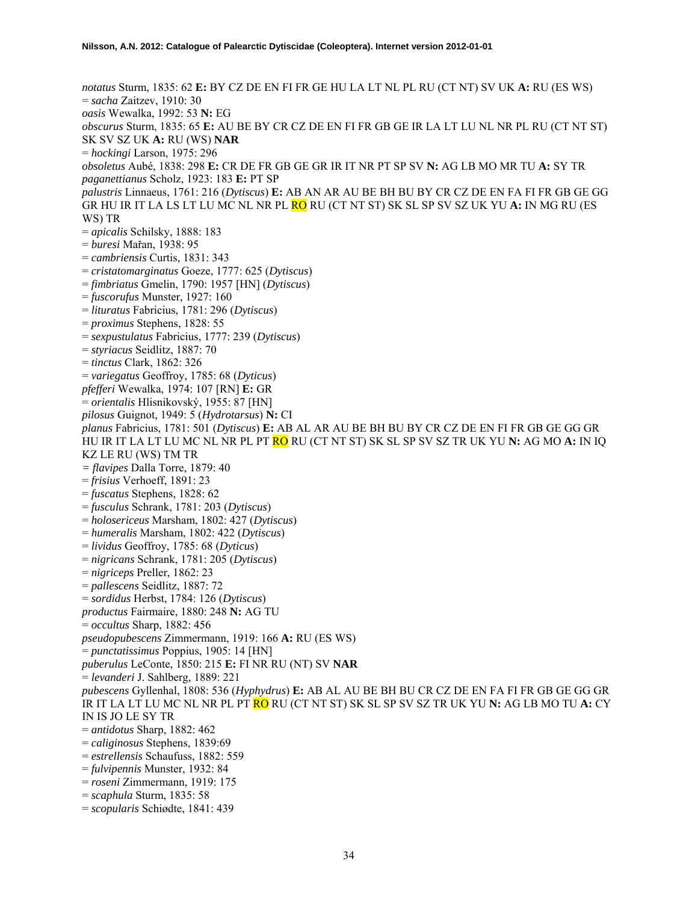*notatus* Sturm, 1835: 62 **E:** BY CZ DE EN FI FR GE HU LA LT NL PL RU (CT NT) SV UK **A:** RU (ES WS) = *sacha* Zaitzev, 1910: 30 *oasis* Wewalka, 1992: 53 **N:** EG *obscurus* Sturm, 1835: 65 **E:** AU BE BY CR CZ DE EN FI FR GB GE IR LA LT LU NL NR PL RU (CT NT ST) SK SV SZ UK **A:** RU (WS) **NAR**  = *hockingi* Larson, 1975: 296 *obsoletus* Aubé, 1838: 298 **E:** CR DE FR GB GE GR IR IT NR PT SP SV **N:** AG LB MO MR TU **A:** SY TR *paganettianus* Scholz, 1923: 183 **E:** PT SP *palustris* Linnaeus, 1761: 216 (*Dytiscus*) **E:** AB AN AR AU BE BH BU BY CR CZ DE EN FA FI FR GB GE GG GR HU IR IT LA LS LT LU MC NL NR PL RO RU (CT NT ST) SK SL SP SV SZ UK YU **A:** IN MG RU (ES WS) TR = *apicalis* Schilsky, 1888: 183 = *buresi* Mařan, 1938: 95 = *cambriensis* Curtis, 1831: 343 = *cristatomarginatus* Goeze, 1777: 625 (*Dytiscus*) = *fimbriatus* Gmelin, 1790: 1957 [HN] (*Dytiscus*) = *fuscorufus* Munster, 1927: 160 = *lituratus* Fabricius, 1781: 296 (*Dytiscus*) = *proximus* Stephens, 1828: 55 = *sexpustulatus* Fabricius, 1777: 239 (*Dytiscus*) = *styriacus* Seidlitz, 1887: 70 = *tinctus* Clark, 1862: 326 = *variegatus* Geoffroy, 1785: 68 (*Dyticus*) *pfefferi* Wewalka, 1974: 107 [RN] **E:** GR = *orientalis* Hlisnikovský, 1955: 87 [HN] *pilosus* Guignot, 1949: 5 (*Hydrotarsus*) **N:** CI *planus* Fabricius, 1781: 501 (*Dytiscus*) **E:** AB AL AR AU BE BH BU BY CR CZ DE EN FI FR GB GE GG GR HU IR IT LA LT LU MC NL NR PL PT RO RU (CT NT ST) SK SL SP SV SZ TR UK YU **N:** AG MO **A:** IN IQ KZ LE RU (WS) TM TR *= flavipes* Dalla Torre, 1879: 40 = *frisius* Verhoeff, 1891: 23 = *fuscatus* Stephens, 1828: 62 = *fusculus* Schrank, 1781: 203 (*Dytiscus*) = *holosericeus* Marsham, 1802: 427 (*Dytiscus*) = *humeralis* Marsham, 1802: 422 (*Dytiscus*) = *lividus* Geoffroy, 1785: 68 (*Dyticus*) = *nigricans* Schrank, 1781: 205 (*Dytiscus*) = *nigriceps* Preller, 1862: 23 = *pallescens* Seidlitz, 1887: 72 = *sordidus* Herbst, 1784: 126 (*Dytiscus*) *productus* Fairmaire, 1880: 248 **N:** AG TU = *occultus* Sharp, 1882: 456 *pseudopubescens* Zimmermann, 1919: 166 **A:** RU (ES WS) = *punctatissimus* Poppius, 1905: 14 [HN] *puberulus* LeConte, 1850: 215 **E:** FI NR RU (NT) SV **NAR**  = *levanderi* J. Sahlberg, 1889: 221 *pubescens* Gyllenhal, 1808: 536 (*Hyphydrus*) **E:** AB AL AU BE BH BU CR CZ DE EN FA FI FR GB GE GG GR IR IT LA LT LU MC NL NR PL PT RO RU (CT NT ST) SK SL SP SV SZ TR UK YU **N:** AG LB MO TU **A:** CY IN IS JO LE SY TR = *antidotus* Sharp, 1882: 462 = *caliginosus* Stephens, 1839:69 = *estrellensis* Schaufuss, 1882: 559 = *fulvipennis* Munster, 1932: 84 = *roseni* Zimmermann, 1919: 175 = *scaphula* Sturm, 1835: 58 = *scopularis* Schiødte, 1841: 439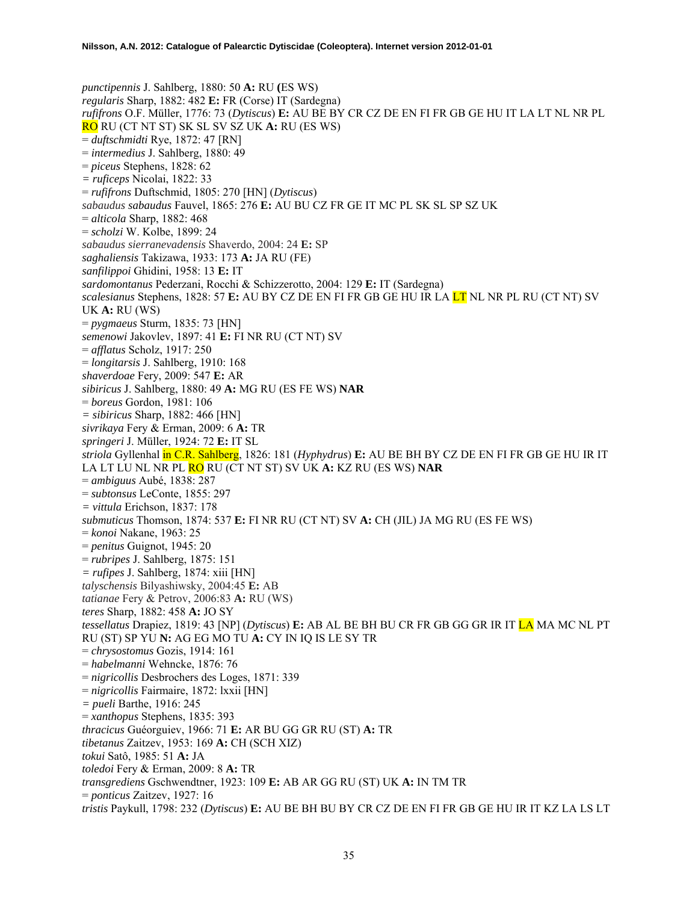*punctipennis* J. Sahlberg, 1880: 50 **A:** RU **(**ES WS) *regularis* Sharp, 1882: 482 **E:** FR (Corse) IT (Sardegna) *rufifrons* O.F. Müller, 1776: 73 (*Dytiscus*) **E:** AU BE BY CR CZ DE EN FI FR GB GE HU IT LA LT NL NR PL RO RU (CT NT ST) SK SL SV SZ UK **A:** RU (ES WS) = *duftschmidti* Rye, 1872: 47 [RN] = *intermedius* J. Sahlberg, 1880: 49 = *piceus* Stephens, 1828: 62 *= ruficeps* Nicolai, 1822: 33 = *rufifrons* Duftschmid, 1805: 270 [HN] (*Dytiscus*) *sabaudus sabaudus* Fauvel, 1865: 276 **E:** AU BU CZ FR GE IT MC PL SK SL SP SZ UK = *alticola* Sharp, 1882: 468 = *scholzi* W. Kolbe, 1899: 24 *sabaudus sierranevadensis* Shaverdo, 2004: 24 **E:** SP *saghaliensis* Takizawa, 1933: 173 **A:** JA RU (FE) *sanfilippoi* Ghidini, 1958: 13 **E:** IT *sardomontanus* Pederzani, Rocchi & Schizzerotto, 2004: 129 **E:** IT (Sardegna) *scalesianus* Stephens, 1828: 57 **E:** AU BY CZ DE EN FI FR GB GE HU IR LA LT NL NR PL RU (CT NT) SV UK **A:** RU (WS) = *pygmaeus* Sturm, 1835: 73 [HN] *semenowi* Jakovlev, 1897: 41 **E:** FI NR RU (CT NT) SV = *afflatus* Scholz, 1917: 250 = *longitarsis* J. Sahlberg, 1910: 168 *shaverdoae* Fery, 2009: 547 **E:** AR *sibiricus* J. Sahlberg, 1880: 49 **A:** MG RU (ES FE WS) **NAR**  = *boreus* Gordon, 1981: 106 *= sibiricus* Sharp, 1882: 466 [HN] *sivrikaya* Fery & Erman, 2009: 6 **A:** TR *springeri* J. Müller, 1924: 72 **E:** IT SL *striola* Gyllenhal in C.R. Sahlberg, 1826: 181 (*Hyphydrus*) **E:** AU BE BH BY CZ DE EN FI FR GB GE HU IR IT LA LT LU NL NR PL RO RU (CT NT ST) SV UK **A:** KZ RU (ES WS) **NAR**  = *ambiguus* Aubé, 1838: 287 = *subtonsus* LeConte, 1855: 297 *= vittula* Erichson, 1837: 178 *submuticus* Thomson, 1874: 537 **E:** FI NR RU (CT NT) SV **A:** CH (JIL) JA MG RU (ES FE WS) = *konoi* Nakane, 1963: 25 = *penitus* Guignot, 1945: 20 = *rubripes* J. Sahlberg, 1875: 151 *= rufipes* J. Sahlberg, 1874: xiii [HN] *talyschensis* Bilyashiwsky, 2004:45 **E:** AB *tatianae* Fery & Petrov, 2006:83 **A:** RU (WS) *teres* Sharp, 1882: 458 **A:** JO SY *tessellatus* Drapiez, 1819: 43 [NP] (*Dytiscus*) **E:** AB AL BE BH BU CR FR GB GG GR IR IT LA MA MC NL PT RU (ST) SP YU **N:** AG EG MO TU **A:** CY IN IQ IS LE SY TR = *chrysostomus* Gozis, 1914: 161 = *habelmanni* Wehncke, 1876: 76 = *nigricollis* Desbrochers des Loges, 1871: 339 = *nigricollis* Fairmaire, 1872: lxxii [HN] *= pueli* Barthe, 1916: 245 = *xanthopus* Stephens, 1835: 393 *thracicus* Guéorguiev, 1966: 71 **E:** AR BU GG GR RU (ST) **A:** TR *tibetanus* Zaitzev, 1953: 169 **A:** CH (SCH XIZ) *tokui* Satô, 1985: 51 **A:** JA *toledoi* Fery & Erman, 2009: 8 **A:** TR *transgrediens* Gschwendtner, 1923: 109 **E:** AB AR GG RU (ST) UK **A:** IN TM TR = *ponticus* Zaitzev, 1927: 16 *tristis* Paykull, 1798: 232 (*Dytiscus*) **E:** AU BE BH BU BY CR CZ DE EN FI FR GB GE HU IR IT KZ LA LS LT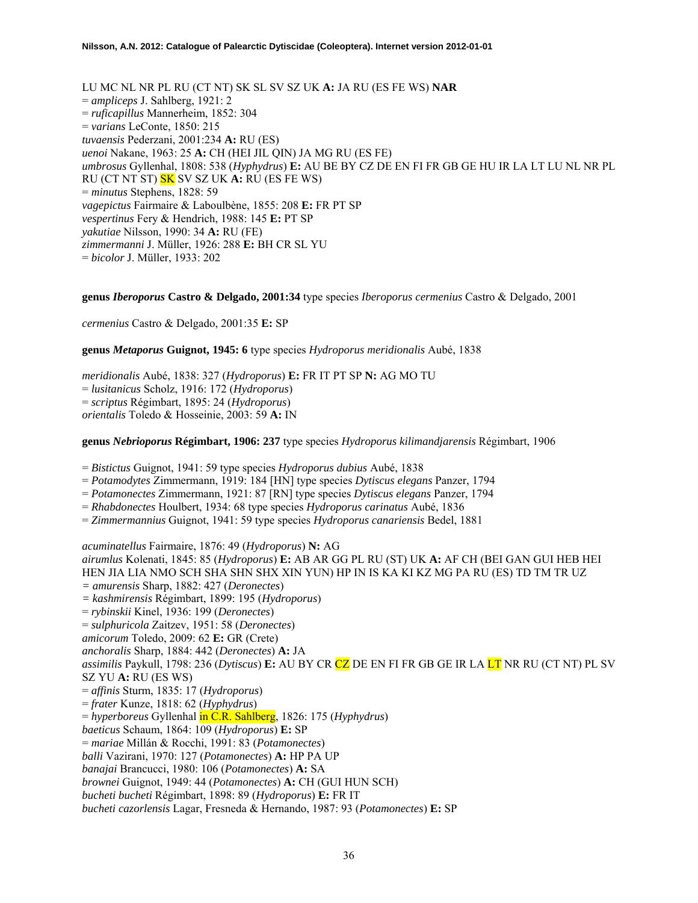LU MC NL NR PL RU (CT NT) SK SL SV SZ UK **A:** JA RU (ES FE WS) **NAR**  = *ampliceps* J. Sahlberg, 1921: 2 = *ruficapillus* Mannerheim, 1852: 304 = *varians* LeConte, 1850: 215 *tuvaensis* Pederzani, 2001:234 **A:** RU (ES) *uenoi* Nakane, 1963: 25 **A:** CH (HEI JIL QIN) JA MG RU (ES FE) *umbrosus* Gyllenhal, 1808: 538 (*Hyphydrus*) **E:** AU BE BY CZ DE EN FI FR GB GE HU IR LA LT LU NL NR PL RU (CT NT ST) SK SV SZ UK **A:** RU (ES FE WS) = *minutus* Stephens, 1828: 59 *vagepictus* Fairmaire & Laboulbène, 1855: 208 **E:** FR PT SP *vespertinus* Fery & Hendrich, 1988: 145 **E:** PT SP *yakutiae* Nilsson, 1990: 34 **A:** RU (FE) *zimmermanni* J. Müller, 1926: 288 **E:** BH CR SL YU = *bicolor* J. Müller, 1933: 202

#### **genus** *Iberoporus* **Castro & Delgado, 2001:34** type species *Iberoporus cermenius* Castro & Delgado, 2001

*cermenius* Castro & Delgado, 2001:35 **E:** SP

**genus** *Metaporus* **Guignot, 1945: 6** type species *Hydroporus meridionalis* Aubé, 1838

*meridionalis* Aubé, 1838: 327 (*Hydroporus*) **E:** FR IT PT SP **N:** AG MO TU = *lusitanicus* Scholz, 1916: 172 (*Hydroporus*) = *scriptus* Régimbart, 1895: 24 (*Hydroporus*) *orientalis* Toledo & Hosseinie, 2003: 59 **A:** IN

#### **genus** *Nebrioporus* **Régimbart, 1906: 237** type species *Hydroporus kilimandjarensis* Régimbart, 1906

= *Bistictus* Guignot, 1941: 59 type species *Hydroporus dubius* Aubé, 1838

- = *Potamodytes* Zimmermann, 1919: 184 [HN] type species *Dytiscus elegans* Panzer, 1794
- = *Potamonectes* Zimmermann, 1921: 87 [RN] type species *Dytiscus elegans* Panzer, 1794
- = *Rhabdonectes* Houlbert, 1934: 68 type species *Hydroporus carinatus* Aubé, 1836
- = *Zimmermannius* Guignot, 1941: 59 type species *Hydroporus canariensis* Bedel, 1881

*acuminatellus* Fairmaire, 1876: 49 (*Hydroporus*) **N:** AG *airumlus* Kolenati, 1845: 85 (*Hydroporus*) **E:** AB AR GG PL RU (ST) UK **A:** AF CH (BEI GAN GUI HEB HEI HEN JIA LIA NMO SCH SHA SHN SHX XIN YUN) HP IN IS KA KI KZ MG PA RU (ES) TD TM TR UZ *= amurensis* Sharp, 1882: 427 (*Deronectes*) *= kashmirensis* Régimbart, 1899: 195 (*Hydroporus*) = *rybinskii* Kinel, 1936: 199 (*Deronectes*) = *sulphuricola* Zaitzev, 1951: 58 (*Deronectes*) *amicorum* Toledo, 2009: 62 **E:** GR (Crete) *anchoralis* Sharp, 1884: 442 (*Deronectes*) **A:** JA *assimilis* Paykull, 1798: 236 (*Dytiscus*) **E:** AU BY CR CZ DE EN FI FR GB GE IR LA LT NR RU (CT NT) PL SV SZ YU **A:** RU (ES WS) = *affinis* Sturm, 1835: 17 (*Hydroporus*) = *frater* Kunze, 1818: 62 (*Hyphydrus*) = *hyperboreus* Gyllenhal in C.R. Sahlberg, 1826: 175 (*Hyphydrus*) *baeticus* Schaum, 1864: 109 (*Hydroporus*) **E:** SP = *mariae* Millán & Rocchi, 1991: 83 (*Potamonectes*) *balli* Vazirani, 1970: 127 (*Potamonectes*) **A:** HP PA UP *banajai* Brancucci, 1980: 106 (*Potamonectes*) **A:** SA *brownei* Guignot, 1949: 44 (*Potamonectes*) **A:** CH (GUI HUN SCH) *bucheti bucheti* Régimbart, 1898: 89 (*Hydroporus*) **E:** FR IT *bucheti cazorlensis* Lagar, Fresneda & Hernando, 1987: 93 (*Potamonectes*) **E:** SP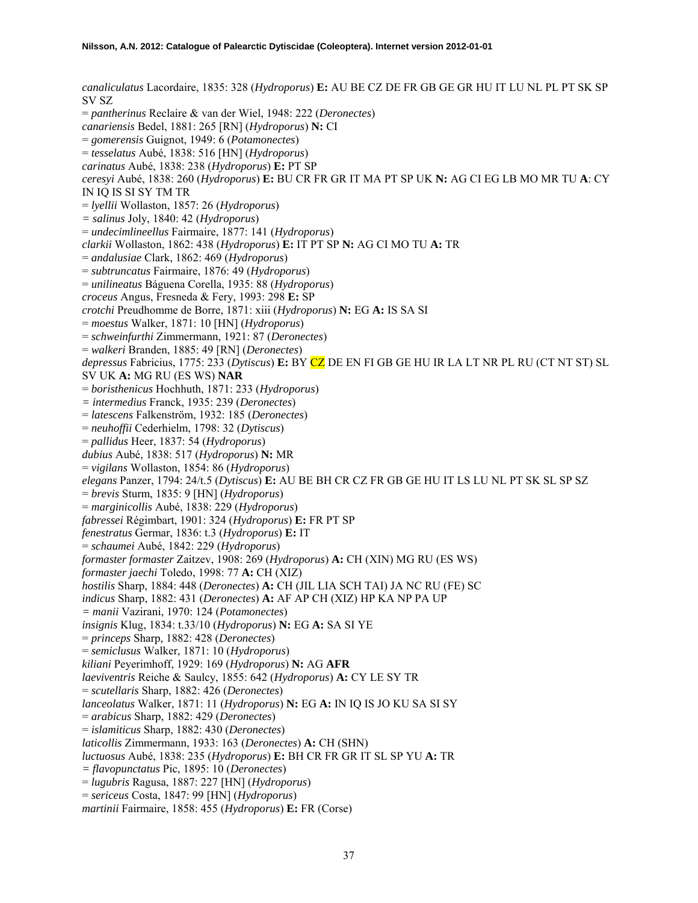*canaliculatus* Lacordaire, 1835: 328 (*Hydroporus*) **E:** AU BE CZ DE FR GB GE GR HU IT LU NL PL PT SK SP SV SZ = *pantherinus* Reclaire & van der Wiel, 1948: 222 (*Deronectes*) *canariensis* Bedel, 1881: 265 [RN] (*Hydroporus*) **N:** CI = *gomerensis* Guignot, 1949: 6 (*Potamonectes*) = *tesselatus* Aubé, 1838: 516 [HN] (*Hydroporus*) *carinatus* Aubé, 1838: 238 (*Hydroporus*) **E:** PT SP *ceresyi* Aubé, 1838: 260 (*Hydroporus*) **E:** BU CR FR GR IT MA PT SP UK **N:** AG CI EG LB MO MR TU **A**: CY IN IQ IS SI SY TM TR = *lyellii* Wollaston, 1857: 26 (*Hydroporus*) *= salinus* Joly, 1840: 42 (*Hydroporus*) = *undecimlineellus* Fairmaire, 1877: 141 (*Hydroporus*) *clarkii* Wollaston, 1862: 438 (*Hydroporus*) **E:** IT PT SP **N:** AG CI MO TU **A:** TR = *andalusiae* Clark, 1862: 469 (*Hydroporus*) = *subtruncatus* Fairmaire, 1876: 49 (*Hydroporus*) = *unilineatus* Báguena Corella, 1935: 88 (*Hydroporus*) *croceus* Angus, Fresneda & Fery, 1993: 298 **E:** SP *crotchi* Preudhomme de Borre, 1871: xiii (*Hydroporus*) **N:** EG **A:** IS SA SI = *moestus* Walker, 1871: 10 [HN] (*Hydroporus*) = *schweinfurthi* Zimmermann, 1921: 87 (*Deronectes*) = *walkeri* Branden, 1885: 49 [RN] (*Deronectes*) *depressus* Fabricius, 1775: 233 (*Dytiscus*) **E:** BY CZ DE EN FI GB GE HU IR LA LT NR PL RU (CT NT ST) SL SV UK **A:** MG RU (ES WS) **NAR**  = *boristhenicus* Hochhuth, 1871: 233 (*Hydroporus*) *= intermedius* Franck, 1935: 239 (*Deronectes*) = *latescens* Falkenström, 1932: 185 (*Deronectes*) = *neuhoffii* Cederhielm, 1798: 32 (*Dytiscus*) = *pallidus* Heer, 1837: 54 (*Hydroporus*) *dubius* Aubé, 1838: 517 (*Hydroporus*) **N:** MR = *vigilans* Wollaston, 1854: 86 (*Hydroporus*) *elegans* Panzer, 1794: 24/t.5 (*Dytiscus*) **E:** AU BE BH CR CZ FR GB GE HU IT LS LU NL PT SK SL SP SZ = *brevis* Sturm, 1835: 9 [HN] (*Hydroporus*) = *marginicollis* Aubé, 1838: 229 (*Hydroporus*) *fabressei* Régimbart, 1901: 324 (*Hydroporus*) **E:** FR PT SP *fenestratus* Germar, 1836: t.3 (*Hydroporus*) **E:** IT = *schaumei* Aubé, 1842: 229 (*Hydroporus*) *formaster formaster* Zaitzev, 1908: 269 (*Hydroporus*) **A:** CH (XIN) MG RU (ES WS) *formaster jaechi* Toledo, 1998: 77 **A:** CH (XIZ) *hostilis* Sharp, 1884: 448 (*Deronectes*) **A:** CH (JIL LIA SCH TAI) JA NC RU (FE) SC *indicus* Sharp, 1882: 431 (*Deronectes*) **A:** AF AP CH (XIZ) HP KA NP PA UP *= manii* Vazirani, 1970: 124 (*Potamonectes*) *insignis* Klug, 1834: t.33/10 (*Hydroporus*) **N:** EG **A:** SA SI YE = *princeps* Sharp, 1882: 428 (*Deronectes*) = *semiclusus* Walker, 1871: 10 (*Hydroporus*) *kiliani* Peyerimhoff, 1929: 169 (*Hydroporus*) **N:** AG **AFR** *laeviventris* Reiche & Saulcy, 1855: 642 (*Hydroporus*) **A:** CY LE SY TR = *scutellaris* Sharp, 1882: 426 (*Deronectes*) *lanceolatus* Walker, 1871: 11 (*Hydroporus*) **N:** EG **A:** IN IQ IS JO KU SA SI SY = *arabicus* Sharp, 1882: 429 (*Deronectes*) = *islamiticus* Sharp, 1882: 430 (*Deronectes*) *laticollis* Zimmermann, 1933: 163 (*Deronectes*) **A:** CH (SHN) *luctuosus* Aubé, 1838: 235 (*Hydroporus*) **E:** BH CR FR GR IT SL SP YU **A:** TR *= flavopunctatus* Pic, 1895: 10 (*Deronectes*) = *lugubris* Ragusa, 1887: 227 [HN] (*Hydroporus*) = *sericeus* Costa, 1847: 99 [HN] (*Hydroporus*) *martinii* Fairmaire, 1858: 455 (*Hydroporus*) **E:** FR (Corse)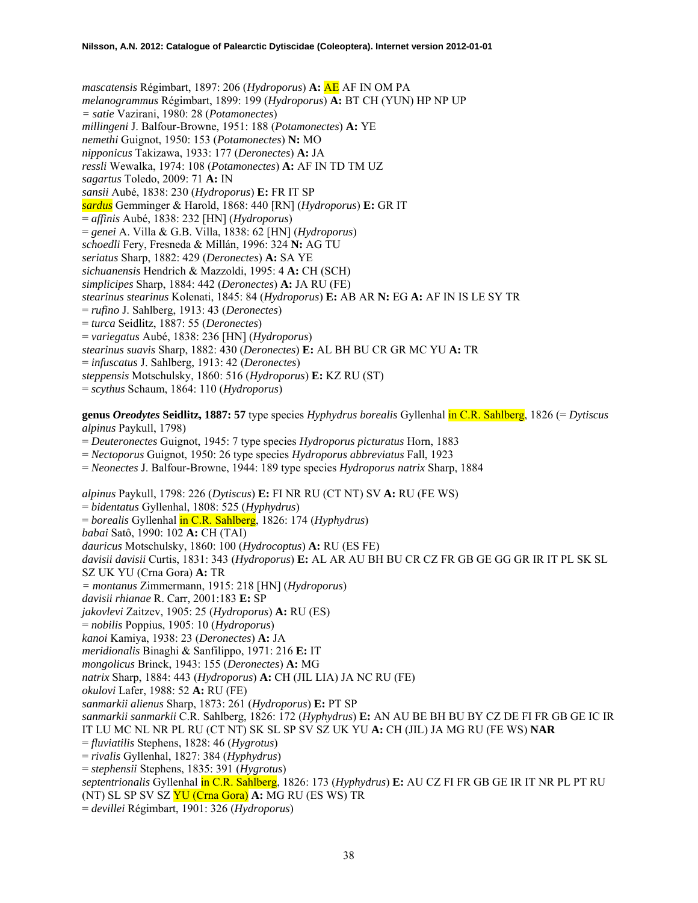*mascatensis* Régimbart, 1897: 206 (*Hydroporus*) **A:** AE AF IN OM PA *melanogrammus* Régimbart, 1899: 199 (*Hydroporus*) **A:** BT CH (YUN) HP NP UP *= satie* Vazirani, 1980: 28 (*Potamonectes*) *millingeni* J. Balfour-Browne, 1951: 188 (*Potamonectes*) **A:** YE *nemethi* Guignot, 1950: 153 (*Potamonectes*) **N:** MO *nipponicus* Takizawa, 1933: 177 (*Deronectes*) **A:** JA *ressli* Wewalka, 1974: 108 (*Potamonectes*) **A:** AF IN TD TM UZ *sagartus* Toledo, 2009: 71 **A:** IN *sansii* Aubé, 1838: 230 (*Hydroporus*) **E:** FR IT SP *sardus* Gemminger & Harold, 1868: 440 [RN] (*Hydroporus*) **E:** GR IT = *affinis* Aubé, 1838: 232 [HN] (*Hydroporus*) = *genei* A. Villa & G.B. Villa, 1838: 62 [HN] (*Hydroporus*) *schoedli* Fery, Fresneda & Millán, 1996: 324 **N:** AG TU *seriatus* Sharp, 1882: 429 (*Deronectes*) **A:** SA YE *sichuanensis* Hendrich & Mazzoldi, 1995: 4 **A:** CH (SCH) *simplicipes* Sharp, 1884: 442 (*Deronectes*) **A:** JA RU (FE) *stearinus stearinus* Kolenati, 1845: 84 (*Hydroporus*) **E:** AB AR **N:** EG **A:** AF IN IS LE SY TR = *rufino* J. Sahlberg, 1913: 43 (*Deronectes*) = *turca* Seidlitz, 1887: 55 (*Deronectes*) = *variegatus* Aubé, 1838: 236 [HN] (*Hydroporus*) *stearinus suavis* Sharp, 1882: 430 (*Deronectes*) **E:** AL BH BU CR GR MC YU **A:** TR = *infuscatus* J. Sahlberg, 1913: 42 (*Deronectes*) *steppensis* Motschulsky, 1860: 516 (*Hydroporus*) **E:** KZ RU (ST) = *scythus* Schaum, 1864: 110 (*Hydroporus*) **genus** *Oreodytes* **Seidlitz, 1887: 57** type species *Hyphydrus borealis* Gyllenhal in C.R. Sahlberg, 1826 (= *Dytiscus alpinus* Paykull, 1798) = *Deuteronectes* Guignot, 1945: 7 type species *Hydroporus picturatus* Horn, 1883 = *Nectoporus* Guignot, 1950: 26 type species *Hydroporus abbreviatus* Fall, 1923 = *Neonectes* J. Balfour-Browne, 1944: 189 type species *Hydroporus natrix* Sharp, 1884 *alpinus* Paykull, 1798: 226 (*Dytiscus*) **E:** FI NR RU (CT NT) SV **A:** RU (FE WS) = *bidentatus* Gyllenhal, 1808: 525 (*Hyphydrus*) = *borealis* Gyllenhal in C.R. Sahlberg, 1826: 174 (*Hyphydrus*) *babai* Satô, 1990: 102 **A:** CH (TAI) *dauricus* Motschulsky, 1860: 100 (*Hydrocoptus*) **A:** RU (ES FE) *davisii davisii* Curtis, 1831: 343 (*Hydroporus*) **E:** AL AR AU BH BU CR CZ FR GB GE GG GR IR IT PL SK SL SZ UK YU (Crna Gora) **A:** TR

*= montanus* Zimmermann, 1915: 218 [HN] (*Hydroporus*)

*davisii rhianae* R. Carr, 2001:183 **E:** SP

*jakovlevi* Zaitzev, 1905: 25 (*Hydroporus*) **A:** RU (ES)

= *nobilis* Poppius, 1905: 10 (*Hydroporus*)

*kanoi* Kamiya, 1938: 23 (*Deronectes*) **A:** JA

*meridionalis* Binaghi & Sanfilippo, 1971: 216 **E:** IT

*mongolicus* Brinck, 1943: 155 (*Deronectes*) **A:** MG

*natrix* Sharp, 1884: 443 (*Hydroporus*) **A:** CH (JIL LIA) JA NC RU (FE)

*okulovi* Lafer, 1988: 52 **A:** RU (FE)

*sanmarkii alienus* Sharp, 1873: 261 (*Hydroporus*) **E:** PT SP

*sanmarkii sanmarkii* C.R. Sahlberg, 1826: 172 (*Hyphydrus*) **E:** AN AU BE BH BU BY CZ DE FI FR GB GE IC IR IT LU MC NL NR PL RU (CT NT) SK SL SP SV SZ UK YU **A:** CH (JIL) JA MG RU (FE WS) **NAR** 

= *fluviatilis* Stephens, 1828: 46 (*Hygrotus*)

= *rivalis* Gyllenhal, 1827: 384 (*Hyphydrus*)

= *stephensii* Stephens, 1835: 391 (*Hygrotus*)

*septentrionalis* Gyllenhal in C.R. Sahlberg, 1826: 173 (*Hyphydrus*) **E:** AU CZ FI FR GB GE IR IT NR PL PT RU (NT) SL SP SV SZ YU (Crna Gora) **A:** MG RU (ES WS) TR

= *devillei* Régimbart, 1901: 326 (*Hydroporus*)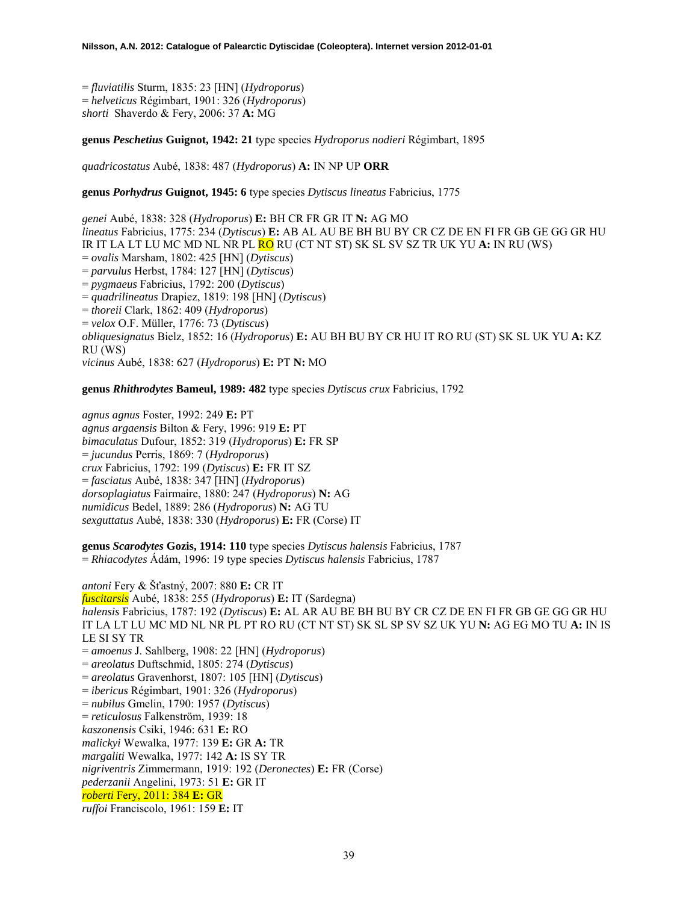= *fluviatilis* Sturm, 1835: 23 [HN] (*Hydroporus*) = *helveticus* Régimbart, 1901: 326 (*Hydroporus*) *shorti* Shaverdo & Fery, 2006: 37 **A:** MG

**genus** *Peschetius* **Guignot, 1942: 21** type species *Hydroporus nodieri* Régimbart, 1895

*quadricostatus* Aubé, 1838: 487 (*Hydroporus*) **A:** IN NP UP **ORR** 

**genus** *Porhydrus* **Guignot, 1945: 6** type species *Dytiscus lineatus* Fabricius, 1775

*genei* Aubé, 1838: 328 (*Hydroporus*) **E:** BH CR FR GR IT **N:** AG MO *lineatus* Fabricius, 1775: 234 (*Dytiscus*) **E:** AB AL AU BE BH BU BY CR CZ DE EN FI FR GB GE GG GR HU IR IT LA LT LU MC MD NL NR PL RO RU (CT NT ST) SK SL SV SZ TR UK YU **A:** IN RU (WS) = *ovalis* Marsham, 1802: 425 [HN] (*Dytiscus*) = *parvulus* Herbst, 1784: 127 [HN] (*Dytiscus*) = *pygmaeus* Fabricius, 1792: 200 (*Dytiscus*) = *quadrilineatus* Drapiez, 1819: 198 [HN] (*Dytiscus*) = *thoreii* Clark, 1862: 409 (*Hydroporus*) = *velox* O.F. Müller, 1776: 73 (*Dytiscus*) *obliquesignatus* Bielz, 1852: 16 (*Hydroporus*) **E:** AU BH BU BY CR HU IT RO RU (ST) SK SL UK YU **A:** KZ RU (WS) *vicinus* Aubé, 1838: 627 (*Hydroporus*) **E:** PT **N:** MO

**genus** *Rhithrodytes* **Bameul, 1989: 482** type species *Dytiscus crux* Fabricius, 1792

*agnus agnus* Foster, 1992: 249 **E:** PT *agnus argaensis* Bilton & Fery, 1996: 919 **E:** PT *bimaculatus* Dufour, 1852: 319 (*Hydroporus*) **E:** FR SP = *jucundus* Perris, 1869: 7 (*Hydroporus*) *crux* Fabricius, 1792: 199 (*Dytiscus*) **E:** FR IT SZ = *fasciatus* Aubé, 1838: 347 [HN] (*Hydroporus*) *dorsoplagiatus* Fairmaire, 1880: 247 (*Hydroporus*) **N:** AG *numidicus* Bedel, 1889: 286 (*Hydroporus*) **N:** AG TU *sexguttatus* Aubé, 1838: 330 (*Hydroporus*) **E:** FR (Corse) IT

**genus** *Scarodytes* **Gozis, 1914: 110** type species *Dytiscus halensis* Fabricius, 1787 = *Rhiacodytes* Ádám, 1996: 19 type species *Dytiscus halensis* Fabricius, 1787

*antoni* Fery & Šťastný, 2007: 880 **E:** CR IT *fuscitarsis* Aubé, 1838: 255 (*Hydroporus*) **E:** IT (Sardegna) *halensis* Fabricius, 1787: 192 (*Dytiscus*) **E:** AL AR AU BE BH BU BY CR CZ DE EN FI FR GB GE GG GR HU IT LA LT LU MC MD NL NR PL PT RO RU (CT NT ST) SK SL SP SV SZ UK YU **N:** AG EG MO TU **A:** IN IS LE SI SY TR = *amoenus* J. Sahlberg, 1908: 22 [HN] (*Hydroporus*) = *areolatus* Duftschmid, 1805: 274 (*Dytiscus*) = *areolatus* Gravenhorst, 1807: 105 [HN] (*Dytiscus*) = *ibericus* Régimbart, 1901: 326 (*Hydroporus*) = *nubilus* Gmelin, 1790: 1957 (*Dytiscus*) = *reticulosus* Falkenström, 1939: 18 *kaszonensis* Csiki, 1946: 631 **E:** RO *malickyi* Wewalka, 1977: 139 **E:** GR **A:** TR *margaliti* Wewalka, 1977: 142 **A:** IS SY TR *nigriventris* Zimmermann, 1919: 192 (*Deronectes*) **E:** FR (Corse) *pederzanii* Angelini, 1973: 51 **E:** GR IT *roberti* Fery, 2011: 384 **E:** GR *ruffoi* Franciscolo, 1961: 159 **E:** IT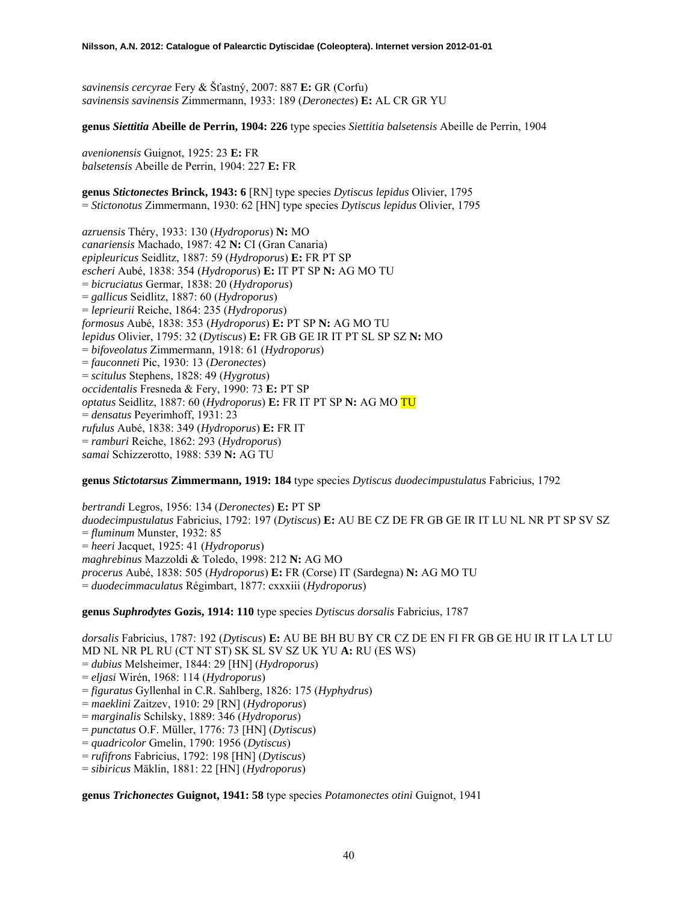*savinensis cercyrae* Fery & Šťastný, 2007: 887 **E:** GR (Corfu) *savinensis savinensis* Zimmermann, 1933: 189 (*Deronectes*) **E:** AL CR GR YU

**genus** *Siettitia* **Abeille de Perrin, 1904: 226** type species *Siettitia balsetensis* Abeille de Perrin, 1904

*avenionensis* Guignot, 1925: 23 **E:** FR *balsetensis* Abeille de Perrin, 1904: 227 **E:** FR

**genus** *Stictonectes* **Brinck, 1943: 6** [RN] type species *Dytiscus lepidus* Olivier, 1795 = *Stictonotus* Zimmermann, 1930: 62 [HN] type species *Dytiscus lepidus* Olivier, 1795

*azruensis* Théry, 1933: 130 (*Hydroporus*) **N:** MO *canariensis* Machado, 1987: 42 **N:** CI (Gran Canaria) *epipleuricus* Seidlitz, 1887: 59 (*Hydroporus*) **E:** FR PT SP *escheri* Aubé, 1838: 354 (*Hydroporus*) **E:** IT PT SP **N:** AG MO TU = *bicruciatus* Germar, 1838: 20 (*Hydroporus*) = *gallicus* Seidlitz, 1887: 60 (*Hydroporus*) = *leprieurii* Reiche, 1864: 235 (*Hydroporus*) *formosus* Aubé, 1838: 353 (*Hydroporus*) **E:** PT SP **N:** AG MO TU *lepidus* Olivier, 1795: 32 (*Dytiscus*) **E:** FR GB GE IR IT PT SL SP SZ **N:** MO = *bifoveolatus* Zimmermann, 1918: 61 (*Hydroporus*) = *fauconneti* Pic, 1930: 13 (*Deronectes*) = *scitulus* Stephens, 1828: 49 (*Hygrotus*) *occidentalis* Fresneda & Fery, 1990: 73 **E:** PT SP *optatus* Seidlitz, 1887: 60 (*Hydroporus*) **E:** FR IT PT SP **N:** AG MO TU = *densatus* Peyerimhoff, 1931: 23 *rufulus* Aubé, 1838: 349 (*Hydroporus*) **E:** FR IT = *ramburi* Reiche, 1862: 293 (*Hydroporus*) *samai* Schizzerotto, 1988: 539 **N:** AG TU

**genus** *Stictotarsus* **Zimmermann, 1919: 184** type species *Dytiscus duodecimpustulatus* Fabricius, 1792

*bertrandi* Legros, 1956: 134 (*Deronectes*) **E:** PT SP *duodecimpustulatus* Fabricius, 1792: 197 (*Dytiscus*) **E:** AU BE CZ DE FR GB GE IR IT LU NL NR PT SP SV SZ = *fluminum* Munster, 1932: 85 = *heeri* Jacquet, 1925: 41 (*Hydroporus*) *maghrebinus* Mazzoldi & Toledo, 1998: 212 **N:** AG MO *procerus* Aubé, 1838: 505 (*Hydroporus*) **E:** FR (Corse) IT (Sardegna) **N:** AG MO TU = *duodecimmaculatus* Régimbart, 1877: cxxxiii (*Hydroporus*)

**genus** *Suphrodytes* **Gozis, 1914: 110** type species *Dytiscus dorsalis* Fabricius, 1787

*dorsalis* Fabricius, 1787: 192 (*Dytiscus*) **E:** AU BE BH BU BY CR CZ DE EN FI FR GB GE HU IR IT LA LT LU MD NL NR PL RU (CT NT ST) SK SL SV SZ UK YU **A:** RU (ES WS) = *dubius* Melsheimer, 1844: 29 [HN] (*Hydroporus*) = *eljasi* Wirén, 1968: 114 (*Hydroporus*) = *figuratus* Gyllenhal in C.R. Sahlberg, 1826: 175 (*Hyphydrus*) = *maeklini* Zaitzev, 1910: 29 [RN] (*Hydroporus*) = *marginalis* Schilsky, 1889: 346 (*Hydroporus*) = *punctatus* O.F. Müller, 1776: 73 [HN] (*Dytiscus*) = *quadricolor* Gmelin, 1790: 1956 (*Dytiscus*) = *rufifrons* Fabricius, 1792: 198 [HN] (*Dytiscus*) = *sibiricus* Mäklin, 1881: 22 [HN] (*Hydroporus*)

**genus** *Trichonectes* **Guignot, 1941: 58** type species *Potamonectes otini* Guignot, 1941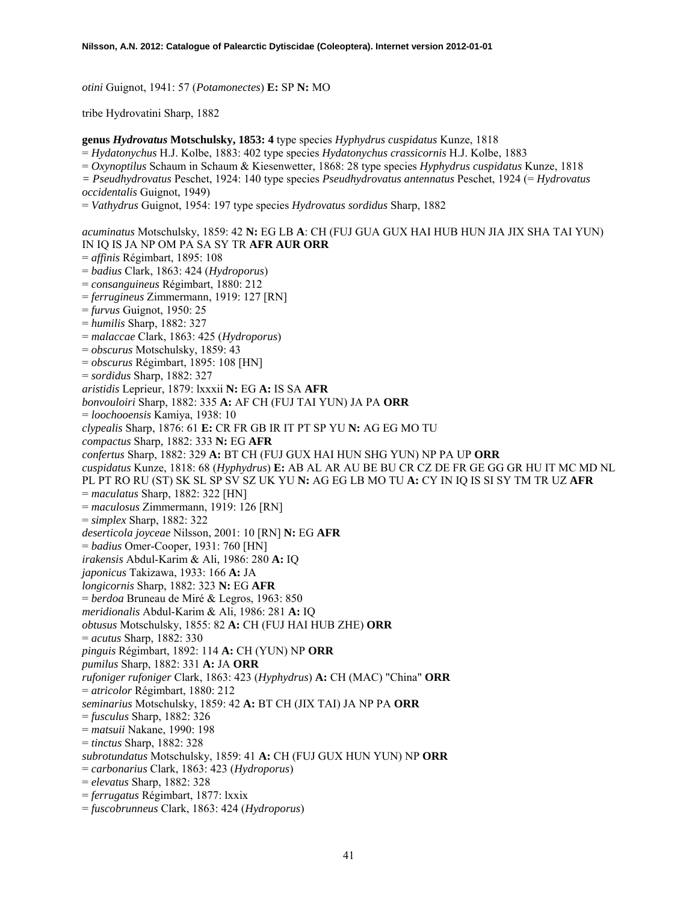*otini* Guignot, 1941: 57 (*Potamonectes*) **E:** SP **N:** MO

tribe Hydrovatini Sharp, 1882

**genus** *Hydrovatus* **Motschulsky, 1853: 4** type species *Hyphydrus cuspidatus* Kunze, 1818 = *Hydatonychus* H.J. Kolbe, 1883: 402 type species *Hydatonychus crassicornis* H.J. Kolbe, 1883 = *Oxynoptilus* Schaum in Schaum & Kiesenwetter, 1868: 28 type species *Hyphydrus cuspidatus* Kunze, 1818 *= Pseudhydrovatus* Peschet, 1924: 140 type species *Pseudhydrovatus antennatus* Peschet, 1924 (= *Hydrovatus occidentalis* Guignot, 1949) = *Vathydrus* Guignot, 1954: 197 type species *Hydrovatus sordidus* Sharp, 1882 *acuminatus* Motschulsky, 1859: 42 **N:** EG LB **A**: CH (FUJ GUA GUX HAI HUB HUN JIA JIX SHA TAI YUN) IN IQ IS JA NP OM PA SA SY TR **AFR AUR ORR**  = *affinis* Régimbart, 1895: 108 = *badius* Clark, 1863: 424 (*Hydroporus*) = *consanguineus* Régimbart, 1880: 212 = *ferrugineus* Zimmermann, 1919: 127 [RN] = *furvus* Guignot, 1950: 25 = *humilis* Sharp, 1882: 327 = *malaccae* Clark, 1863: 425 (*Hydroporus*) = *obscurus* Motschulsky, 1859: 43 = *obscurus* Régimbart, 1895: 108 [HN] = *sordidus* Sharp, 1882: 327 *aristidis* Leprieur, 1879: lxxxii **N:** EG **A:** IS SA **AFR**  *bonvouloiri* Sharp, 1882: 335 **A:** AF CH (FUJ TAI YUN) JA PA **ORR**  = *loochooensis* Kamiya, 1938: 10 *clypealis* Sharp, 1876: 61 **E:** CR FR GB IR IT PT SP YU **N:** AG EG MO TU *compactus* Sharp, 1882: 333 **N:** EG **AFR**  *confertus* Sharp, 1882: 329 **A:** BT CH (FUJ GUX HAI HUN SHG YUN) NP PA UP **ORR**  *cuspidatus* Kunze, 1818: 68 (*Hyphydrus*) **E:** AB AL AR AU BE BU CR CZ DE FR GE GG GR HU IT MC MD NL PL PT RO RU (ST) SK SL SP SV SZ UK YU **N:** AG EG LB MO TU **A:** CY IN IQ IS SI SY TM TR UZ **AFR**  = *maculatus* Sharp, 1882: 322 [HN] = *maculosus* Zimmermann, 1919: 126 [RN] = *simplex* Sharp, 1882: 322 *deserticola joyceae* Nilsson, 2001: 10 [RN] **N:** EG **AFR**  = *badius* Omer-Cooper, 1931: 760 [HN] *irakensis* Abdul-Karim & Ali, 1986: 280 **A:** IQ *japonicus* Takizawa, 1933: 166 **A:** JA *longicornis* Sharp, 1882: 323 **N:** EG **AFR**  = *berdoa* Bruneau de Miré & Legros, 1963: 850 *meridionalis* Abdul-Karim & Ali, 1986: 281 **A:** IQ *obtusus* Motschulsky, 1855: 82 **A:** CH (FUJ HAI HUB ZHE) **ORR**  = *acutus* Sharp, 1882: 330 *pinguis* Régimbart, 1892: 114 **A:** CH (YUN) NP **ORR**  *pumilus* Sharp, 1882: 331 **A:** JA **ORR**  *rufoniger rufoniger* Clark, 1863: 423 (*Hyphydrus*) **A:** CH (MAC) "China" **ORR**  = *atricolor* Régimbart, 1880: 212 *seminarius* Motschulsky, 1859: 42 **A:** BT CH (JIX TAI) JA NP PA **ORR**  = *fusculus* Sharp, 1882: 326 = *matsuii* Nakane, 1990: 198 = *tinctus* Sharp, 1882: 328 *subrotundatus* Motschulsky, 1859: 41 **A:** CH (FUJ GUX HUN YUN) NP **ORR**  = *carbonarius* Clark, 1863: 423 (*Hydroporus*) = *elevatus* Sharp, 1882: 328 = *ferrugatus* Régimbart, 1877: lxxix

= *fuscobrunneus* Clark, 1863: 424 (*Hydroporus*)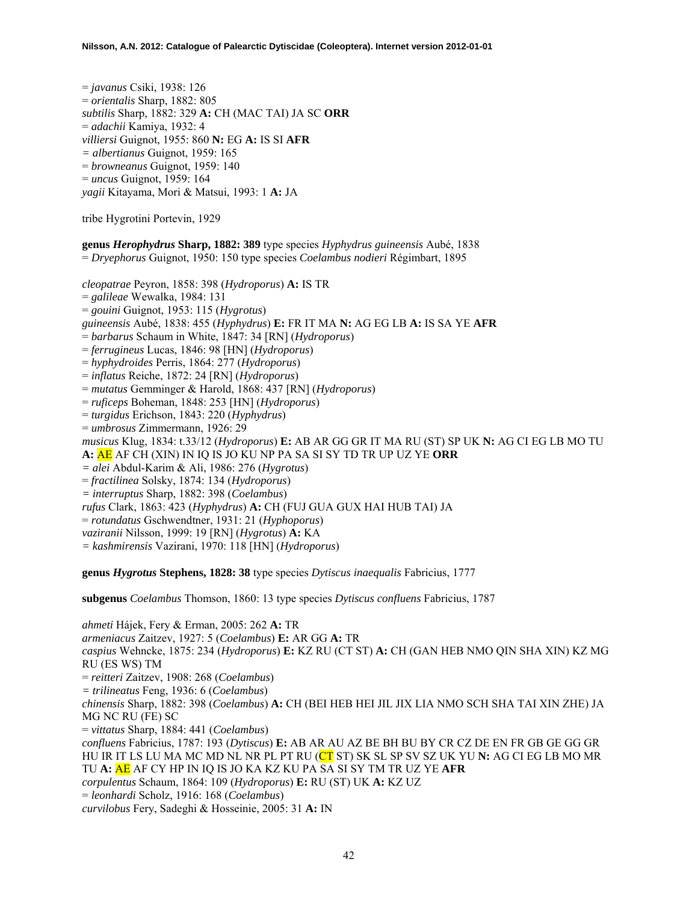= *javanus* Csiki, 1938: 126 = *orientalis* Sharp, 1882: 805 *subtilis* Sharp, 1882: 329 **A:** CH (MAC TAI) JA SC **ORR**  = *adachii* Kamiya, 1932: 4 *villiersi* Guignot, 1955: 860 **N:** EG **A:** IS SI **AFR**  *= albertianus* Guignot, 1959: 165 = *browneanus* Guignot, 1959: 140 = *uncus* Guignot, 1959: 164 *yagii* Kitayama, Mori & Matsui, 1993: 1 **A:** JA

tribe Hygrotini Portevin, 1929

**genus** *Herophydrus* **Sharp, 1882: 389** type species *Hyphydrus guineensis* Aubé, 1838 = *Dryephorus* Guignot, 1950: 150 type species *Coelambus nodieri* Régimbart, 1895

*cleopatrae* Peyron, 1858: 398 (*Hydroporus*) **A:** IS TR = *galileae* Wewalka, 1984: 131 = *gouini* Guignot, 1953: 115 (*Hygrotus*) *guineensis* Aubé, 1838: 455 (*Hyphydrus*) **E:** FR IT MA **N:** AG EG LB **A:** IS SA YE **AFR**  = *barbarus* Schaum in White, 1847: 34 [RN] (*Hydroporus*) = *ferrugineus* Lucas, 1846: 98 [HN] (*Hydroporus*) = *hyphydroides* Perris, 1864: 277 (*Hydroporus*) = *inflatus* Reiche, 1872: 24 [RN] (*Hydroporus*) = *mutatus* Gemminger & Harold, 1868: 437 [RN] (*Hydroporus*) = *ruficeps* Boheman, 1848: 253 [HN] (*Hydroporus*) = *turgidus* Erichson, 1843: 220 (*Hyphydrus*) = *umbrosus* Zimmermann, 1926: 29 *musicus* Klug, 1834: t.33/12 (*Hydroporus*) **E:** AB AR GG GR IT MA RU (ST) SP UK **N:** AG CI EG LB MO TU **A:** AE AF CH (XIN) IN IQ IS JO KU NP PA SA SI SY TD TR UP UZ YE **ORR**  *= alei* Abdul-Karim & Ali, 1986: 276 (*Hygrotus*) = *fractilinea* Solsky, 1874: 134 (*Hydroporus*) *= interruptus* Sharp, 1882: 398 (*Coelambus*) *rufus* Clark, 1863: 423 (*Hyphydrus*) **A:** CH (FUJ GUA GUX HAI HUB TAI) JA = *rotundatus* Gschwendtner, 1931: 21 (*Hyphoporus*) *vaziranii* Nilsson, 1999: 19 [RN] (*Hygrotus*) **A:** KA *= kashmirensis* Vazirani, 1970: 118 [HN] (*Hydroporus*) **genus** *Hygrotus* **Stephens, 1828: 38** type species *Dytiscus inaequalis* Fabricius, 1777

**subgenus** *Coelambus* Thomson, 1860: 13 type species *Dytiscus confluens* Fabricius, 1787

*ahmeti* Hájek, Fery & Erman, 2005: 262 **A:** TR *armeniacus* Zaitzev, 1927: 5 (*Coelambus*) **E:** AR GG **A:** TR *caspius* Wehncke, 1875: 234 (*Hydroporus*) **E:** KZ RU (CT ST) **A:** CH (GAN HEB NMO QIN SHA XIN) KZ MG RU (ES WS) TM = *reitteri* Zaitzev, 1908: 268 (*Coelambus*) *= trilineatus* Feng, 1936: 6 (*Coelambus*) *chinensis* Sharp, 1882: 398 (*Coelambus*) **A:** CH (BEI HEB HEI JIL JIX LIA NMO SCH SHA TAI XIN ZHE) JA MG NC RU (FE) SC = *vittatus* Sharp, 1884: 441 (*Coelambus*) *confluens* Fabricius, 1787: 193 (*Dytiscus*) **E:** AB AR AU AZ BE BH BU BY CR CZ DE EN FR GB GE GG GR HU IR IT LS LU MA MC MD NL NR PL PT RU (CT ST) SK SL SP SV SZ UK YU **N:** AG CI EG LB MO MR TU **A:** AE AF CY HP IN IQ IS JO KA KZ KU PA SA SI SY TM TR UZ YE **AFR** *corpulentus* Schaum, 1864: 109 (*Hydroporus*) **E:** RU (ST) UK **A:** KZ UZ = *leonhardi* Scholz, 1916: 168 (*Coelambus*) *curvilobus* Fery, Sadeghi & Hosseinie, 2005: 31 **A:** IN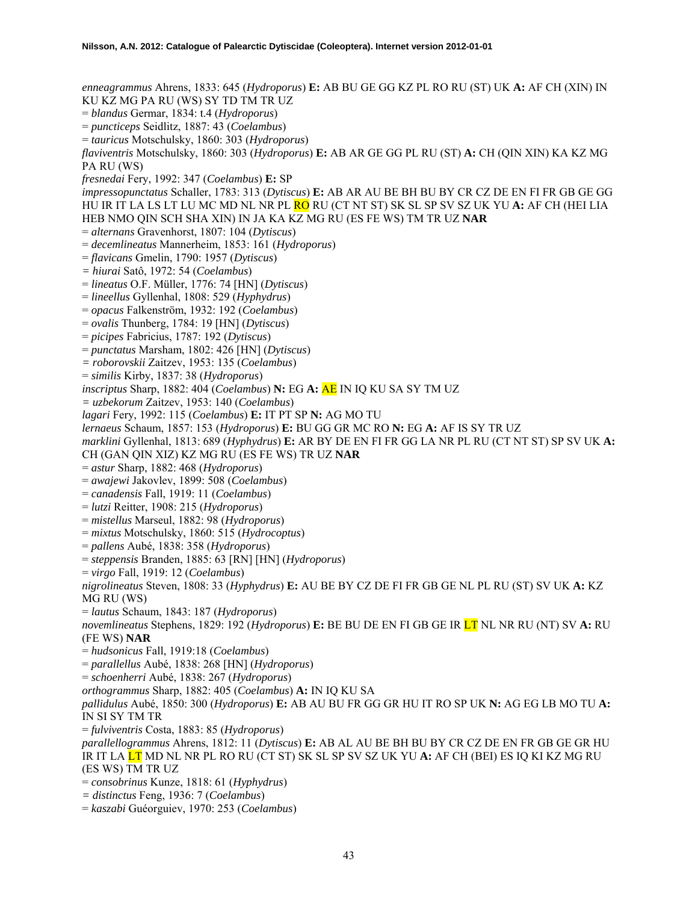*enneagrammus* Ahrens, 1833: 645 (*Hydroporus*) **E:** AB BU GE GG KZ PL RO RU (ST) UK **A:** AF CH (XIN) IN KU KZ MG PA RU (WS) SY TD TM TR UZ = *blandus* Germar, 1834: t.4 (*Hydroporus*) = *puncticeps* Seidlitz, 1887: 43 (*Coelambus*) = *tauricus* Motschulsky, 1860: 303 (*Hydroporus*) *flaviventris* Motschulsky, 1860: 303 (*Hydroporus*) **E:** AB AR GE GG PL RU (ST) **A:** CH (QIN XIN) KA KZ MG PA RU (WS) *fresnedai* Fery, 1992: 347 (*Coelambus*) **E:** SP *impressopunctatus* Schaller, 1783: 313 (*Dytiscus*) **E:** AB AR AU BE BH BU BY CR CZ DE EN FI FR GB GE GG HU IR IT LA LS LT LU MC MD NL NR PL RO RU (CT NT ST) SK SL SP SV SZ UK YU **A:** AF CH (HEI LIA HEB NMO QIN SCH SHA XIN) IN JA KA KZ MG RU (ES FE WS) TM TR UZ **NAR**  = *alternans* Gravenhorst, 1807: 104 (*Dytiscus*) = *decemlineatus* Mannerheim, 1853: 161 (*Hydroporus*) = *flavicans* Gmelin, 1790: 1957 (*Dytiscus*) *= hiurai* Satô, 1972: 54 (*Coelambus*) = *lineatus* O.F. Müller, 1776: 74 [HN] (*Dytiscus*) = *lineellus* Gyllenhal, 1808: 529 (*Hyphydrus*) = *opacus* Falkenström, 1932: 192 (*Coelambus*) = *ovalis* Thunberg, 1784: 19 [HN] (*Dytiscus*) = *picipes* Fabricius, 1787: 192 (*Dytiscus*) = *punctatus* Marsham, 1802: 426 [HN] (*Dytiscus*) *= roborovskii* Zaitzev, 1953: 135 (*Coelambus*) = *similis* Kirby, 1837: 38 (*Hydroporus*) *inscriptus* Sharp, 1882: 404 (*Coelambus*) **N:** EG **A:** AE IN IQ KU SA SY TM UZ *= uzbekorum* Zaitzev, 1953: 140 (*Coelambus*) *lagari* Fery, 1992: 115 (*Coelambus*) **E:** IT PT SP **N:** AG MO TU *lernaeus* Schaum, 1857: 153 (*Hydroporus*) **E:** BU GG GR MC RO **N:** EG **A:** AF IS SY TR UZ *marklini* Gyllenhal, 1813: 689 (*Hyphydrus*) **E:** AR BY DE EN FI FR GG LA NR PL RU (CT NT ST) SP SV UK **A:**  CH (GAN QIN XIZ) KZ MG RU (ES FE WS) TR UZ **NAR**  = *astur* Sharp, 1882: 468 (*Hydroporus*) = *awajewi* Jakovlev, 1899: 508 (*Coelambus*) = *canadensis* Fall, 1919: 11 (*Coelambus*) = *lutzi* Reitter, 1908: 215 (*Hydroporus*) = *mistellus* Marseul, 1882: 98 (*Hydroporus*) = *mixtus* Motschulsky, 1860: 515 (*Hydrocoptus*) = *pallens* Aubé, 1838: 358 (*Hydroporus*) = *steppensis* Branden, 1885: 63 [RN] [HN] (*Hydroporus*) = *virgo* Fall, 1919: 12 (*Coelambus*) *nigrolineatus* Steven, 1808: 33 (*Hyphydrus*) **E:** AU BE BY CZ DE FI FR GB GE NL PL RU (ST) SV UK **A:** KZ MG RU (WS) = *lautus* Schaum, 1843: 187 (*Hydroporus*) *novemlineatus* Stephens, 1829: 192 (*Hydroporus*) **E:** BE BU DE EN FI GB GE IR LT NL NR RU (NT) SV **A:** RU (FE WS) **NAR**  = *hudsonicus* Fall, 1919:18 (*Coelambus*) = *parallellus* Aubé, 1838: 268 [HN] (*Hydroporus*) = *schoenherri* Aubé, 1838: 267 (*Hydroporus*) *orthogrammus* Sharp, 1882: 405 (*Coelambus*) **A:** IN IQ KU SA *pallidulus* Aubé, 1850: 300 (*Hydroporus*) **E:** AB AU BU FR GG GR HU IT RO SP UK **N:** AG EG LB MO TU **A:**  IN SI SY TM TR = *fulviventris* Costa, 1883: 85 (*Hydroporus*) *parallellogrammus* Ahrens, 1812: 11 (*Dytiscus*) **E:** AB AL AU BE BH BU BY CR CZ DE EN FR GB GE GR HU IR IT LA LT MD NL NR PL RO RU (CT ST) SK SL SP SV SZ UK YU **A:** AF CH (BEI) ES IQ KI KZ MG RU (ES WS) TM TR UZ = *consobrinus* Kunze, 1818: 61 (*Hyphydrus*) *= distinctus* Feng, 1936: 7 (*Coelambus*)

= *kaszabi* Guéorguiev, 1970: 253 (*Coelambus*)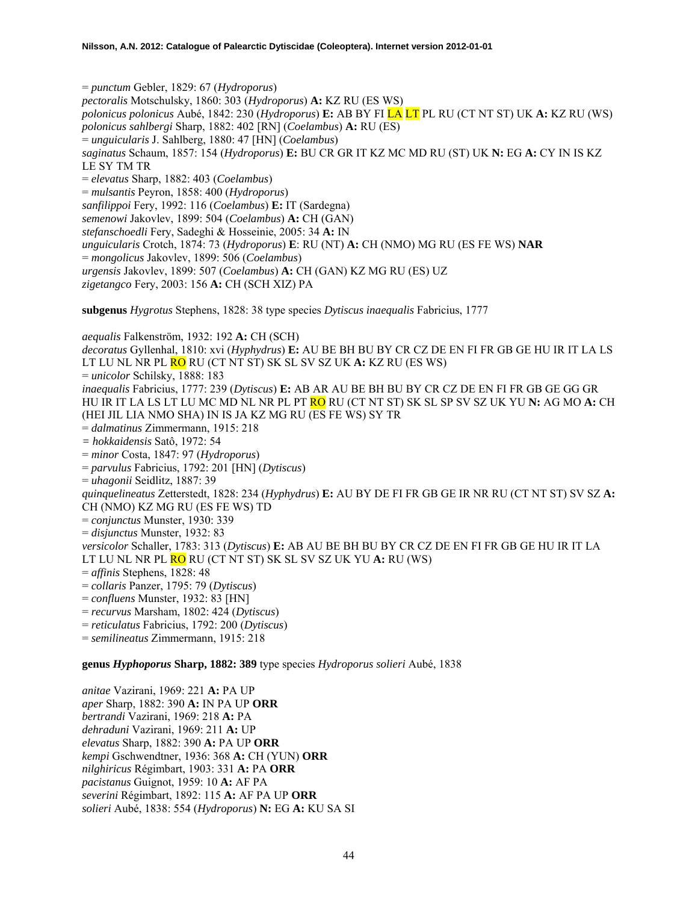= *punctum* Gebler, 1829: 67 (*Hydroporus*) *pectoralis* Motschulsky, 1860: 303 (*Hydroporus*) **A:** KZ RU (ES WS) *polonicus polonicus* Aubé, 1842: 230 (*Hydroporus*) **E:** AB BY FI LA LT PL RU (CT NT ST) UK **A:** KZ RU (WS) *polonicus sahlbergi* Sharp, 1882: 402 [RN] (*Coelambus*) **A:** RU (ES) = *unguicularis* J. Sahlberg, 1880: 47 [HN] (*Coelambus*) *saginatus* Schaum, 1857: 154 (*Hydroporus*) **E:** BU CR GR IT KZ MC MD RU (ST) UK **N:** EG **A:** CY IN IS KZ LE SY TM TR = *elevatus* Sharp, 1882: 403 (*Coelambus*) = *mulsantis* Peyron, 1858: 400 (*Hydroporus*) *sanfilippoi* Fery, 1992: 116 (*Coelambus*) **E:** IT (Sardegna) *semenowi* Jakovlev, 1899: 504 (*Coelambus*) **A:** CH (GAN) *stefanschoedli* Fery, Sadeghi & Hosseinie, 2005: 34 **A:** IN *unguicularis* Crotch, 1874: 73 (*Hydroporus*) **E**: RU (NT) **A:** CH (NMO) MG RU (ES FE WS) **NAR**  = *mongolicus* Jakovlev, 1899: 506 (*Coelambus*) *urgensis* Jakovlev, 1899: 507 (*Coelambus*) **A:** CH (GAN) KZ MG RU (ES) UZ *zigetangco* Fery, 2003: 156 **A:** CH (SCH XIZ) PA

**subgenus** *Hygrotus* Stephens, 1828: 38 type species *Dytiscus inaequalis* Fabricius, 1777

*aequalis* Falkenström, 1932: 192 **A:** CH (SCH) *decoratus* Gyllenhal, 1810: xvi (*Hyphydrus*) **E:** AU BE BH BU BY CR CZ DE EN FI FR GB GE HU IR IT LA LS LT LU NL NR PL RO RU (CT NT ST) SK SL SV SZ UK **A:** KZ RU (ES WS) = *unicolor* Schilsky, 1888: 183 *inaequalis* Fabricius, 1777: 239 (*Dytiscus*) **E:** AB AR AU BE BH BU BY CR CZ DE EN FI FR GB GE GG GR HU IR IT LA LS LT LU MC MD NL NR PL PT RO RU (CT NT ST) SK SL SP SV SZ UK YU **N:** AG MO **A:** CH (HEI JIL LIA NMO SHA) IN IS JA KZ MG RU (ES FE WS) SY TR = *dalmatinus* Zimmermann, 1915: 218 *= hokkaidensis* Satô, 1972: 54 = *minor* Costa, 1847: 97 (*Hydroporus*) = *parvulus* Fabricius, 1792: 201 [HN] (*Dytiscus*) = *uhagonii* Seidlitz, 1887: 39 *quinquelineatus* Zetterstedt, 1828: 234 (*Hyphydrus*) **E:** AU BY DE FI FR GB GE IR NR RU (CT NT ST) SV SZ **A:**  CH (NMO) KZ MG RU (ES FE WS) TD = *conjunctus* Munster, 1930: 339 = *disjunctus* Munster, 1932: 83 *versicolor* Schaller, 1783: 313 (*Dytiscus*) **E:** AB AU BE BH BU BY CR CZ DE EN FI FR GB GE HU IR IT LA LT LU NL NR PL RO RU (CT NT ST) SK SL SV SZ UK YU **A:** RU (WS) = *affinis* Stephens, 1828: 48 = *collaris* Panzer, 1795: 79 (*Dytiscus*) = *confluens* Munster, 1932: 83 [HN] = *recurvus* Marsham, 1802: 424 (*Dytiscus*) = *reticulatus* Fabricius, 1792: 200 (*Dytiscus*) = *semilineatus* Zimmermann, 1915: 218

**genus** *Hyphoporus* **Sharp, 1882: 389** type species *Hydroporus solieri* Aubé, 1838

*anitae* Vazirani, 1969: 221 **A:** PA UP *aper* Sharp, 1882: 390 **A:** IN PA UP **ORR**  *bertrandi* Vazirani, 1969: 218 **A:** PA *dehraduni* Vazirani, 1969: 211 **A:** UP *elevatus* Sharp, 1882: 390 **A:** PA UP **ORR**  *kempi* Gschwendtner, 1936: 368 **A:** CH (YUN) **ORR**  *nilghiricus* Régimbart, 1903: 331 **A:** PA **ORR**  *pacistanus* Guignot, 1959: 10 **A:** AF PA *severini* Régimbart, 1892: 115 **A:** AF PA UP **ORR**  *solieri* Aubé, 1838: 554 (*Hydroporus*) **N:** EG **A:** KU SA SI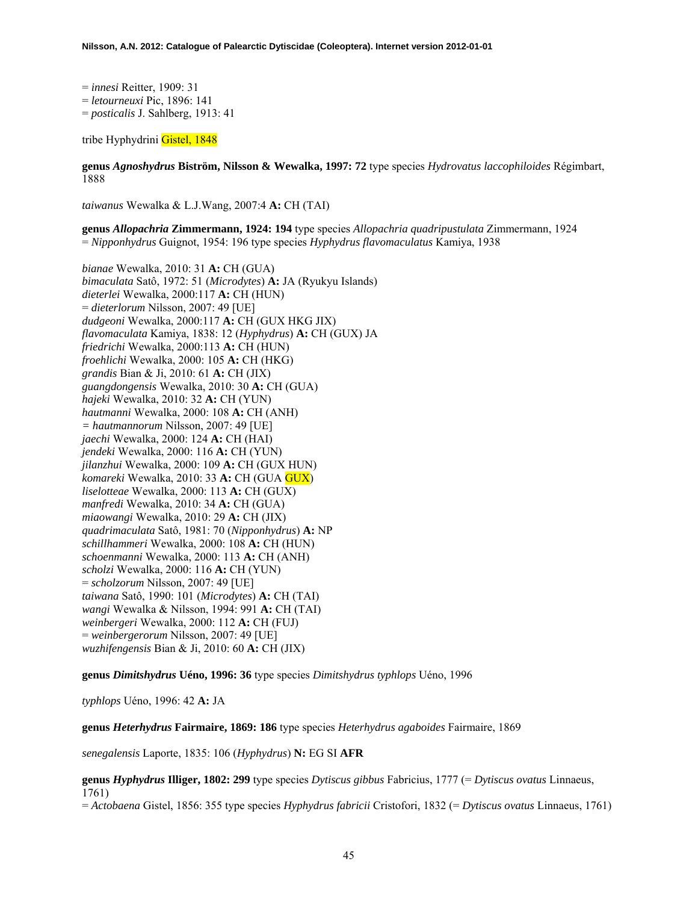= *innesi* Reitter, 1909: 31 = *letourneuxi* Pic, 1896: 141 = *posticalis* J. Sahlberg, 1913: 41

tribe Hyphydrini Gistel, 1848

**genus** *Agnoshydrus* **Biström, Nilsson & Wewalka, 1997: 72** type species *Hydrovatus laccophiloides* Régimbart, 1888

*taiwanus* Wewalka & L.J.Wang, 2007:4 **A:** CH (TAI)

**genus** *Allopachria* **Zimmermann, 1924: 194** type species *Allopachria quadripustulata* Zimmermann, 1924 = *Nipponhydrus* Guignot, 1954: 196 type species *Hyphydrus flavomaculatus* Kamiya, 1938

*bianae* Wewalka, 2010: 31 **A:** CH (GUA) *bimaculata* Satô, 1972: 51 (*Microdytes*) **A:** JA (Ryukyu Islands) *dieterlei* Wewalka, 2000:117 **A:** CH (HUN) = *dieterlorum* Nilsson, 2007: 49 [UE] *dudgeoni* Wewalka, 2000:117 **A:** CH (GUX HKG JIX) *flavomaculata* Kamiya, 1838: 12 (*Hyphydrus*) **A:** CH (GUX) JA *friedrichi* Wewalka, 2000:113 **A:** CH (HUN) *froehlichi* Wewalka, 2000: 105 **A:** CH (HKG) *grandis* Bian & Ji, 2010: 61 **A:** CH (JIX) *guangdongensis* Wewalka, 2010: 30 **A:** CH (GUA) *hajeki* Wewalka, 2010: 32 **A:** CH (YUN) *hautmanni* Wewalka, 2000: 108 **A:** CH (ANH) *= hautmannorum* Nilsson, 2007: 49 [UE] *jaechi* Wewalka, 2000: 124 **A:** CH (HAI) *jendeki* Wewalka, 2000: 116 **A:** CH (YUN) *jilanzhui* Wewalka, 2000: 109 **A:** CH (GUX HUN) *komareki* Wewalka, 2010: 33 **A:** CH (GUA GUX) *liselotteae* Wewalka, 2000: 113 **A:** CH (GUX) *manfredi* Wewalka, 2010: 34 **A:** CH (GUA) *miaowangi* Wewalka, 2010: 29 **A:** CH (JIX) *quadrimaculata* Satô, 1981: 70 (*Nipponhydrus*) **A:** NP *schillhammeri* Wewalka, 2000: 108 **A:** CH (HUN) *schoenmanni* Wewalka, 2000: 113 **A:** CH (ANH) *scholzi* Wewalka, 2000: 116 **A:** CH (YUN) = *scholzorum* Nilsson, 2007: 49 [UE] *taiwana* Satô, 1990: 101 (*Microdytes*) **A:** CH (TAI) *wangi* Wewalka & Nilsson, 1994: 991 **A:** CH (TAI) *weinbergeri* Wewalka, 2000: 112 **A:** CH (FUJ) = *weinbergerorum* Nilsson, 2007: 49 [UE] *wuzhifengensis* Bian & Ji, 2010: 60 **A:** CH (JIX)

**genus** *Dimitshydrus* **Uéno, 1996: 36** type species *Dimitshydrus typhlops* Uéno, 1996

*typhlops* Uéno, 1996: 42 **A:** JA

**genus** *Heterhydrus* **Fairmaire, 1869: 186** type species *Heterhydrus agaboides* Fairmaire, 1869

*senegalensis* Laporte, 1835: 106 (*Hyphydrus*) **N:** EG SI **AFR**

**genus** *Hyphydrus* **Illiger, 1802: 299** type species *Dytiscus gibbus* Fabricius, 1777 (= *Dytiscus ovatus* Linnaeus, 1761)

= *Actobaena* Gistel, 1856: 355 type species *Hyphydrus fabricii* Cristofori, 1832 (= *Dytiscus ovatus* Linnaeus, 1761)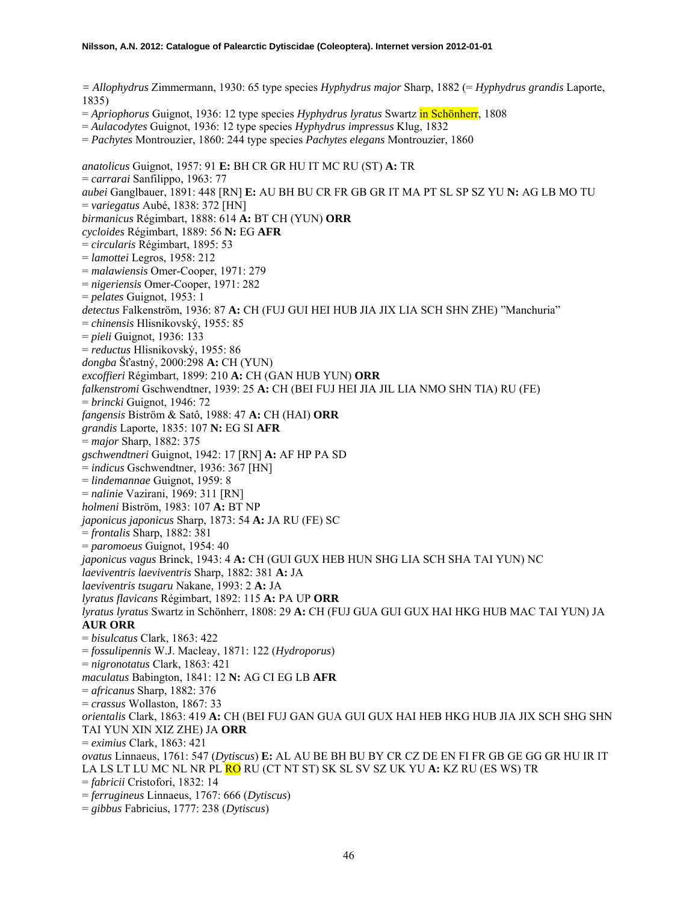*= Allophydrus* Zimmermann, 1930: 65 type species *Hyphydrus major* Sharp, 1882 (= *Hyphydrus grandis* Laporte, 1835)

= *Apriophorus* Guignot, 1936: 12 type species *Hyphydrus lyratus* Swartz in Schönherr, 1808

= *Aulacodytes* Guignot, 1936: 12 type species *Hyphydrus impressus* Klug, 1832

= *Pachytes* Montrouzier, 1860: 244 type species *Pachytes elegans* Montrouzier, 1860

*anatolicus* Guignot, 1957: 91 **E:** BH CR GR HU IT MC RU (ST) **A:** TR = *carrarai* Sanfilippo, 1963: 77 *aubei* Ganglbauer, 1891: 448 [RN] **E:** AU BH BU CR FR GB GR IT MA PT SL SP SZ YU **N:** AG LB MO TU = *variegatus* Aubé, 1838: 372 [HN] *birmanicus* Régimbart, 1888: 614 **A:** BT CH (YUN) **ORR** *cycloides* Régimbart, 1889: 56 **N:** EG **AFR** = *circularis* Régimbart, 1895: 53 = *lamottei* Legros, 1958: 212 = *malawiensis* Omer-Cooper, 1971: 279 = *nigeriensis* Omer-Cooper, 1971: 282 = *pelates* Guignot, 1953: 1 *detectus* Falkenström, 1936: 87 **A:** CH (FUJ GUI HEI HUB JIA JIX LIA SCH SHN ZHE) "Manchuria" = *chinensis* Hlisnikovský, 1955: 85 = *pieli* Guignot, 1936: 133 = *reductus* Hlisnikovský, 1955: 86 *dongba* Šťastný, 2000:298 **A:** CH (YUN) *excoffieri* Régimbart, 1899: 210 **A:** CH (GAN HUB YUN) **ORR** *falkenstromi* Gschwendtner, 1939: 25 **A:** CH (BEI FUJ HEI JIA JIL LIA NMO SHN TIA) RU (FE) = *brincki* Guignot, 1946: 72 *fangensis* Biström & Satô, 1988: 47 **A:** CH (HAI) **ORR** *grandis* Laporte, 1835: 107 **N:** EG SI **AFR** = *major* Sharp, 1882: 375 *gschwendtneri* Guignot, 1942: 17 [RN] **A:** AF HP PA SD = *indicus* Gschwendtner, 1936: 367 [HN] = *lindemannae* Guignot, 1959: 8 = *nalinie* Vazirani, 1969: 311 [RN] *holmeni* Biström, 1983: 107 **A:** BT NP *japonicus japonicus* Sharp, 1873: 54 **A:** JA RU (FE) SC = *frontalis* Sharp, 1882: 381 = *paromoeus* Guignot, 1954: 40 *japonicus vagus* Brinck, 1943: 4 **A:** CH (GUI GUX HEB HUN SHG LIA SCH SHA TAI YUN) NC *laeviventris laeviventris* Sharp, 1882: 381 **A:** JA *laeviventris tsugaru* Nakane, 1993: 2 **A:** JA *lyratus flavicans* Régimbart, 1892: 115 **A:** PA UP **ORR** *lyratus lyratus* Swartz in Schönherr, 1808: 29 **A:** CH (FUJ GUA GUI GUX HAI HKG HUB MAC TAI YUN) JA **AUR ORR** = *bisulcatus* Clark, 1863: 422 = *fossulipennis* W.J. Macleay, 1871: 122 (*Hydroporus*) = *nigronotatus* Clark, 1863: 421 *maculatus* Babington, 1841: 12 **N:** AG CI EG LB **AFR** = *africanus* Sharp, 1882: 376 = *crassus* Wollaston, 1867: 33 *orientalis* Clark, 1863: 419 **A:** CH (BEI FUJ GAN GUA GUI GUX HAI HEB HKG HUB JIA JIX SCH SHG SHN TAI YUN XIN XIZ ZHE) JA **ORR** = *eximius* Clark, 1863: 421 *ovatus* Linnaeus, 1761: 547 (*Dytiscus*) **E:** AL AU BE BH BU BY CR CZ DE EN FI FR GB GE GG GR HU IR IT LA LS LT LU MC NL NR PL RO RU (CT NT ST) SK SL SV SZ UK YU **A:** KZ RU (ES WS) TR = *fabricii* Cristofori, 1832: 14 = *ferrugineus* Linnaeus, 1767: 666 (*Dytiscus*) = *gibbus* Fabricius, 1777: 238 (*Dytiscus*)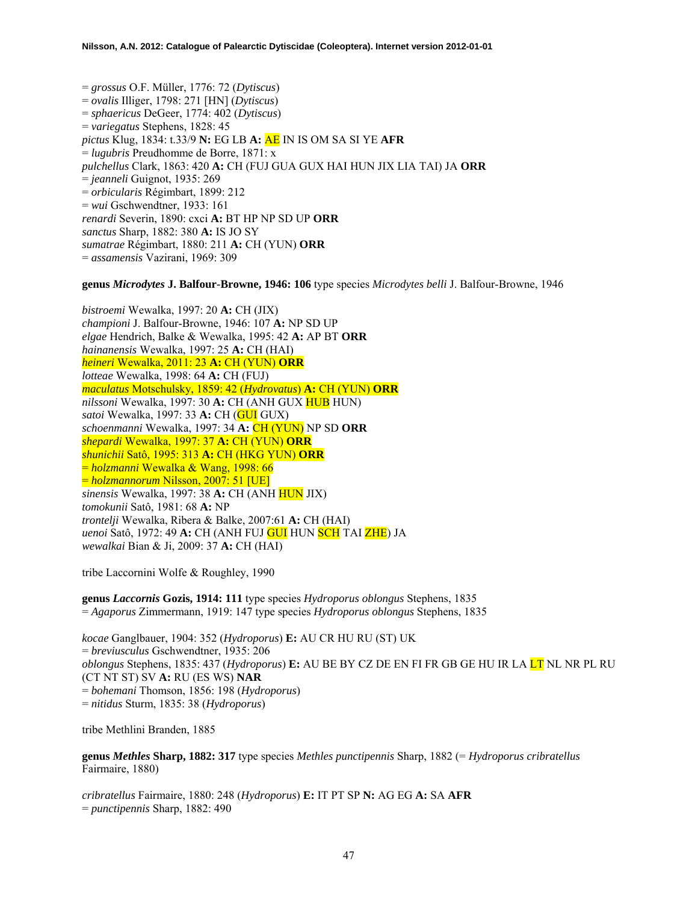= *grossus* O.F. Müller, 1776: 72 (*Dytiscus*) = *ovalis* Illiger, 1798: 271 [HN] (*Dytiscus*) = *sphaericus* DeGeer, 1774: 402 (*Dytiscus*) = *variegatus* Stephens, 1828: 45 *pictus* Klug, 1834: t.33/9 **N:** EG LB **A:** AE IN IS OM SA SI YE **AFR** = *lugubris* Preudhomme de Borre, 1871: x *pulchellus* Clark, 1863: 420 **A:** CH (FUJ GUA GUX HAI HUN JIX LIA TAI) JA **ORR** = *jeanneli* Guignot, 1935: 269 = *orbicularis* Régimbart, 1899: 212 = *wui* Gschwendtner, 1933: 161 *renardi* Severin, 1890: cxci **A:** BT HP NP SD UP **ORR** *sanctus* Sharp, 1882: 380 **A:** IS JO SY *sumatrae* Régimbart, 1880: 211 **A:** CH (YUN) **ORR** = *assamensis* Vazirani, 1969: 309

**genus** *Microdytes* **J. Balfour-Browne, 1946: 106** type species *Microdytes belli* J. Balfour-Browne, 1946

*bistroemi* Wewalka, 1997: 20 **A:** CH (JIX) *championi* J. Balfour-Browne, 1946: 107 **A:** NP SD UP *elgae* Hendrich, Balke & Wewalka, 1995: 42 **A:** AP BT **ORR** *hainanensis* Wewalka, 1997: 25 **A:** CH (HAI) *heineri* Wewalka, 2011: 23 **A:** CH (YUN) **ORR** *lotteae* Wewalka, 1998: 64 **A:** CH (FUJ) *maculatus* Motschulsky, 1859: 42 (*Hydrovatus*) **A:** CH (YUN) **ORR** *nilssoni* Wewalka, 1997: 30 **A:** CH (ANH GUX HUB HUN) *satoi* Wewalka, 1997: 33 **A:** CH (GUI GUX) *schoenmanni* Wewalka, 1997: 34 **A:** CH (YUN) NP SD **ORR**  *shepardi* Wewalka, 1997: 37 **A:** CH (YUN) **ORR** *shunichii* Satô, 1995: 313 **A:** CH (HKG YUN) **ORR**  = *holzmanni* Wewalka & Wang, 1998: 66 = *holzmannorum* Nilsson, 2007: 51 [UE] *sinensis* Wewalka, 1997: 38 **A:** CH (ANH HUN JIX) *tomokunii* Satô, 1981: 68 **A:** NP *trontelji* Wewalka, Ribera & Balke, 2007:61 **A:** CH (HAI) *uenoi* Satô, 1972: 49 **A:** CH (ANH FUJ GUI HUN SCH TAI ZHE) JA *wewalkai* Bian & Ji, 2009: 37 **A:** CH (HAI)

tribe Laccornini Wolfe & Roughley, 1990

**genus** *Laccornis* **Gozis, 1914: 111** type species *Hydroporus oblongus* Stephens, 1835 = *Agaporus* Zimmermann, 1919: 147 type species *Hydroporus oblongus* Stephens, 1835

*kocae* Ganglbauer, 1904: 352 (*Hydroporus*) **E:** AU CR HU RU (ST) UK = *breviusculus* Gschwendtner, 1935: 206 *oblongus* Stephens, 1835: 437 (*Hydroporus*) **E:** AU BE BY CZ DE EN FI FR GB GE HU IR LA LT NL NR PL RU (CT NT ST) SV **A:** RU (ES WS) **NAR**  = *bohemani* Thomson, 1856: 198 (*Hydroporus*) = *nitidus* Sturm, 1835: 38 (*Hydroporus*)

tribe Methlini Branden, 1885

**genus** *Methles* **Sharp, 1882: 317** type species *Methles punctipennis* Sharp, 1882 (= *Hydroporus cribratellus* Fairmaire, 1880)

*cribratellus* Fairmaire, 1880: 248 (*Hydroporus*) **E:** IT PT SP **N:** AG EG **A:** SA **AFR**  = *punctipennis* Sharp, 1882: 490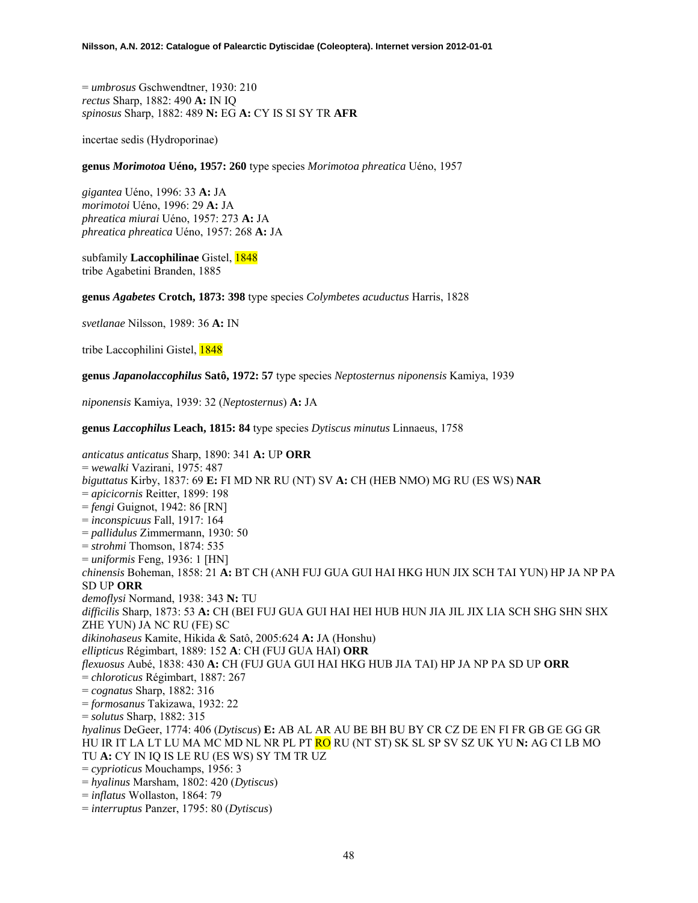= *umbrosus* Gschwendtner, 1930: 210 *rectus* Sharp, 1882: 490 **A:** IN IQ *spinosus* Sharp, 1882: 489 **N:** EG **A:** CY IS SI SY TR **AFR**

incertae sedis (Hydroporinae)

**genus** *Morimotoa* **Uéno, 1957: 260** type species *Morimotoa phreatica* Uéno, 1957

*gigantea* Uéno, 1996: 33 **A:** JA *morimotoi* Uéno, 1996: 29 **A:** JA *phreatica miurai* Uéno, 1957: 273 **A:** JA *phreatica phreatica* Uéno, 1957: 268 **A:** JA

subfamily **Laccophilinae** Gistel, 1848 tribe Agabetini Branden, 1885

**genus** *Agabetes* **Crotch, 1873: 398** type species *Colymbetes acuductus* Harris, 1828

*svetlanae* Nilsson, 1989: 36 **A:** IN

tribe Laccophilini Gistel, 1848

**genus** *Japanolaccophilus* **Satô, 1972: 57** type species *Neptosternus niponensis* Kamiya, 1939

*niponensis* Kamiya, 1939: 32 (*Neptosternus*) **A:** JA

**genus** *Laccophilus* **Leach, 1815: 84** type species *Dytiscus minutus* Linnaeus, 1758

*anticatus anticatus* Sharp, 1890: 341 **A:** UP **ORR**  = *wewalki* Vazirani, 1975: 487 *biguttatus* Kirby, 1837: 69 **E:** FI MD NR RU (NT) SV **A:** CH (HEB NMO) MG RU (ES WS) **NAR**  = *apicicornis* Reitter, 1899: 198 = *fengi* Guignot, 1942: 86 [RN] = *inconspicuus* Fall, 1917: 164 = *pallidulus* Zimmermann, 1930: 50 = *strohmi* Thomson, 1874: 535 = *uniformis* Feng, 1936: 1 [HN] *chinensis* Boheman, 1858: 21 **A:** BT CH (ANH FUJ GUA GUI HAI HKG HUN JIX SCH TAI YUN) HP JA NP PA SD UP **ORR**  *demoflysi* Normand, 1938: 343 **N:** TU *difficilis* Sharp, 1873: 53 **A:** CH (BEI FUJ GUA GUI HAI HEI HUB HUN JIA JIL JIX LIA SCH SHG SHN SHX ZHE YUN) JA NC RU (FE) SC *dikinohaseus* Kamite, Hikida & Satô, 2005:624 **A:** JA (Honshu) *ellipticus* Régimbart, 1889: 152 **A**: CH (FUJ GUA HAI) **ORR**  *flexuosus* Aubé, 1838: 430 **A:** CH (FUJ GUA GUI HAI HKG HUB JIA TAI) HP JA NP PA SD UP **ORR**  = *chloroticus* Régimbart, 1887: 267 = *cognatus* Sharp, 1882: 316 = *formosanus* Takizawa, 1932: 22 = *solutus* Sharp, 1882: 315 *hyalinus* DeGeer, 1774: 406 (*Dytiscus*) **E:** AB AL AR AU BE BH BU BY CR CZ DE EN FI FR GB GE GG GR HU IR IT LA LT LU MA MC MD NL NR PL PT RO RU (NT ST) SK SL SP SV SZ UK YU **N:** AG CI LB MO TU **A:** CY IN IQ IS LE RU (ES WS) SY TM TR UZ = *cyprioticus* Mouchamps, 1956: 3 = *hyalinus* Marsham, 1802: 420 (*Dytiscus*) = *inflatus* Wollaston, 1864: 79

= *interruptus* Panzer, 1795: 80 (*Dytiscus*)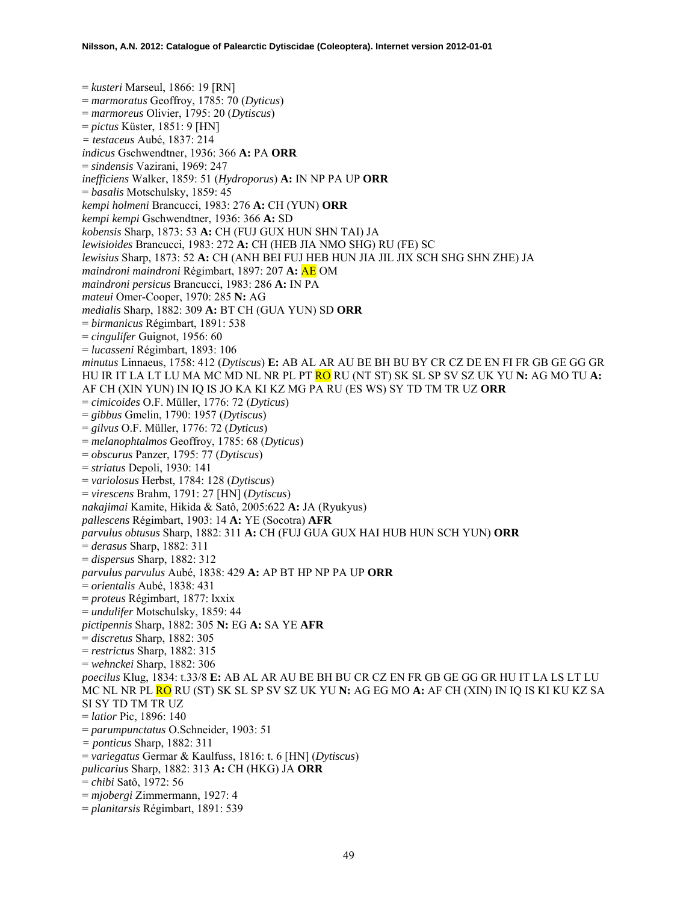= *kusteri* Marseul, 1866: 19 [RN] = *marmoratus* Geoffroy, 1785: 70 (*Dyticus*) = *marmoreus* Olivier, 1795: 20 (*Dytiscus*) = *pictus* Küster, 1851: 9 [HN] *= testaceus* Aubé, 1837: 214 *indicus* Gschwendtner, 1936: 366 **A:** PA **ORR**  = *sindensis* Vazirani, 1969: 247 *inefficiens* Walker, 1859: 51 (*Hydroporus*) **A:** IN NP PA UP **ORR**  = *basalis* Motschulsky, 1859: 45 *kempi holmeni* Brancucci, 1983: 276 **A:** CH (YUN) **ORR**  *kempi kempi* Gschwendtner, 1936: 366 **A:** SD *kobensis* Sharp, 1873: 53 **A:** CH (FUJ GUX HUN SHN TAI) JA *lewisioides* Brancucci, 1983: 272 **A:** CH (HEB JIA NMO SHG) RU (FE) SC *lewisius* Sharp, 1873: 52 **A:** CH (ANH BEI FUJ HEB HUN JIA JIL JIX SCH SHG SHN ZHE) JA *maindroni maindroni* Régimbart, 1897: 207 **A:** AE OM *maindroni persicus* Brancucci, 1983: 286 **A:** IN PA *mateui* Omer-Cooper, 1970: 285 **N:** AG *medialis* Sharp, 1882: 309 **A:** BT CH (GUA YUN) SD **ORR**  = *birmanicus* Régimbart, 1891: 538 = *cingulifer* Guignot, 1956: 60 = *lucasseni* Régimbart, 1893: 106 *minutus* Linnaeus, 1758: 412 (*Dytiscus*) **E:** AB AL AR AU BE BH BU BY CR CZ DE EN FI FR GB GE GG GR HU IR IT LA LT LU MA MC MD NL NR PL PT RO RU (NT ST) SK SL SP SV SZ UK YU **N:** AG MO TU **A:**  AF CH (XIN YUN) IN IQ IS JO KA KI KZ MG PA RU (ES WS) SY TD TM TR UZ **ORR**  = *cimicoides* O.F. Müller, 1776: 72 (*Dyticus*) = *gibbus* Gmelin, 1790: 1957 (*Dytiscus*) = *gilvus* O.F. Müller, 1776: 72 (*Dyticus*) = *melanophtalmos* Geoffroy, 1785: 68 (*Dyticus*) = *obscurus* Panzer, 1795: 77 (*Dytiscus*) = *striatus* Depoli, 1930: 141 = *variolosus* Herbst, 1784: 128 (*Dytiscus*) = *virescens* Brahm, 1791: 27 [HN] (*Dytiscus*) *nakajimai* Kamite, Hikida & Satô, 2005:622 **A:** JA (Ryukyus) *pallescens* Régimbart, 1903: 14 **A:** YE (Socotra) **AFR** *parvulus obtusus* Sharp, 1882: 311 **A:** CH (FUJ GUA GUX HAI HUB HUN SCH YUN) **ORR** = *derasus* Sharp, 1882: 311 = *dispersus* Sharp, 1882: 312 *parvulus parvulus* Aubé, 1838: 429 **A:** AP BT HP NP PA UP **ORR** = *orientalis* Aubé, 1838: 431 = *proteus* Régimbart, 1877: lxxix = *undulifer* Motschulsky, 1859: 44 *pictipennis* Sharp, 1882: 305 **N:** EG **A:** SA YE **AFR** = *discretus* Sharp, 1882: 305 = *restrictus* Sharp, 1882: 315 = *wehnckei* Sharp, 1882: 306 *poecilus* Klug, 1834: t.33/8 **E:** AB AL AR AU BE BH BU CR CZ EN FR GB GE GG GR HU IT LA LS LT LU MC NL NR PL RO RU (ST) SK SL SP SV SZ UK YU **N:** AG EG MO **A:** AF CH (XIN) IN IQ IS KI KU KZ SA SI SY TD TM TR UZ = *latior* Pic, 1896: 140 = *parumpunctatus* O.Schneider, 1903: 51 *= ponticus* Sharp, 1882: 311 = *variegatus* Germar & Kaulfuss, 1816: t. 6 [HN] (*Dytiscus*) *pulicarius* Sharp, 1882: 313 **A:** CH (HKG) JA **ORR** = *chibi* Satô, 1972: 56 = *mjobergi* Zimmermann, 1927: 4 = *planitarsis* Régimbart, 1891: 539